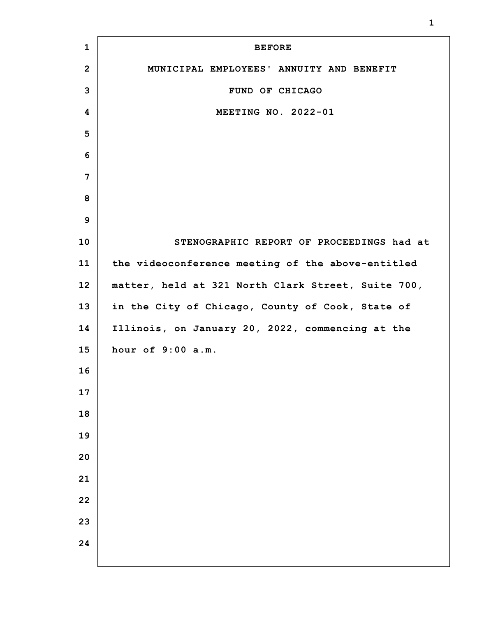| $\mathbf{1}$   | <b>BEFORE</b>                                      |
|----------------|----------------------------------------------------|
| $\overline{2}$ | MUNICIPAL EMPLOYEES' ANNUITY AND BENEFIT           |
| 3              | FUND OF CHICAGO                                    |
| 4              | MEETING NO. 2022-01                                |
| 5              |                                                    |
| 6              |                                                    |
| 7              |                                                    |
| 8              |                                                    |
| 9              |                                                    |
| 10             | STENOGRAPHIC REPORT OF PROCEEDINGS had at          |
| 11             | the videoconference meeting of the above-entitled  |
| 12             | matter, held at 321 North Clark Street, Suite 700, |
| 13             | in the City of Chicago, County of Cook, State of   |
| 14             | Illinois, on January 20, 2022, commencing at the   |
| 15             | hour of 9:00 a.m.                                  |
| 16             |                                                    |
| 17             |                                                    |
| 18             |                                                    |
| 19             |                                                    |
| 20             |                                                    |
| 21             |                                                    |
| 22             |                                                    |
| 23             |                                                    |
| 24             |                                                    |
|                |                                                    |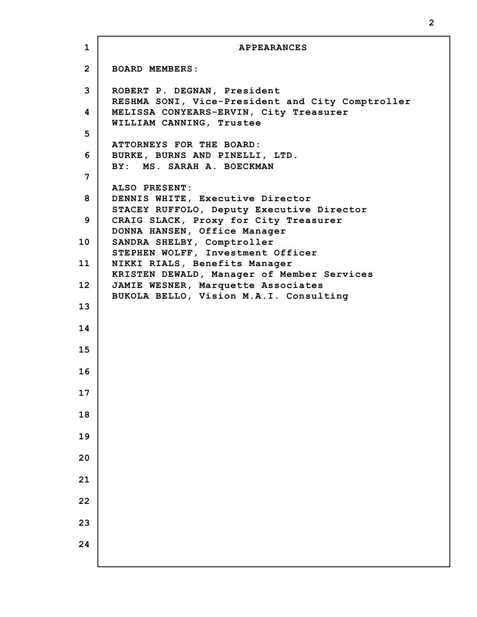```
1
2
3
4
5
6
7
8
9
10
11
12
13
14
15
16
17
18
19
20
21
22
23
24
                          APPEARANCES
     BOARD MEMBERS:
     ROBERT P. DEGNAN, President
     RESHMA SONI, Vice-President and City Comptroller
     MELISSA CONYEARS-ERVIN, City Treasurer
     WILLIAM CANNING, Trustee
     ATTORNEYS FOR THE BOARD:
     BURKE, BURNS AND PINELLI, LTD.
     BY: MS. SARAH A. BOECKMAN
     ALSO PRESENT:
     DENNIS WHITE, Executive Director
     STACEY RUFFOLO, Deputy Executive Director
     CRAIG SLACK, Proxy for City Treasurer
     DONNA HANSEN, Office Manager
     SANDRA SHELBY, Comptroller
     STEPHEN WOLFF, Investment Officer
     NIKKI RIALS, Benefits Manager
     KRISTEN DEWALD, Manager of Member Services
     JAMIE WESNER, Marquette Associates
     BUKOLA BELLO, Vision M.A.I. Consulting
```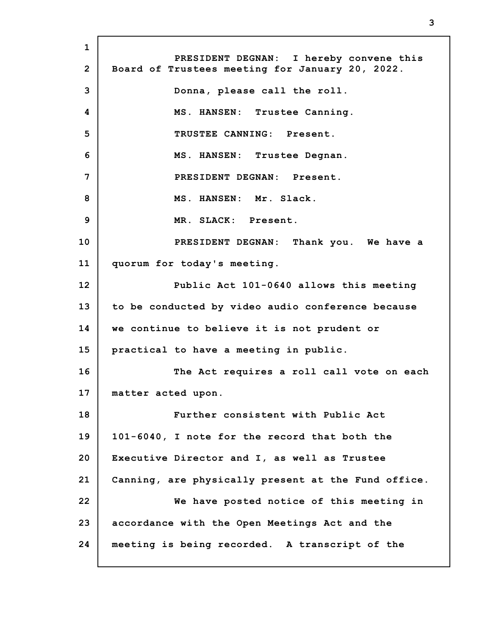**1 2 3 4 5 6 7 8 9 10 11 12 13 14 15 16 17 18 19 20 21 22 23 24 PRESIDENT DEGNAN: I hereby convene this Board of Trustees meeting for January 20, 2022. Donna, please call the roll. MS. HANSEN: Trustee Canning. TRUSTEE CANNING: Present. MS. HANSEN: Trustee Degnan. PRESIDENT DEGNAN: Present. MS. HANSEN: Mr. Slack. MR. SLACK: Present. PRESIDENT DEGNAN: Thank you. We have a quorum for today's meeting. Public Act 101-0640 allows this meeting to be conducted by video audio conference because we continue to believe it is not prudent or practical to have a meeting in public. The Act requires a roll call vote on each matter acted upon. Further consistent with Public Act 101-6040, I note for the record that both the Executive Director and I, as well as Trustee Canning, are physically present at the Fund office. We have posted notice of this meeting in accordance with the Open Meetings Act and the meeting is being recorded. A transcript of the**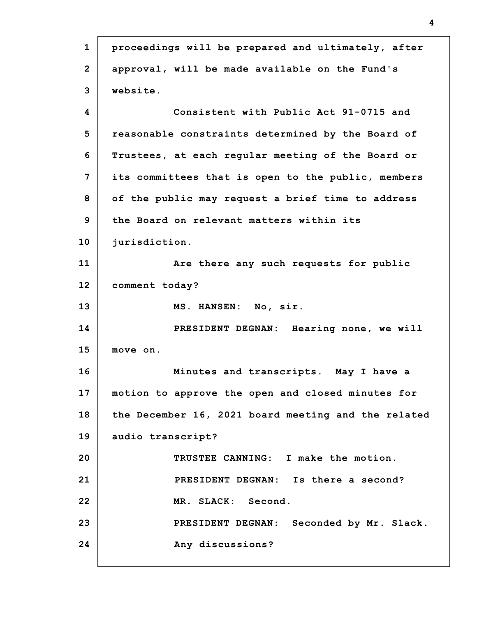| $\mathbf{1}$ | proceedings will be prepared and ultimately, after  |
|--------------|-----------------------------------------------------|
| $\mathbf{2}$ | approval, will be made available on the Fund's      |
| 3            | website.                                            |
| 4            | Consistent with Public Act 91-0715 and              |
| 5            | reasonable constraints determined by the Board of   |
| 6            | Trustees, at each regular meeting of the Board or   |
| 7            | its committees that is open to the public, members  |
| 8            | of the public may request a brief time to address   |
| 9            | the Board on relevant matters within its            |
| 10           | jurisdiction.                                       |
| 11           | Are there any such requests for public              |
| 12           | comment today?                                      |
| 13           | MS. HANSEN: No, sir.                                |
| 14           | PRESIDENT DEGNAN: Hearing none, we will             |
| 15           | move on.                                            |
| 16           | Minutes and transcripts. May I have a               |
| 17           | motion to approve the open and closed minutes for   |
| 18           | the December 16, 2021 board meeting and the related |
| 19           | audio transcript?                                   |
| 20           | TRUSTEE CANNING: I make the motion.                 |
| 21           | PRESIDENT DEGNAN: Is there a second?                |
| 22           | MR. SLACK: Second.                                  |
| 23           | PRESIDENT DEGNAN: Seconded by Mr. Slack.            |
| 24           | Any discussions?                                    |
|              |                                                     |

I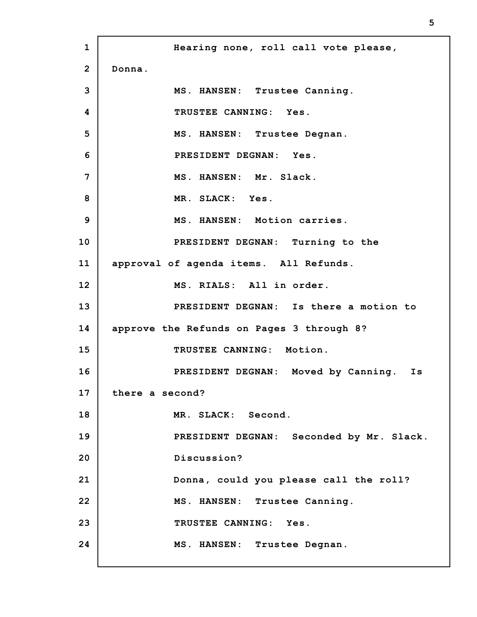**1 2 3 4 5 6 7 8 9 10 11 12 13 14 15 16 17 18 19 20 21 22 23 24 Hearing none, roll call vote please, Donna. MS. HANSEN: Trustee Canning. TRUSTEE CANNING: Yes. MS. HANSEN: Trustee Degnan. PRESIDENT DEGNAN: Yes. MS. HANSEN: Mr. Slack. MR. SLACK: Yes. MS. HANSEN: Motion carries. PRESIDENT DEGNAN: Turning to the approval of agenda items. All Refunds. MS. RIALS: All in order. PRESIDENT DEGNAN: Is there a motion to approve the Refunds on Pages 3 through 8? TRUSTEE CANNING: Motion. PRESIDENT DEGNAN: Moved by Canning. Is there a second? MR. SLACK: Second. PRESIDENT DEGNAN: Seconded by Mr. Slack. Discussion? Donna, could you please call the roll? MS. HANSEN: Trustee Canning. TRUSTEE CANNING: Yes. MS. HANSEN: Trustee Degnan.**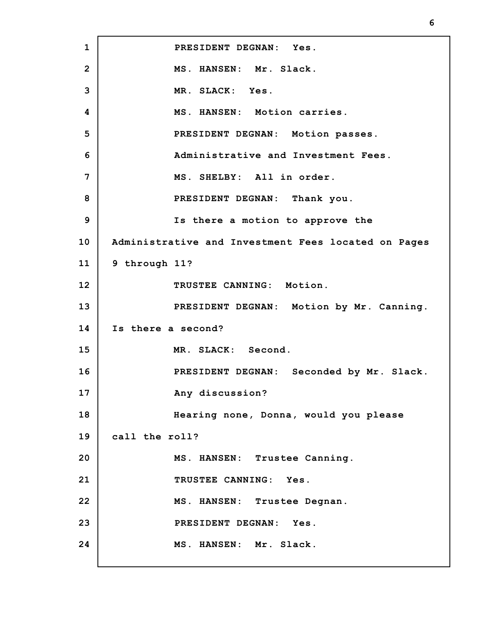**1 2 3 4 5 6 7 8 9 10 11 12 13 14 15 16 17 18 19 20 21 22 23 24 PRESIDENT DEGNAN: Yes. MS. HANSEN: Mr. Slack. MR. SLACK: Yes. MS. HANSEN: Motion carries. PRESIDENT DEGNAN: Motion passes. Administrative and Investment Fees. MS. SHELBY: All in order. PRESIDENT DEGNAN: Thank you. Is there a motion to approve the Administrative and Investment Fees located on Pages 9 through 11? TRUSTEE CANNING: Motion. PRESIDENT DEGNAN: Motion by Mr. Canning. Is there a second? MR. SLACK: Second. PRESIDENT DEGNAN: Seconded by Mr. Slack. Any discussion? Hearing none, Donna, would you please call the roll? MS. HANSEN: Trustee Canning. TRUSTEE CANNING: Yes. MS. HANSEN: Trustee Degnan. PRESIDENT DEGNAN: Yes. MS. HANSEN: Mr. Slack.**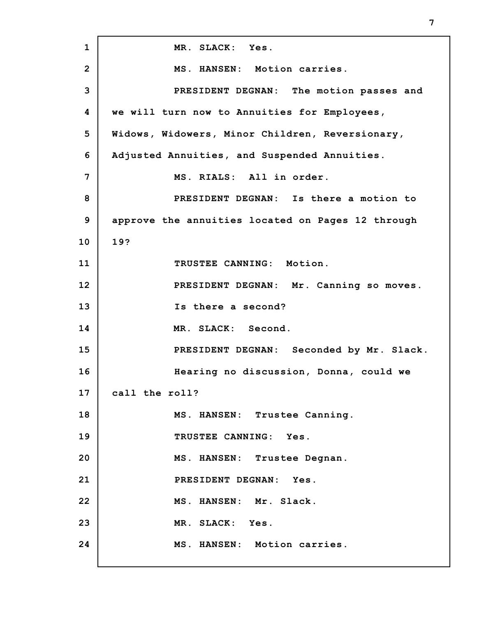| $\mathbf{1}$    | MR. SLACK: Yes.                                   |
|-----------------|---------------------------------------------------|
| $\overline{2}$  | MS. HANSEN: Motion carries.                       |
| 3               | PRESIDENT DEGNAN: The motion passes and           |
| 4               | we will turn now to Annuities for Employees,      |
| 5               | Widows, Widowers, Minor Children, Reversionary,   |
| 6               | Adjusted Annuities, and Suspended Annuities.      |
| 7               | MS. RIALS: All in order.                          |
| 8               | PRESIDENT DEGNAN: Is there a motion to            |
| 9               | approve the annuities located on Pages 12 through |
| 10              | 19?                                               |
| 11              | TRUSTEE CANNING: Motion.                          |
| 12              | PRESIDENT DEGNAN: Mr. Canning so moves.           |
| 13              | Is there a second?                                |
| 14              | MR. SLACK: Second.                                |
| 15              | PRESIDENT DEGNAN: Seconded by Mr. Slack.          |
| 16              | Hearing no discussion, Donna, could we            |
| 17 <sub>2</sub> | call the roll?                                    |
| 18              | MS. HANSEN: Trustee Canning.                      |
| 19              | TRUSTEE CANNING: Yes.                             |
| 20              | MS. HANSEN: Trustee Degnan.                       |
| 21              | PRESIDENT DEGNAN: Yes.                            |
| 22              | MS. HANSEN: Mr. Slack.                            |
| 23              | MR. SLACK: Yes.                                   |
| 24              | MS. HANSEN: Motion carries.                       |
|                 |                                                   |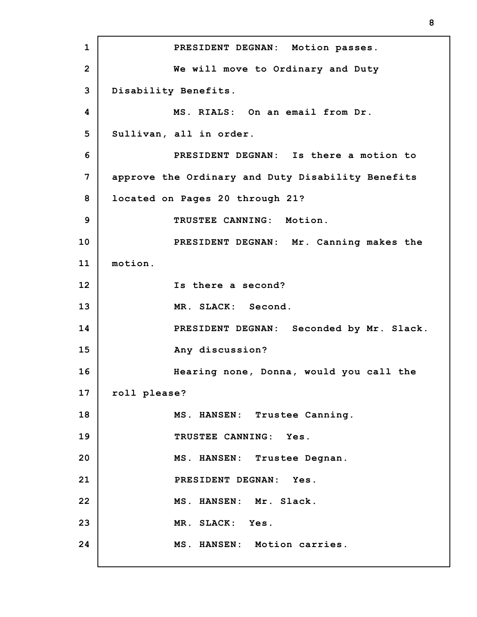**1 2 3 4 5 6 7 8 9 10 11 12 13 14 15 16 17 18 19 20 21 22 23 24 PRESIDENT DEGNAN: Motion passes. We will move to Ordinary and Duty Disability Benefits. MS. RIALS: On an email from Dr. Sullivan, all in order. PRESIDENT DEGNAN: Is there a motion to approve the Ordinary and Duty Disability Benefits located on Pages 20 through 21? TRUSTEE CANNING: Motion. PRESIDENT DEGNAN: Mr. Canning makes the motion. Is there a second? MR. SLACK: Second. PRESIDENT DEGNAN: Seconded by Mr. Slack. Any discussion? Hearing none, Donna, would you call the roll please? MS. HANSEN: Trustee Canning. TRUSTEE CANNING: Yes. MS. HANSEN: Trustee Degnan. PRESIDENT DEGNAN: Yes. MS. HANSEN: Mr. Slack. MR. SLACK: Yes. MS. HANSEN: Motion carries.**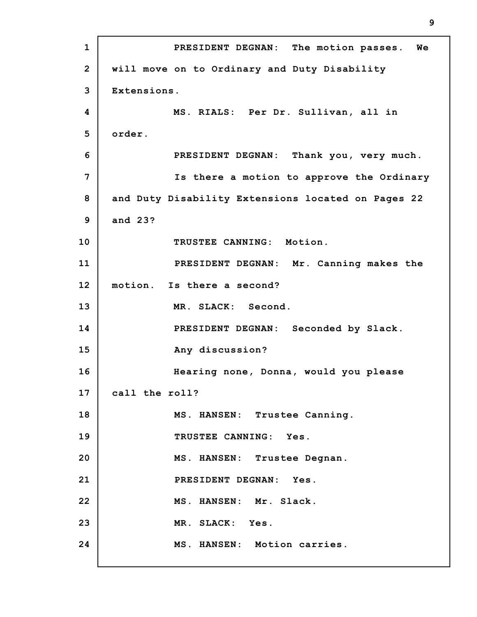**1 2 3 4 5 6 7 8 9 10 11 12 13 14 15 16 17 18 19 20 21 22 23 24 PRESIDENT DEGNAN: The motion passes. We will move on to Ordinary and Duty Disability Extensions. MS. RIALS: Per Dr. Sullivan, all in order. PRESIDENT DEGNAN: Thank you, very much. Is there a motion to approve the Ordinary and Duty Disability Extensions located on Pages 22 and 23? TRUSTEE CANNING: Motion. PRESIDENT DEGNAN: Mr. Canning makes the motion. Is there a second? MR. SLACK: Second. PRESIDENT DEGNAN: Seconded by Slack. Any discussion? Hearing none, Donna, would you please call the roll? MS. HANSEN: Trustee Canning. TRUSTEE CANNING: Yes. MS. HANSEN: Trustee Degnan. PRESIDENT DEGNAN: Yes. MS. HANSEN: Mr. Slack. MR. SLACK: Yes. MS. HANSEN: Motion carries.**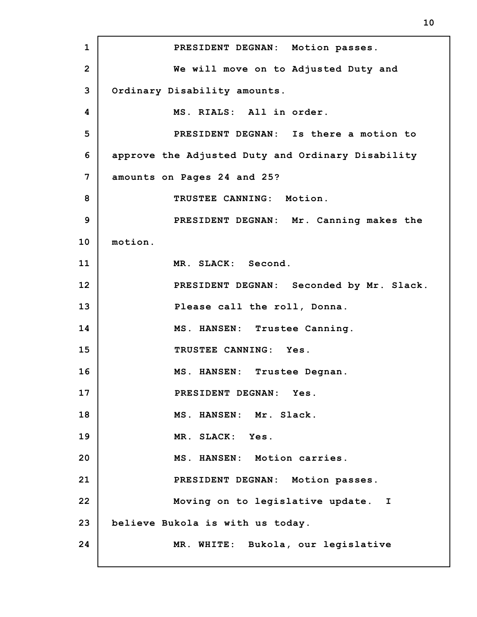**1 2 3 4 5 6 7 8 9 10 11 12 13 14 15 16 17 18 19 20 21 22 23 24 PRESIDENT DEGNAN: Motion passes. We will move on to Adjusted Duty and Ordinary Disability amounts. MS. RIALS: All in order. PRESIDENT DEGNAN: Is there a motion to approve the Adjusted Duty and Ordinary Disability amounts on Pages 24 and 25? TRUSTEE CANNING: Motion. PRESIDENT DEGNAN: Mr. Canning makes the motion. MR. SLACK: Second. PRESIDENT DEGNAN: Seconded by Mr. Slack. Please call the roll, Donna. MS. HANSEN: Trustee Canning. TRUSTEE CANNING: Yes. MS. HANSEN: Trustee Degnan. PRESIDENT DEGNAN: Yes. MS. HANSEN: Mr. Slack. MR. SLACK: Yes. MS. HANSEN: Motion carries. PRESIDENT DEGNAN: Motion passes. Moving on to legislative update. I believe Bukola is with us today. MR. WHITE: Bukola, our legislative**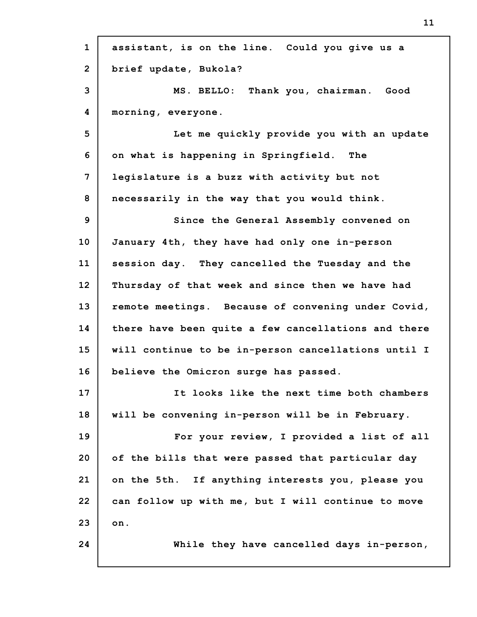| $\mathbf{1}$   | assistant, is on the line. Could you give us a      |
|----------------|-----------------------------------------------------|
| $\overline{2}$ | brief update, Bukola?                               |
| 3              | MS. BELLO: Thank you, chairman. Good                |
| 4              | morning, everyone.                                  |
| 5              | Let me quickly provide you with an update           |
| 6              | on what is happening in Springfield. The            |
| $\overline{7}$ | legislature is a buzz with activity but not         |
| 8              | necessarily in the way that you would think.        |
| 9              | Since the General Assembly convened on              |
| 10             | January 4th, they have had only one in-person       |
| 11             | session day. They cancelled the Tuesday and the     |
| 12             | Thursday of that week and since then we have had    |
| 13             | remote meetings. Because of convening under Covid,  |
| 14             | there have been quite a few cancellations and there |
| 15             | will continue to be in-person cancellations until I |
| 16             | believe the Omicron surge has passed.               |
| 17             | It looks like the next time both chambers           |
| 18             | will be convening in-person will be in February.    |
| 19             | For your review, I provided a list of all           |
| 20             | of the bills that were passed that particular day   |
| 21             | on the 5th. If anything interests you, please you   |
| 22             | can follow up with me, but I will continue to move  |
| 23             | on.                                                 |
| 24             | While they have cancelled days in-person,           |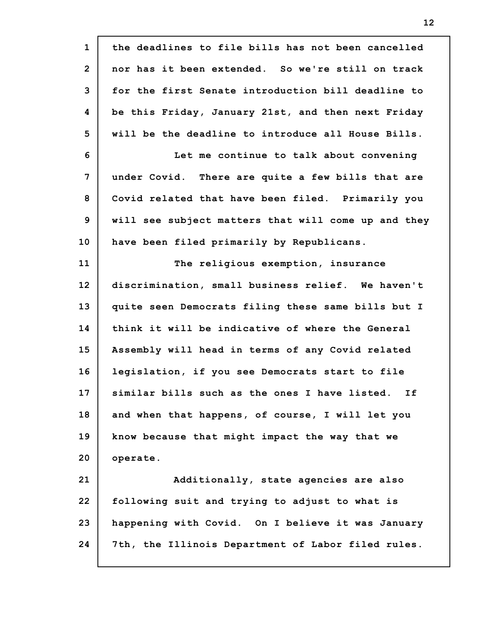| $\mathbf{1}$   | the deadlines to file bills has not been cancelled  |
|----------------|-----------------------------------------------------|
| $\overline{2}$ | nor has it been extended. So we're still on track   |
| 3              | for the first Senate introduction bill deadline to  |
| 4              | be this Friday, January 21st, and then next Friday  |
| 5              | will be the deadline to introduce all House Bills.  |
| 6              | Let me continue to talk about convening             |
| 7              | under Covid. There are quite a few bills that are   |
| 8              | Covid related that have been filed. Primarily you   |
| 9              | will see subject matters that will come up and they |
| 10             | have been filed primarily by Republicans.           |
| 11             | The religious exemption, insurance                  |
| 12             | discrimination, small business relief. We haven't   |
| 13             | quite seen Democrats filing these same bills but I  |
| 14             | think it will be indicative of where the General    |
| 15             | Assembly will head in terms of any Covid related    |
| 16             | legislation, if you see Democrats start to file     |
| 17             | similar bills such as the ones I have listed.<br>If |
| 18             | and when that happens, of course, I will let you    |
| 19             | know because that might impact the way that we      |
| 20             | operate.                                            |
| 21             | Additionally, state agencies are also               |
| 22             | following suit and trying to adjust to what is      |
| 23             | happening with Covid. On I believe it was January   |
| 24             | 7th, the Illinois Department of Labor filed rules.  |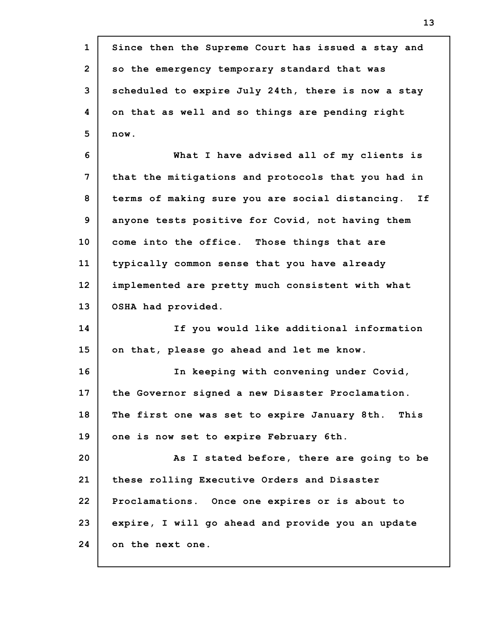| $\mathbf{1}$   | Since then the Supreme Court has issued a stay and   |
|----------------|------------------------------------------------------|
| $\overline{2}$ | so the emergency temporary standard that was         |
| 3              | scheduled to expire July 24th, there is now a stay   |
| 4              | on that as well and so things are pending right      |
| 5              | now.                                                 |
| 6              | What I have advised all of my clients is             |
| 7              | that the mitigations and protocols that you had in   |
| 8              | terms of making sure you are social distancing. If   |
| 9              | anyone tests positive for Covid, not having them     |
| 10             | come into the office. Those things that are          |
| 11             | typically common sense that you have already         |
| 12             | implemented are pretty much consistent with what     |
| 13             | OSHA had provided.                                   |
| 14             | If you would like additional information             |
| 15             | on that, please go ahead and let me know.            |
| 16             | In keeping with convening under Covid,               |
| 17             | the Governor signed a new Disaster Proclamation.     |
| 18             | The first one was set to expire January 8th.<br>This |
| 19             | one is now set to expire February 6th.               |
| 20             | As I stated before, there are going to be            |
| 21             | these rolling Executive Orders and Disaster          |
| 22             | Proclamations. Once one expires or is about to       |
| 23             | expire, I will go ahead and provide you an update    |
| 24             | on the next one.                                     |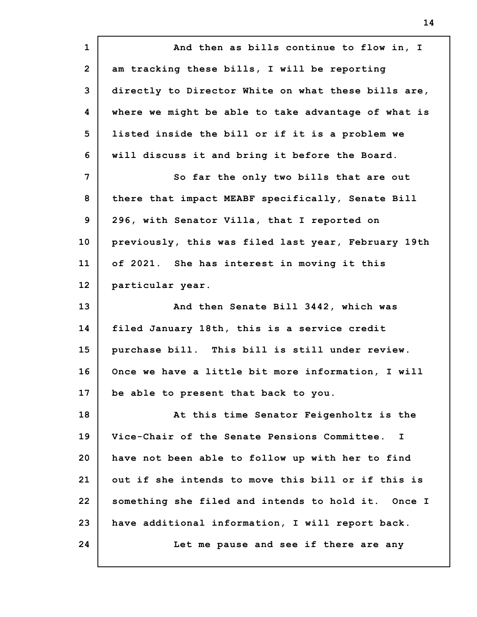| $\mathbf{1}$   | And then as bills continue to flow in, I            |
|----------------|-----------------------------------------------------|
| $\overline{2}$ | am tracking these bills, I will be reporting        |
| 3              | directly to Director White on what these bills are, |
| 4              | where we might be able to take advantage of what is |
| 5              | listed inside the bill or if it is a problem we     |
| 6              | will discuss it and bring it before the Board.      |
| 7              | So far the only two bills that are out              |
| 8              | there that impact MEABF specifically, Senate Bill   |
| 9              | 296, with Senator Villa, that I reported on         |
| 10             | previously, this was filed last year, February 19th |
| 11             | of 2021. She has interest in moving it this         |
| 12             | particular year.                                    |
| 13             | And then Senate Bill 3442, which was                |
|                |                                                     |
| 14             | filed January 18th, this is a service credit        |
| 15             | purchase bill. This bill is still under review.     |
| 16             | Once we have a little bit more information, I will  |
| 17             | be able to present that back to you.                |
| 18             | At this time Senator Feigenholtz is the             |
| 19             | Vice-Chair of the Senate Pensions Committee.<br>I.  |
| 20             | have not been able to follow up with her to find    |
| 21             | out if she intends to move this bill or if this is  |
| 22             | something she filed and intends to hold it. Once I  |
| 23             | have additional information, I will report back.    |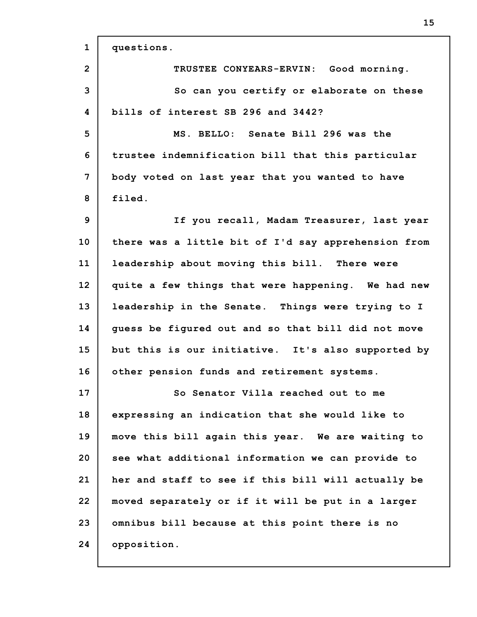| $\mathbf{1}$ | questions.                                          |
|--------------|-----------------------------------------------------|
| $\mathbf{2}$ | TRUSTEE CONYEARS-ERVIN: Good morning.               |
| 3            | So can you certify or elaborate on these            |
| 4            | bills of interest SB 296 and 3442?                  |
| 5            | MS. BELLO: Senate Bill 296 was the                  |
| 6            | trustee indemnification bill that this particular   |
| 7            | body voted on last year that you wanted to have     |
| 8            | filed.                                              |
| 9            | If you recall, Madam Treasurer, last year           |
| 10           | there was a little bit of I'd say apprehension from |
| 11           | leadership about moving this bill. There were       |
| 12           | quite a few things that were happening. We had new  |
| 13           | leadership in the Senate. Things were trying to I   |
| 14           | guess be figured out and so that bill did not move  |
| 15           | but this is our initiative. It's also supported by  |
| 16           | other pension funds and retirement systems.         |
| 17           | So Senator Villa reached out to me                  |
| 18           | expressing an indication that she would like to     |
| 19           | move this bill again this year. We are waiting to   |
| 20           | see what additional information we can provide to   |
| 21           | her and staff to see if this bill will actually be  |
| 22           | moved separately or if it will be put in a larger   |
| 23           | omnibus bill because at this point there is no      |
| 24           | opposition.                                         |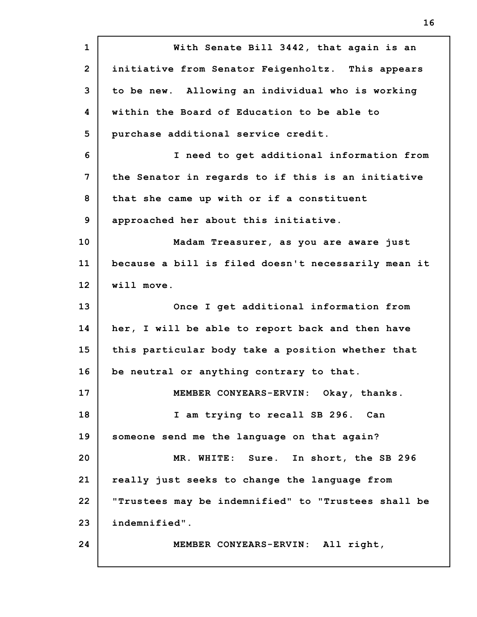**1 2 3 4 5 6 7 8 9 10 11 12 13 14 15 16 17 18 19 20 21 22 23 24 With Senate Bill 3442, that again is an initiative from Senator Feigenholtz. This appears to be new. Allowing an individual who is working within the Board of Education to be able to purchase additional service credit. I need to get additional information from the Senator in regards to if this is an initiative that she came up with or if a constituent approached her about this initiative. Madam Treasurer, as you are aware just because a bill is filed doesn't necessarily mean it will move. Once I get additional information from her, I will be able to report back and then have this particular body take a position whether that be neutral or anything contrary to that. MEMBER CONYEARS-ERVIN: Okay, thanks. I am trying to recall SB 296. Can someone send me the language on that again? MR. WHITE: Sure. In short, the SB 296 really just seeks to change the language from "Trustees may be indemnified" to "Trustees shall be indemnified". MEMBER CONYEARS-ERVIN: All right,**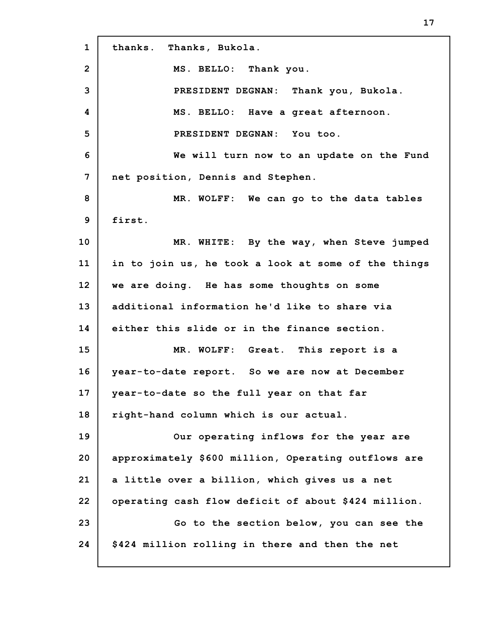**1 2 3 4 5 6 7 8 9 10 11 12 13 14 15 16 17 18 19 20 21 22 23 24 thanks. Thanks, Bukola. MS. BELLO: Thank you. PRESIDENT DEGNAN: Thank you, Bukola. MS. BELLO: Have a great afternoon. PRESIDENT DEGNAN: You too. We will turn now to an update on the Fund net position, Dennis and Stephen. MR. WOLFF: We can go to the data tables first. MR. WHITE: By the way, when Steve jumped in to join us, he took a look at some of the things we are doing. He has some thoughts on some additional information he'd like to share via either this slide or in the finance section. MR. WOLFF: Great. This report is a year-to-date report. So we are now at December year-to-date so the full year on that far right-hand column which is our actual. Our operating inflows for the year are approximately \$600 million, Operating outflows are a little over a billion, which gives us a net operating cash flow deficit of about \$424 million. Go to the section below, you can see the \$424 million rolling in there and then the net**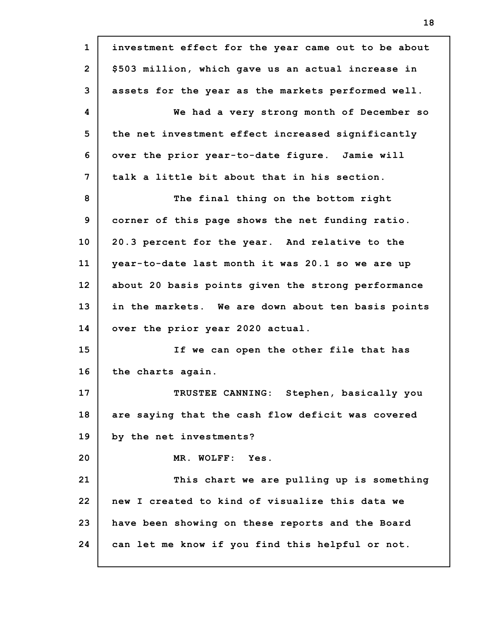**1 2 3 4 5 6 7 8 9 10 11 12 13 14 15 16 17 18 19 20 21 22 23 24 investment effect for the year came out to be about \$503 million, which gave us an actual increase in assets for the year as the markets performed well. We had a very strong month of December so the net investment effect increased significantly over the prior year-to-date figure. Jamie will talk a little bit about that in his section. The final thing on the bottom right corner of this page shows the net funding ratio. 20.3 percent for the year. And relative to the year-to-date last month it was 20.1 so we are up about 20 basis points given the strong performance in the markets. We are down about ten basis points over the prior year 2020 actual. If we can open the other file that has the charts again. TRUSTEE CANNING: Stephen, basically you are saying that the cash flow deficit was covered by the net investments? MR. WOLFF: Yes. This chart we are pulling up is something new I created to kind of visualize this data we have been showing on these reports and the Board can let me know if you find this helpful or not.**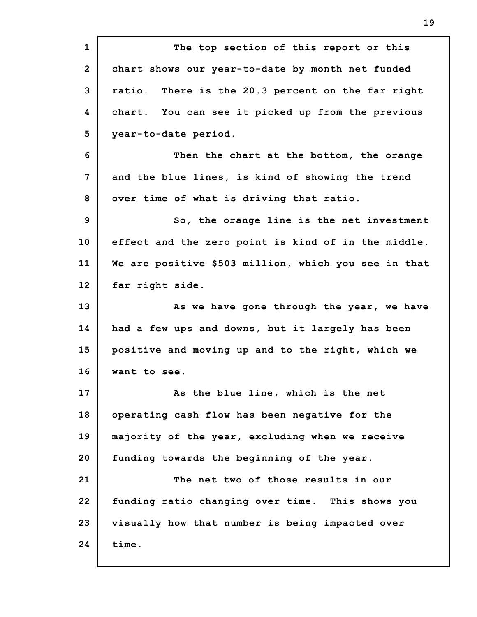**1 2 3 4 5 6 7 8 9 10 11 12 13 14 15 16 17 18 19 20 21 22 23 24 The top section of this report or this chart shows our year-to-date by month net funded ratio. There is the 20.3 percent on the far right chart. You can see it picked up from the previous year-to-date period. Then the chart at the bottom, the orange and the blue lines, is kind of showing the trend over time of what is driving that ratio. So, the orange line is the net investment effect and the zero point is kind of in the middle. We are positive \$503 million, which you see in that far right side. As we have gone through the year, we have had a few ups and downs, but it largely has been positive and moving up and to the right, which we want to see. As the blue line, which is the net operating cash flow has been negative for the majority of the year, excluding when we receive funding towards the beginning of the year. The net two of those results in our funding ratio changing over time. This shows you visually how that number is being impacted over time.**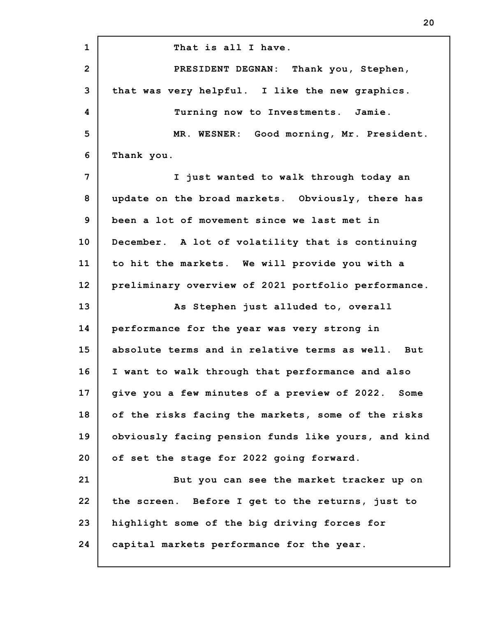**1 2 3 4 5 6 7 8 9 10 11 12 13 14 15 16 17 18 19 20 21 22 23 24 That is all I have. PRESIDENT DEGNAN: Thank you, Stephen, that was very helpful. I like the new graphics. Turning now to Investments. Jamie. MR. WESNER: Good morning, Mr. President. Thank you. I just wanted to walk through today an update on the broad markets. Obviously, there has been a lot of movement since we last met in December. A lot of volatility that is continuing to hit the markets. We will provide you with a preliminary overview of 2021 portfolio performance. As Stephen just alluded to, overall performance for the year was very strong in absolute terms and in relative terms as well. But I want to walk through that performance and also give you a few minutes of a preview of 2022. Some of the risks facing the markets, some of the risks obviously facing pension funds like yours, and kind of set the stage for 2022 going forward. But you can see the market tracker up on the screen. Before I get to the returns, just to highlight some of the big driving forces for capital markets performance for the year.**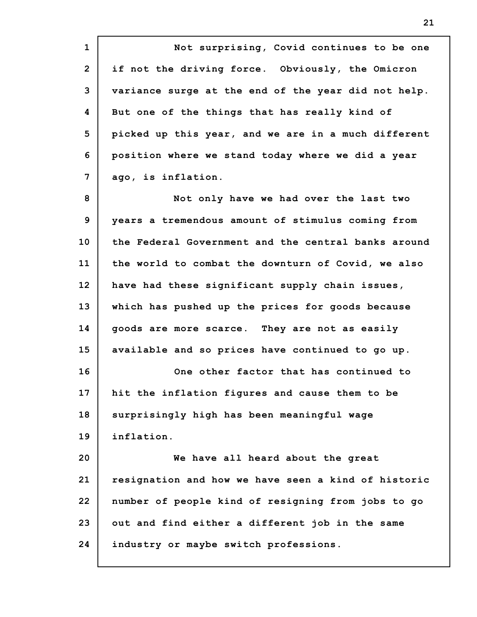**1 2 3 4 5 6 7 Not surprising, Covid continues to be one if not the driving force. Obviously, the Omicron variance surge at the end of the year did not help. But one of the things that has really kind of picked up this year, and we are in a much different position where we stand today where we did a year ago, is inflation.**

**8 9 10 11 12 13 14 15 16 17 18 19 20 Not only have we had over the last two years a tremendous amount of stimulus coming from the Federal Government and the central banks around the world to combat the downturn of Covid, we also have had these significant supply chain issues, which has pushed up the prices for goods because goods are more scarce. They are not as easily available and so prices have continued to go up. One other factor that has continued to hit the inflation figures and cause them to be surprisingly high has been meaningful wage inflation. We have all heard about the great**

**21 22 23 24 resignation and how we have seen a kind of historic number of people kind of resigning from jobs to go out and find either a different job in the same industry or maybe switch professions.**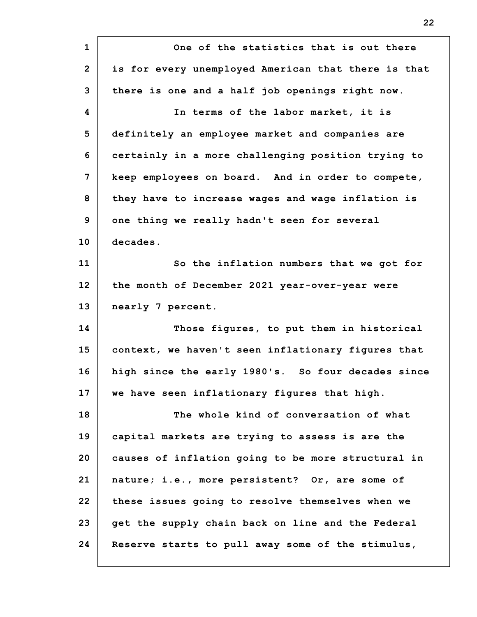**1 2 3 4 5 6 7 8 9 10 11 12 13 14 15 16 17 18 19 20 21 22 23 24 One of the statistics that is out there is for every unemployed American that there is that there is one and a half job openings right now. In terms of the labor market, it is definitely an employee market and companies are certainly in a more challenging position trying to keep employees on board. And in order to compete, they have to increase wages and wage inflation is one thing we really hadn't seen for several decades. So the inflation numbers that we got for the month of December 2021 year-over-year were nearly 7 percent. Those figures, to put them in historical context, we haven't seen inflationary figures that high since the early 1980's. So four decades since we have seen inflationary figures that high. The whole kind of conversation of what capital markets are trying to assess is are the causes of inflation going to be more structural in nature; i.e., more persistent? Or, are some of these issues going to resolve themselves when we get the supply chain back on line and the Federal Reserve starts to pull away some of the stimulus,**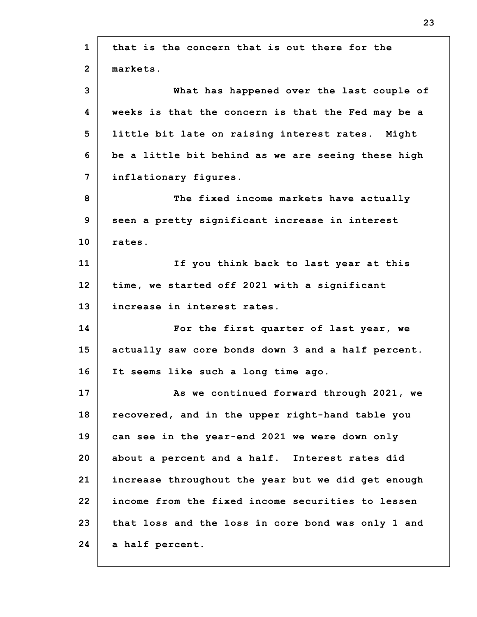| $\mathbf{1}$   | that is the concern that is out there for the      |
|----------------|----------------------------------------------------|
| $\overline{2}$ | markets.                                           |
| 3              | What has happened over the last couple of          |
| 4              | weeks is that the concern is that the Fed may be a |
| 5              | little bit late on raising interest rates. Might   |
| 6              | be a little bit behind as we are seeing these high |
| 7              | inflationary figures.                              |
| 8              | The fixed income markets have actually             |
| 9              | seen a pretty significant increase in interest     |
| 10             | rates.                                             |
| 11             | If you think back to last year at this             |
| 12             | time, we started off 2021 with a significant       |
| 13             | increase in interest rates.                        |
| 14             | For the first quarter of last year, we             |
| 15             | actually saw core bonds down 3 and a half percent. |
| 16             | It seems like such a long time ago.                |
| 17             | As we continued forward through 2021, we           |
| 18             | recovered, and in the upper right-hand table you   |
| 19             | can see in the year-end 2021 we were down only     |
| 20             | about a percent and a half. Interest rates did     |
| 21             | increase throughout the year but we did get enough |
| 22             | income from the fixed income securities to lessen  |
| 23             | that loss and the loss in core bond was only 1 and |
| 24             | a half percent.                                    |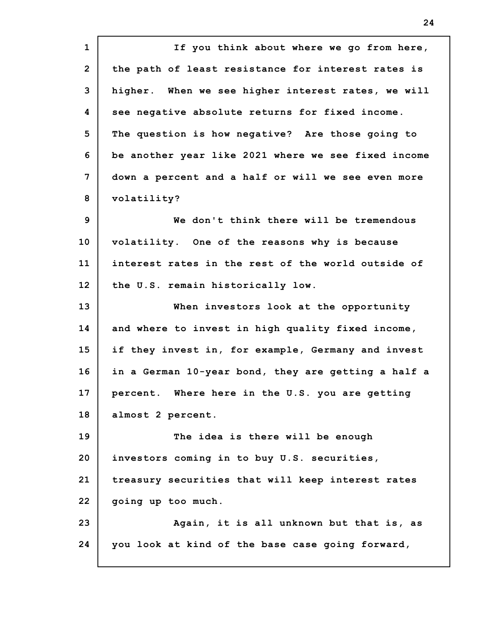**1 2 3 4 5 6 7 8 9 10 11 12 13 14 15 16 17 18 19 20 21 22 23 24 If you think about where we go from here, the path of least resistance for interest rates is higher. When we see higher interest rates, we will see negative absolute returns for fixed income. The question is how negative? Are those going to be another year like 2021 where we see fixed income down a percent and a half or will we see even more volatility? We don't think there will be tremendous volatility. One of the reasons why is because interest rates in the rest of the world outside of the U.S. remain historically low. When investors look at the opportunity and where to invest in high quality fixed income, if they invest in, for example, Germany and invest in a German 10-year bond, they are getting a half a percent. Where here in the U.S. you are getting almost 2 percent. The idea is there will be enough investors coming in to buy U.S. securities, treasury securities that will keep interest rates going up too much. Again, it is all unknown but that is, as you look at kind of the base case going forward,**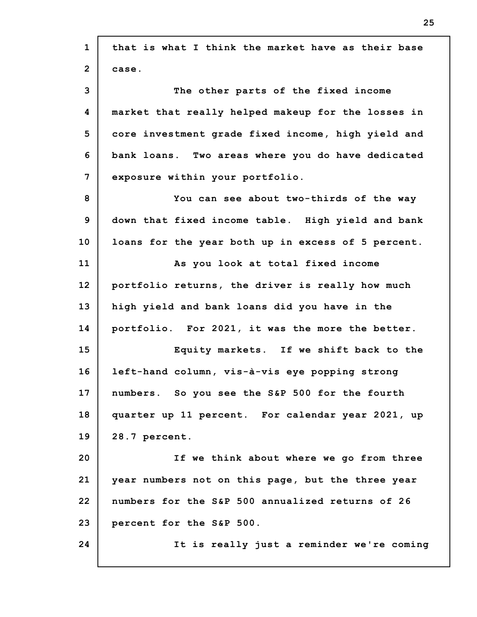| $\mathbf{1}$ | that is what I think the market have as their base |
|--------------|----------------------------------------------------|
| $\mathbf{2}$ | case.                                              |
| 3            | The other parts of the fixed income                |
| 4            | market that really helped makeup for the losses in |
| 5            | core investment grade fixed income, high yield and |
| 6            | bank loans. Two areas where you do have dedicated  |
| 7            | exposure within your portfolio.                    |
| 8            | You can see about two-thirds of the way            |
| 9            | down that fixed income table. High yield and bank  |
| 10           | loans for the year both up in excess of 5 percent. |
| 11           | As you look at total fixed income                  |
| 12           | portfolio returns, the driver is really how much   |
| 13           | high yield and bank loans did you have in the      |
| 14           | portfolio. For 2021, it was the more the better.   |
| 15           | Equity markets. If we shift back to the            |
| 16           | left-hand column, vis-à-vis eye popping strong     |
| 17           | numbers. So you see the S&P 500 for the fourth     |
| 18           | quarter up 11 percent. For calendar year 2021, up  |
| 19           | 28.7 percent.                                      |
| 20           | If we think about where we go from three           |
| 21           | year numbers not on this page, but the three year  |
| 22           | numbers for the S&P 500 annualized returns of 26   |
| 23           | percent for the S&P 500.                           |
| 24           | It is really just a reminder we're coming          |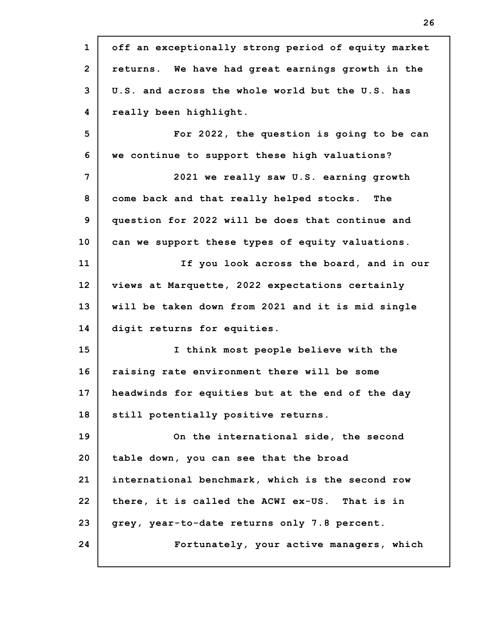| $\mathbf{1}$   | off an exceptionally strong period of equity market |
|----------------|-----------------------------------------------------|
| $\overline{2}$ | returns. We have had great earnings growth in the   |
| 3              | U.S. and across the whole world but the U.S. has    |
| 4              | really been highlight.                              |
| 5              | For 2022, the question is going to be can           |
| 6              | we continue to support these high valuations?       |
| 7              | 2021 we really saw U.S. earning growth              |
| 8              | come back and that really helped stocks. The        |
| 9              | question for 2022 will be does that continue and    |
| 10             | can we support these types of equity valuations.    |
| 11             | If you look across the board, and in our            |
| 12             | views at Marquette, 2022 expectations certainly     |
| 13             | will be taken down from 2021 and it is mid single   |
| 14             | digit returns for equities.                         |
| 15             | I think most people believe with the                |
| 16             | raising rate environment there will be some         |
| 17             | headwinds for equities but at the end of the day    |
| 18             | still potentially positive returns.                 |
| 19             | On the international side, the second               |
| 20             | table down, you can see that the broad              |
| 21             | international benchmark, which is the second row    |
| 22             | there, it is called the ACWI ex-US. That is in      |
| 23             | grey, year-to-date returns only 7.8 percent.        |
| 24             | Fortunately, your active managers, which            |
|                |                                                     |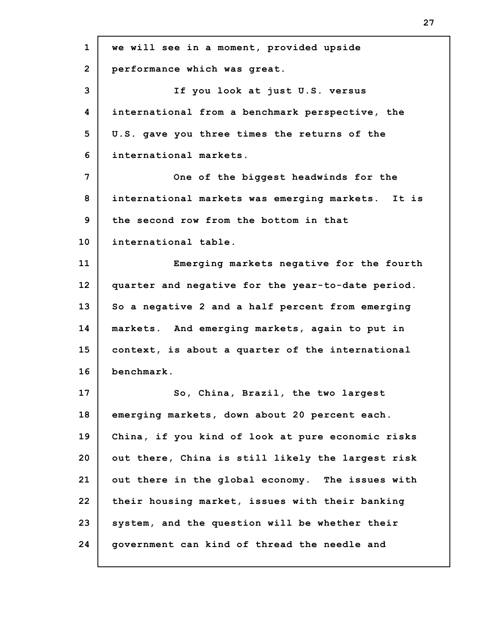| $\mathbf{1}$   | we will see in a moment, provided upside          |
|----------------|---------------------------------------------------|
| $\overline{2}$ | performance which was great.                      |
| 3              | If you look at just U.S. versus                   |
| 4              | international from a benchmark perspective, the   |
| 5              | U.S. gave you three times the returns of the      |
| 6              | international markets.                            |
| 7              | One of the biggest headwinds for the              |
| 8              | international markets was emerging markets. It is |
| 9              | the second row from the bottom in that            |
| 10             | international table.                              |
| 11             | Emerging markets negative for the fourth          |
| 12             | quarter and negative for the year-to-date period. |
| 13             | So a negative 2 and a half percent from emerging  |
| 14             | markets. And emerging markets, again to put in    |
| 15             | context, is about a quarter of the international  |
| 16             | benchmark.                                        |
| 17             | So, China, Brazil, the two largest                |
| 18             | emerging markets, down about 20 percent each.     |
| 19             | China, if you kind of look at pure economic risks |
| 20             | out there, China is still likely the largest risk |
| 21             | out there in the global economy. The issues with  |
| 22             | their housing market, issues with their banking   |
| 23             | system, and the question will be whether their    |
| 24             | government can kind of thread the needle and      |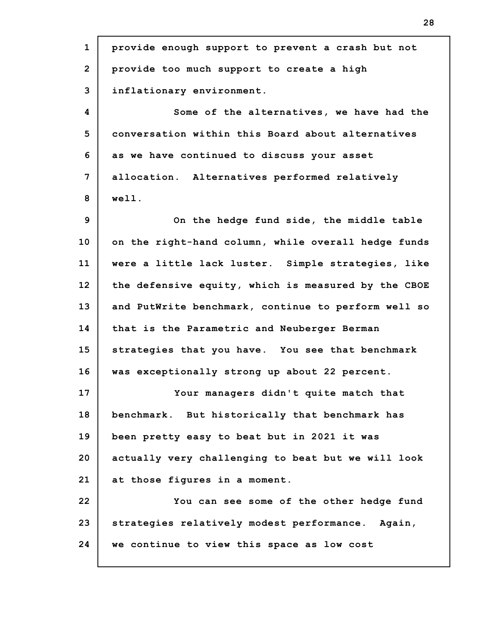| $\mathbf{1}$   | provide enough support to prevent a crash but not   |
|----------------|-----------------------------------------------------|
| $\overline{2}$ | provide too much support to create a high           |
| 3              | inflationary environment.                           |
| 4              | Some of the alternatives, we have had the           |
| 5              | conversation within this Board about alternatives   |
| 6              | as we have continued to discuss your asset          |
| 7              | allocation. Alternatives performed relatively       |
| 8              | well.                                               |
| 9              | On the hedge fund side, the middle table            |
| 10             | on the right-hand column, while overall hedge funds |
| 11             | were a little lack luster. Simple strategies, like  |
| 12             | the defensive equity, which is measured by the CBOE |
| 13             | and PutWrite benchmark, continue to perform well so |
| 14             | that is the Parametric and Neuberger Berman         |
| 15             | strategies that you have. You see that benchmark    |
| 16             | was exceptionally strong up about 22 percent.       |
| 17             | Your managers didn't quite match that               |
| 18             | benchmark. But historically that benchmark has      |
| 19             | been pretty easy to beat but in 2021 it was         |
| 20             | actually very challenging to beat but we will look  |
| 21             | at those figures in a moment.                       |
| 22             | You can see some of the other hedge fund            |
| 23             | strategies relatively modest performance. Again,    |
| 24             | we continue to view this space as low cost          |
|                |                                                     |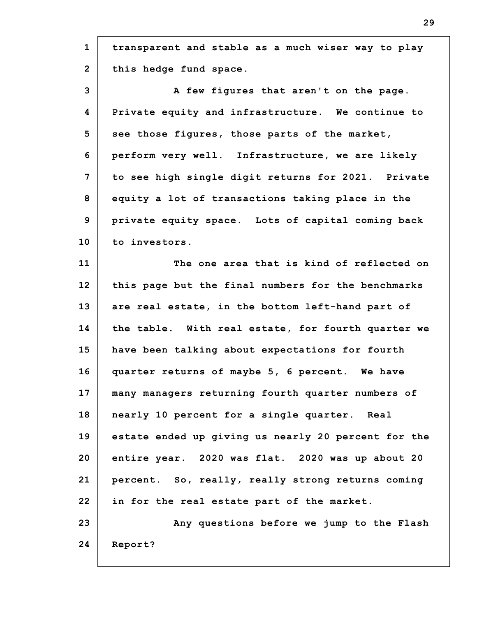| $\mathbf{1}$    | transparent and stable as a much wiser way to play  |
|-----------------|-----------------------------------------------------|
| $\overline{2}$  | this hedge fund space.                              |
| $\mathbf{3}$    | A few figures that aren't on the page.              |
| 4               | Private equity and infrastructure. We continue to   |
| 5               | see those figures, those parts of the market,       |
| 6               | perform very well. Infrastructure, we are likely    |
| 7               | to see high single digit returns for 2021. Private  |
| 8               | equity a lot of transactions taking place in the    |
| 9               | private equity space. Lots of capital coming back   |
| 10 <sub>1</sub> | to investors.                                       |
| 11              | The one area that is kind of reflected on           |
| 12              | this page but the final numbers for the benchmarks  |
| 13              | are real estate, in the bottom left-hand part of    |
| 14              | the table. With real estate, for fourth quarter we  |
| 15              | have been talking about expectations for fourth     |
| 16              | quarter returns of maybe 5, 6 percent. We have      |
| 17              | many managers returning fourth quarter numbers of   |
| 18              | nearly 10 percent for a single quarter. Real        |
| 19              | estate ended up giving us nearly 20 percent for the |
| 20              | entire year. 2020 was flat. 2020 was up about 20    |
| 21              | percent. So, really, really strong returns coming   |
| 22              | in for the real estate part of the market.          |
| 23              | Any questions before we jump to the Flash           |
| 24              | Report?                                             |
|                 |                                                     |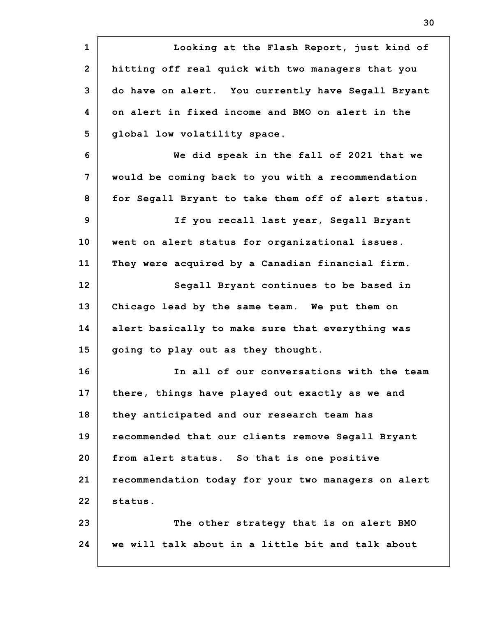**1 2 3 4 5 6 7 8 9 10 11 12 13 14 15 16 17 18 19 20 21 22 23 24 Looking at the Flash Report, just kind of hitting off real quick with two managers that you do have on alert. You currently have Segall Bryant on alert in fixed income and BMO on alert in the global low volatility space. We did speak in the fall of 2021 that we would be coming back to you with a recommendation for Segall Bryant to take them off of alert status. If you recall last year, Segall Bryant went on alert status for organizational issues. They were acquired by a Canadian financial firm. Segall Bryant continues to be based in Chicago lead by the same team. We put them on alert basically to make sure that everything was going to play out as they thought. In all of our conversations with the team there, things have played out exactly as we and they anticipated and our research team has recommended that our clients remove Segall Bryant from alert status. So that is one positive recommendation today for your two managers on alert status. The other strategy that is on alert BMO we will talk about in a little bit and talk about**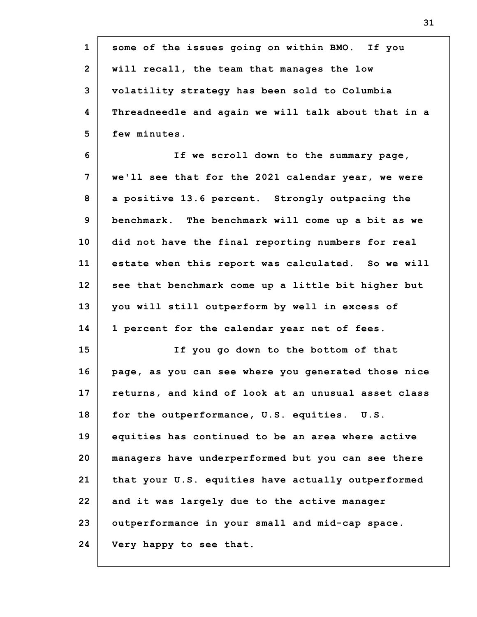| $\mathbf{1}$   | some of the issues going on within BMO. If you      |
|----------------|-----------------------------------------------------|
| $\overline{2}$ | will recall, the team that manages the low          |
| 3              | volatility strategy has been sold to Columbia       |
| 4              | Threadneedle and again we will talk about that in a |
| 5              | few minutes.                                        |
| 6              | If we scroll down to the summary page,              |
| 7              | we'll see that for the 2021 calendar year, we were  |
| 8              | a positive 13.6 percent. Strongly outpacing the     |
| 9              | benchmark. The benchmark will come up a bit as we   |
| 10             | did not have the final reporting numbers for real   |
| 11             | estate when this report was calculated. So we will  |
| 12             | see that benchmark come up a little bit higher but  |
| 13             | you will still outperform by well in excess of      |
| 14             | 1 percent for the calendar year net of fees.        |
| 15             | If you go down to the bottom of that                |
| 16             | page, as you can see where you generated those nice |
| 17             | returns, and kind of look at an unusual asset class |
| 18             | for the outperformance, U.S. equities. U.S.         |
| 19             | equities has continued to be an area where active   |
| 20             | managers have underperformed but you can see there  |
| 21             | that your U.S. equities have actually outperformed  |
| 22             | and it was largely due to the active manager        |
| 23             | outperformance in your small and mid-cap space.     |
| 24             | Very happy to see that.                             |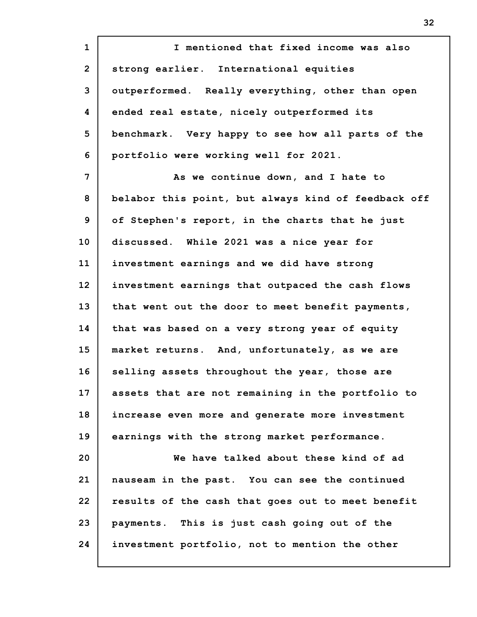**1 2 3 4 5 6 7 8 9 10 11 12 13 14 15 16 17 18 19 20 21 22 23 24 I mentioned that fixed income was also strong earlier. International equities outperformed. Really everything, other than open ended real estate, nicely outperformed its benchmark. Very happy to see how all parts of the portfolio were working well for 2021. As we continue down, and I hate to belabor this point, but always kind of feedback off of Stephen's report, in the charts that he just discussed. While 2021 was a nice year for investment earnings and we did have strong investment earnings that outpaced the cash flows that went out the door to meet benefit payments, that was based on a very strong year of equity market returns. And, unfortunately, as we are selling assets throughout the year, those are assets that are not remaining in the portfolio to increase even more and generate more investment earnings with the strong market performance. We have talked about these kind of ad nauseam in the past. You can see the continued results of the cash that goes out to meet benefit payments. This is just cash going out of the investment portfolio, not to mention the other**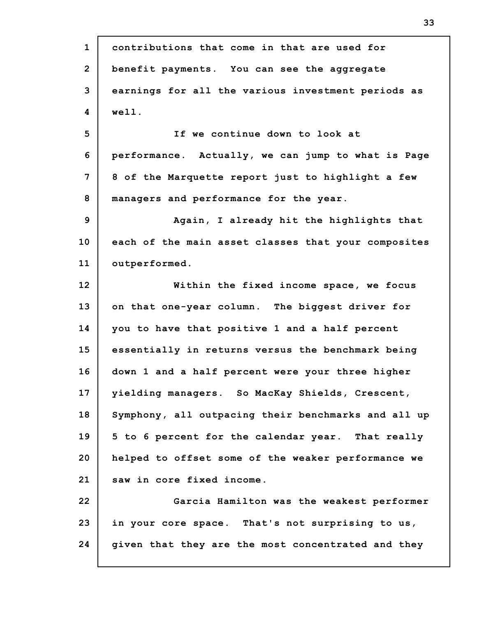**1 2 3 4 5 6 7 8 9 10 11 12 13 14 15 16 17 18 19 20 21 22 23 24 contributions that come in that are used for benefit payments. You can see the aggregate earnings for all the various investment periods as well. If we continue down to look at performance. Actually, we can jump to what is Page 8 of the Marquette report just to highlight a few managers and performance for the year. Again, I already hit the highlights that each of the main asset classes that your composites outperformed. Within the fixed income space, we focus on that one-year column. The biggest driver for you to have that positive 1 and a half percent essentially in returns versus the benchmark being down 1 and a half percent were your three higher yielding managers. So MacKay Shields, Crescent, Symphony, all outpacing their benchmarks and all up 5 to 6 percent for the calendar year. That really helped to offset some of the weaker performance we saw in core fixed income. Garcia Hamilton was the weakest performer in your core space. That's not surprising to us, given that they are the most concentrated and they**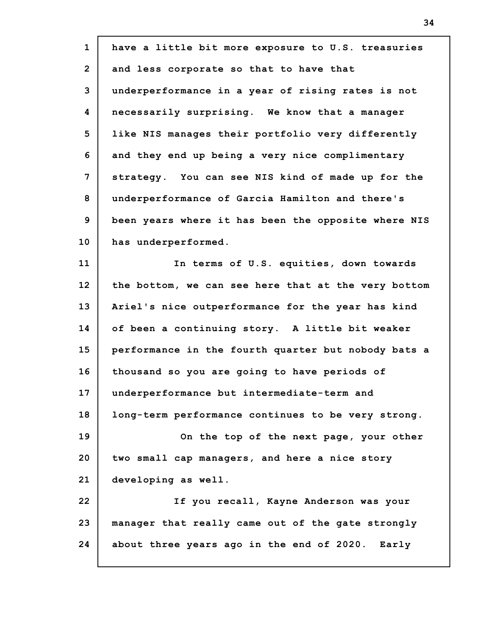| $\mathbf{1}$   | have a little bit more exposure to U.S. treasuries  |
|----------------|-----------------------------------------------------|
| $\overline{2}$ | and less corporate so that to have that             |
| 3              | underperformance in a year of rising rates is not   |
| 4              | necessarily surprising. We know that a manager      |
| 5              | like NIS manages their portfolio very differently   |
| 6              | and they end up being a very nice complimentary     |
| 7              | strategy. You can see NIS kind of made up for the   |
| 8              | underperformance of Garcia Hamilton and there's     |
| 9              | been years where it has been the opposite where NIS |
| 10             | has underperformed.                                 |
| 11             | In terms of U.S. equities, down towards             |
| 12             | the bottom, we can see here that at the very bottom |
| 13             | Ariel's nice outperformance for the year has kind   |
| 14             | of been a continuing story. A little bit weaker     |
| 15             | performance in the fourth quarter but nobody bats a |
| 16             | thousand so you are going to have periods of        |
| 17             | underperformance but intermediate-term and          |
| 18             | long-term performance continues to be very strong.  |
| 19             | On the top of the next page, your other             |
| 20             | two small cap managers, and here a nice story       |
| 21             | developing as well.                                 |
| 22             | If you recall, Kayne Anderson was your              |
| 23             | manager that really came out of the gate strongly   |
| 24             | about three years ago in the end of 2020. Early     |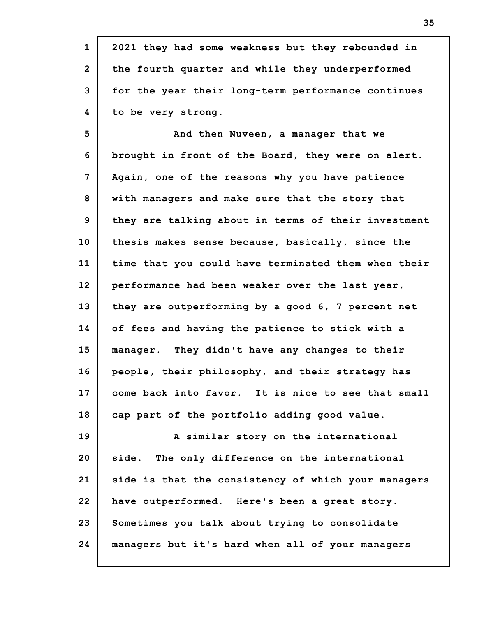| $\mathbf{1}$    | 2021 they had some weakness but they rebounded in   |
|-----------------|-----------------------------------------------------|
| $\overline{2}$  | the fourth quarter and while they underperformed    |
| 3               | for the year their long-term performance continues  |
| 4               | to be very strong.                                  |
| 5               | And then Nuveen, a manager that we                  |
| 6               | brought in front of the Board, they were on alert.  |
| 7               | Again, one of the reasons why you have patience     |
| 8               | with managers and make sure that the story that     |
| 9               | they are talking about in terms of their investment |
| 10 <sub>1</sub> | thesis makes sense because, basically, since the    |
| 11              | time that you could have terminated them when their |
| 12              | performance had been weaker over the last year,     |
| 13              | they are outperforming by a good 6, 7 percent net   |
| 14              | of fees and having the patience to stick with a     |
| 15              | manager. They didn't have any changes to their      |
| 16              | people, their philosophy, and their strategy has    |
| 17              | come back into favor. It is nice to see that small  |
| 18              | cap part of the portfolio adding good value.        |
| 19              | A similar story on the international                |
| 20              | side. The only difference on the international      |
| 21              | side is that the consistency of which your managers |
| 22              | have outperformed. Here's been a great story.       |
| 23              | Sometimes you talk about trying to consolidate      |
| 24              | managers but it's hard when all of your managers    |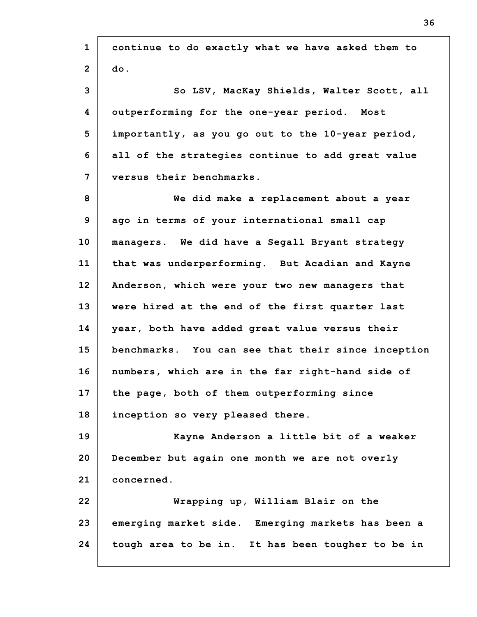**1 2 3 4 5 6 7 8 9 10 11 12 13 14 15 16 17 18 19 20 21 22 23 24 continue to do exactly what we have asked them to do. So LSV, MacKay Shields, Walter Scott, all outperforming for the one-year period. Most importantly, as you go out to the 10-year period, all of the strategies continue to add great value versus their benchmarks. We did make a replacement about a year ago in terms of your international small cap managers. We did have a Segall Bryant strategy that was underperforming. But Acadian and Kayne Anderson, which were your two new managers that were hired at the end of the first quarter last year, both have added great value versus their benchmarks. You can see that their since inception numbers, which are in the far right-hand side of the page, both of them outperforming since inception so very pleased there. Kayne Anderson a little bit of a weaker December but again one month we are not overly concerned. Wrapping up, William Blair on the emerging market side. Emerging markets has been a tough area to be in. It has been tougher to be in**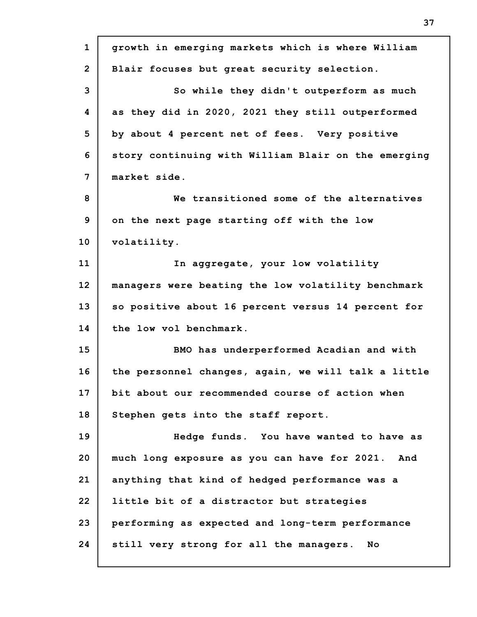| $\mathbf{1}$   | growth in emerging markets which is where William   |
|----------------|-----------------------------------------------------|
| $\overline{2}$ | Blair focuses but great security selection.         |
| 3              | So while they didn't outperform as much             |
| 4              | as they did in 2020, 2021 they still outperformed   |
| 5              | by about 4 percent net of fees. Very positive       |
| 6              | story continuing with William Blair on the emerging |
| $\overline{7}$ | market side.                                        |
| 8              | We transitioned some of the alternatives            |
| 9              | on the next page starting off with the low          |
| 10             | volatility.                                         |
| 11             | In aggregate, your low volatility                   |
| 12             | managers were beating the low volatility benchmark  |
| 13             | so positive about 16 percent versus 14 percent for  |
| 14             | the low vol benchmark.                              |
| 15             | BMO has underperformed Acadian and with             |
| 16             | the personnel changes, again, we will talk a little |
| 17             | bit about our recommended course of action when     |
| 18             | Stephen gets into the staff report.                 |
| 19             | Hedge funds. You have wanted to have as             |
| 20             | much long exposure as you can have for 2021. And    |
| 21             | anything that kind of hedged performance was a      |
| 22             | little bit of a distractor but strategies           |
| 23             | performing as expected and long-term performance    |
| 24             | still very strong for all the managers.<br>No       |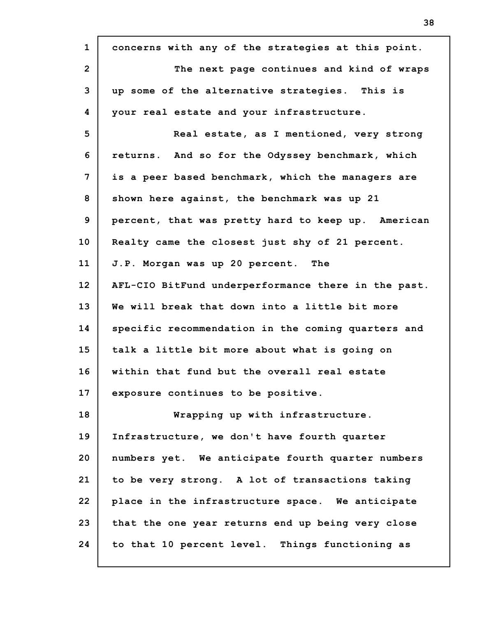| $\mathbf{1}$   | concerns with any of the strategies at this point.  |
|----------------|-----------------------------------------------------|
| $\overline{2}$ | The next page continues and kind of wraps           |
| 3              | up some of the alternative strategies. This is      |
| 4              | your real estate and your infrastructure.           |
| 5              | Real estate, as I mentioned, very strong            |
| 6              | returns. And so for the Odyssey benchmark, which    |
| 7              | is a peer based benchmark, which the managers are   |
| 8              | shown here against, the benchmark was up 21         |
| 9              | percent, that was pretty hard to keep up. American  |
| 10             | Realty came the closest just shy of 21 percent.     |
| 11             | J.P. Morgan was up 20 percent. The                  |
| 12             | AFL-CIO BitFund underperformance there in the past. |
| 13             | We will break that down into a little bit more      |
| 14             | specific recommendation in the coming quarters and  |
| 15             | talk a little bit more about what is going on       |
| 16             | within that fund but the overall real estate        |
| 17             | exposure continues to be positive.                  |
| 18             | Wrapping up with infrastructure.                    |
| 19             | Infrastructure, we don't have fourth quarter        |
| 20             | numbers yet. We anticipate fourth quarter numbers   |
| 21             | to be very strong. A lot of transactions taking     |
| 22             | place in the infrastructure space. We anticipate    |
| 23             | that the one year returns end up being very close   |
| 24             | to that 10 percent level. Things functioning as     |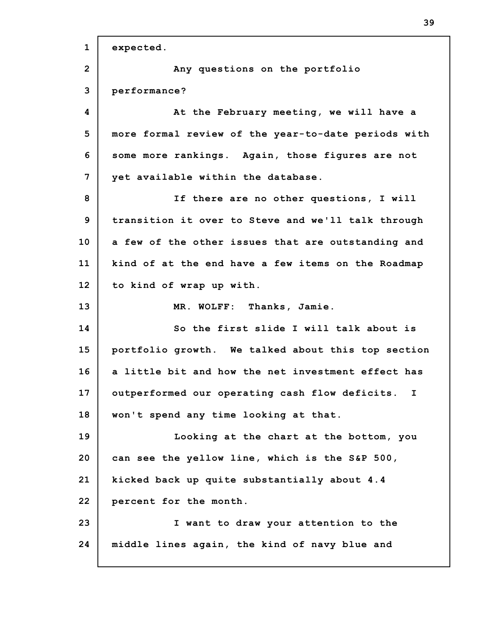**1 2 3 4 5 6 7 8 9 10 11 12 13 14 15 16 17 18 19 20 21 22 23 24 expected. Any questions on the portfolio performance? At the February meeting, we will have a more formal review of the year-to-date periods with some more rankings. Again, those figures are not yet available within the database. If there are no other questions, I will transition it over to Steve and we'll talk through a few of the other issues that are outstanding and kind of at the end have a few items on the Roadmap to kind of wrap up with. MR. WOLFF: Thanks, Jamie. So the first slide I will talk about is portfolio growth. We talked about this top section a little bit and how the net investment effect has outperformed our operating cash flow deficits. I won't spend any time looking at that. Looking at the chart at the bottom, you can see the yellow line, which is the S&P 500, kicked back up quite substantially about 4.4 percent for the month. I want to draw your attention to the middle lines again, the kind of navy blue and**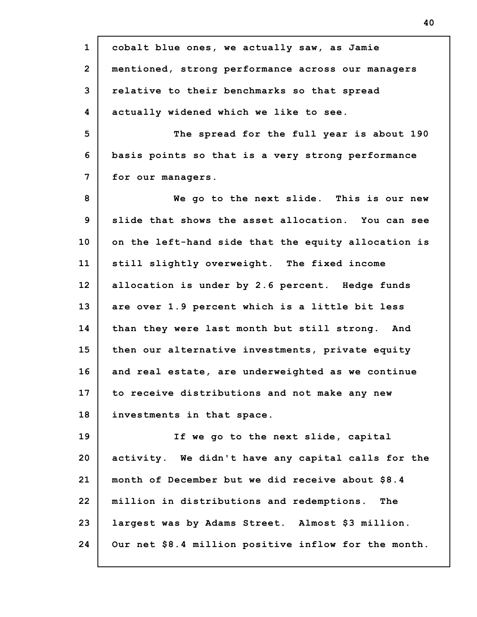**1 2 3 4 5 6 7 8 9 10 11 12 13 14 15 16 17 18 19 20 21 22 23 24 cobalt blue ones, we actually saw, as Jamie mentioned, strong performance across our managers relative to their benchmarks so that spread actually widened which we like to see. The spread for the full year is about 190 basis points so that is a very strong performance for our managers. We go to the next slide. This is our new slide that shows the asset allocation. You can see on the left-hand side that the equity allocation is still slightly overweight. The fixed income allocation is under by 2.6 percent. Hedge funds are over 1.9 percent which is a little bit less than they were last month but still strong. And then our alternative investments, private equity and real estate, are underweighted as we continue to receive distributions and not make any new investments in that space. If we go to the next slide, capital activity. We didn't have any capital calls for the month of December but we did receive about \$8.4 million in distributions and redemptions. The largest was by Adams Street. Almost \$3 million. Our net \$8.4 million positive inflow for the month.**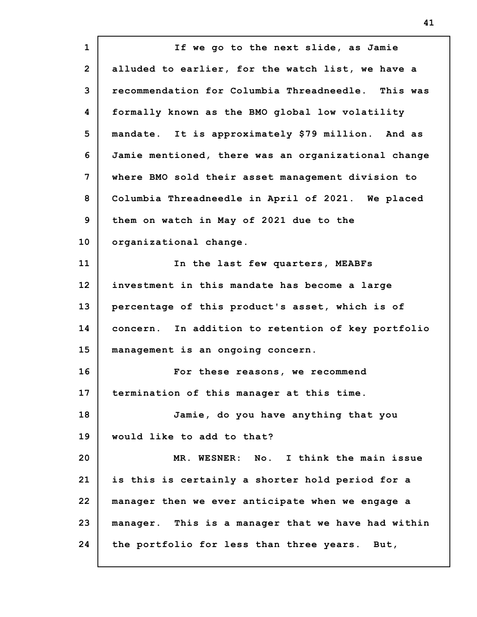**1 2 3 4 5 6 7 8 9 10 11 12 13 14 15 16 17 18 19 20 21 22 23 24 If we go to the next slide, as Jamie alluded to earlier, for the watch list, we have a recommendation for Columbia Threadneedle. This was formally known as the BMO global low volatility mandate. It is approximately \$79 million. And as Jamie mentioned, there was an organizational change where BMO sold their asset management division to Columbia Threadneedle in April of 2021. We placed them on watch in May of 2021 due to the organizational change. In the last few quarters, MEABFs investment in this mandate has become a large percentage of this product's asset, which is of concern. In addition to retention of key portfolio management is an ongoing concern. For these reasons, we recommend termination of this manager at this time. Jamie, do you have anything that you would like to add to that? MR. WESNER: No. I think the main issue is this is certainly a shorter hold period for a manager then we ever anticipate when we engage a manager. This is a manager that we have had within the portfolio for less than three years. But,**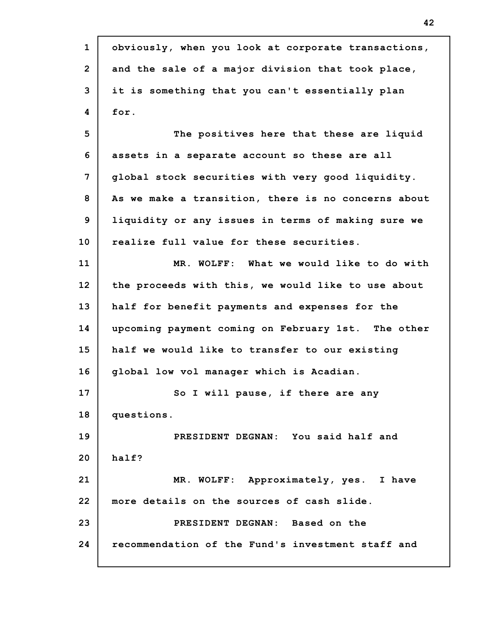| $\mathbf{1}$   | obviously, when you look at corporate transactions, |
|----------------|-----------------------------------------------------|
|                |                                                     |
| $\overline{2}$ | and the sale of a major division that took place,   |
| 3              | it is something that you can't essentially plan     |
| 4              | for.                                                |
| 5              | The positives here that these are liquid            |
| 6              | assets in a separate account so these are all       |
| $\overline{7}$ | global stock securities with very good liquidity.   |
| 8              | As we make a transition, there is no concerns about |
| $\mathbf{9}$   | liquidity or any issues in terms of making sure we  |
| 10             | realize full value for these securities.            |
| 11             | MR. WOLFF: What we would like to do with            |
| 12             | the proceeds with this, we would like to use about  |
| 13             | half for benefit payments and expenses for the      |
| 14             | upcoming payment coming on February 1st. The other  |
| 15             | half we would like to transfer to our existing      |
| 16             | global low vol manager which is Acadian.            |
| 17             | So I will pause, if there are any                   |
| 18             | questions.                                          |
| 19             | PRESIDENT DEGNAN: You said half and                 |
| 20             | half?                                               |
| 21             | MR. WOLFF: Approximately, yes. I have               |
| 22             | more details on the sources of cash slide.          |
| 23             | PRESIDENT DEGNAN: Based on the                      |
| 24             | recommendation of the Fund's investment staff and   |
|                |                                                     |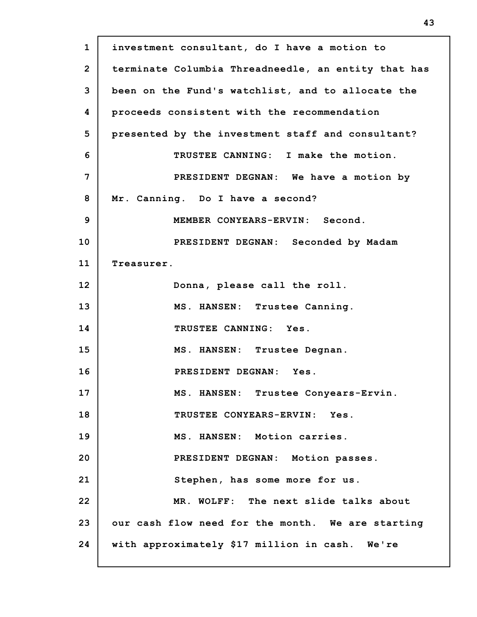**1 2 3 4 5 6 7 8 9 10 11 12 13 14 15 16 17 18 19 20 21 22 23 24 investment consultant, do I have a motion to terminate Columbia Threadneedle, an entity that has been on the Fund's watchlist, and to allocate the proceeds consistent with the recommendation presented by the investment staff and consultant? TRUSTEE CANNING: I make the motion. PRESIDENT DEGNAN: We have a motion by Mr. Canning. Do I have a second? MEMBER CONYEARS-ERVIN: Second. PRESIDENT DEGNAN: Seconded by Madam Treasurer. Donna, please call the roll. MS. HANSEN: Trustee Canning. TRUSTEE CANNING: Yes. MS. HANSEN: Trustee Degnan. PRESIDENT DEGNAN: Yes. MS. HANSEN: Trustee Conyears-Ervin. TRUSTEE CONYEARS-ERVIN: Yes. MS. HANSEN: Motion carries. PRESIDENT DEGNAN: Motion passes. Stephen, has some more for us. MR. WOLFF: The next slide talks about our cash flow need for the month. We are starting with approximately \$17 million in cash. We're**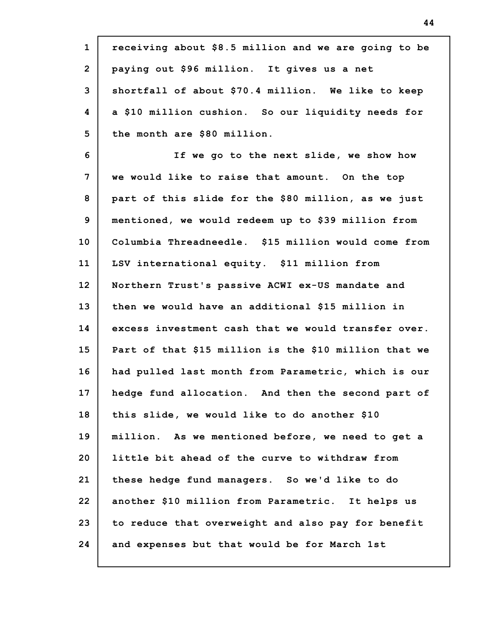| $\mathbf{1}$   | receiving about \$8.5 million and we are going to be  |
|----------------|-------------------------------------------------------|
| $\overline{2}$ | paying out \$96 million. It gives us a net            |
| 3              | shortfall of about \$70.4 million. We like to keep    |
| 4              | a \$10 million cushion. So our liquidity needs for    |
| 5              | the month are \$80 million.                           |
| 6              | If we go to the next slide, we show how               |
| 7              | we would like to raise that amount. On the top        |
| 8              | part of this slide for the \$80 million, as we just   |
| 9              | mentioned, we would redeem up to \$39 million from    |
| 10             | Columbia Threadneedle. \$15 million would come from   |
| 11             | LSV international equity. \$11 million from           |
| 12             | Northern Trust's passive ACWI ex-US mandate and       |
| 13             | then we would have an additional \$15 million in      |
| 14             | excess investment cash that we would transfer over.   |
| 15             | Part of that \$15 million is the \$10 million that we |
| 16             | had pulled last month from Parametric, which is our   |
| 17             | hedge fund allocation. And then the second part of    |
| 18             | this slide, we would like to do another \$10          |
| 19             | million. As we mentioned before, we need to get a     |
| 20             | little bit ahead of the curve to withdraw from        |
| 21             | these hedge fund managers. So we'd like to do         |
| 22             | another \$10 million from Parametric. It helps us     |
| 23             | to reduce that overweight and also pay for benefit    |
| 24             | and expenses but that would be for March 1st          |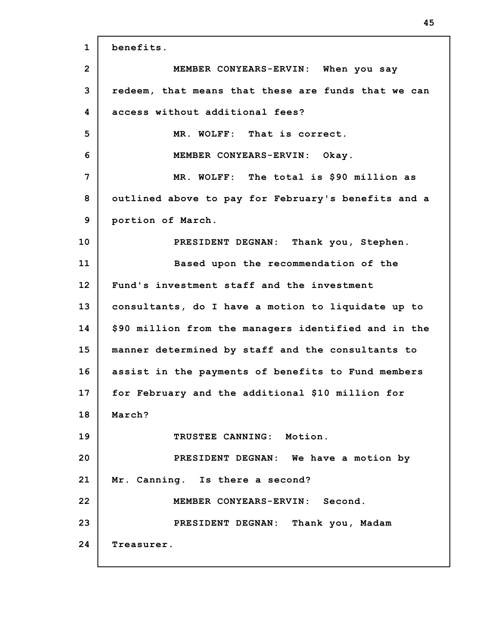**1 2 3 4 5 6 7 8 9 10 11 12 13 14 15 16 17 18 19 20 21 22 23 24 benefits. MEMBER CONYEARS-ERVIN: When you say redeem, that means that these are funds that we can access without additional fees? MR. WOLFF: That is correct. MEMBER CONYEARS-ERVIN: Okay. MR. WOLFF: The total is \$90 million as outlined above to pay for February's benefits and a portion of March. PRESIDENT DEGNAN: Thank you, Stephen. Based upon the recommendation of the Fund's investment staff and the investment consultants, do I have a motion to liquidate up to \$90 million from the managers identified and in the manner determined by staff and the consultants to assist in the payments of benefits to Fund members for February and the additional \$10 million for March? TRUSTEE CANNING: Motion. PRESIDENT DEGNAN: We have a motion by Mr. Canning. Is there a second? MEMBER CONYEARS-ERVIN: Second. PRESIDENT DEGNAN: Thank you, Madam Treasurer.**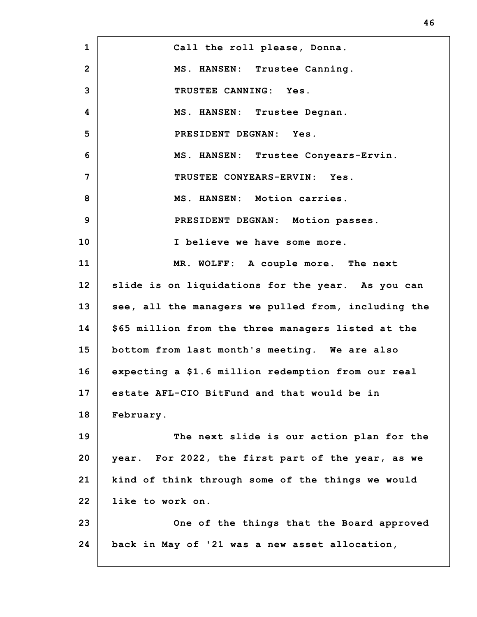**1 2 3 4 5 6 7 8 9 10 11 12 13 14 15 16 17 18 19 20 21 22 23 24 Call the roll please, Donna. MS. HANSEN: Trustee Canning. TRUSTEE CANNING: Yes. MS. HANSEN: Trustee Degnan. PRESIDENT DEGNAN: Yes. MS. HANSEN: Trustee Conyears-Ervin. TRUSTEE CONYEARS-ERVIN: Yes. MS. HANSEN: Motion carries. PRESIDENT DEGNAN: Motion passes. I believe we have some more. MR. WOLFF: A couple more. The next slide is on liquidations for the year. As you can see, all the managers we pulled from, including the \$65 million from the three managers listed at the bottom from last month's meeting. We are also expecting a \$1.6 million redemption from our real estate AFL-CIO BitFund and that would be in February. The next slide is our action plan for the year. For 2022, the first part of the year, as we kind of think through some of the things we would like to work on. One of the things that the Board approved back in May of '21 was a new asset allocation,**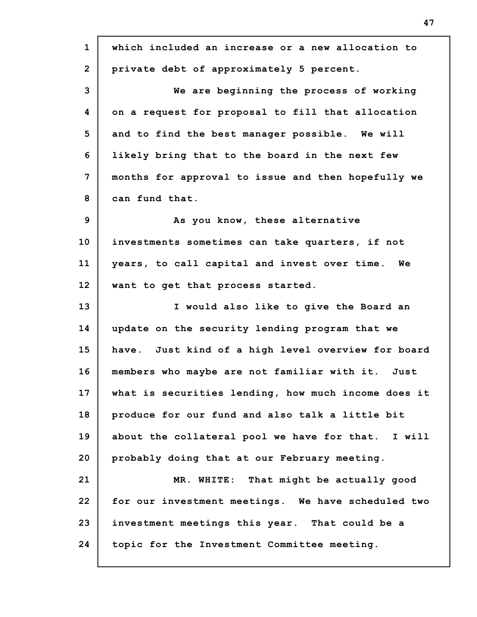| $\mathbf{1}$   | which included an increase or a new allocation to   |
|----------------|-----------------------------------------------------|
| $\overline{2}$ | private debt of approximately 5 percent.            |
| 3              | We are beginning the process of working             |
| 4              | on a request for proposal to fill that allocation   |
| 5              | and to find the best manager possible. We will      |
| 6              | likely bring that to the board in the next few      |
| 7              | months for approval to issue and then hopefully we  |
| 8              | can fund that.                                      |
| 9              | As you know, these alternative                      |
| 10             | investments sometimes can take quarters, if not     |
| 11             | years, to call capital and invest over time. We     |
| 12             | want to get that process started.                   |
| 13             | I would also like to give the Board an              |
| 14             | update on the security lending program that we      |
| 15             | have. Just kind of a high level overview for board  |
| 16             | members who maybe are not familiar with it. Just    |
| 17             | what is securities lending, how much income does it |
| 18             | produce for our fund and also talk a little bit     |
| 19             | about the collateral pool we have for that. I will  |
| 20             | probably doing that at our February meeting.        |
| 21             | MR. WHITE: That might be actually good              |
| 22             | for our investment meetings. We have scheduled two  |
| 23             | investment meetings this year. That could be a      |
| 24             | topic for the Investment Committee meeting.         |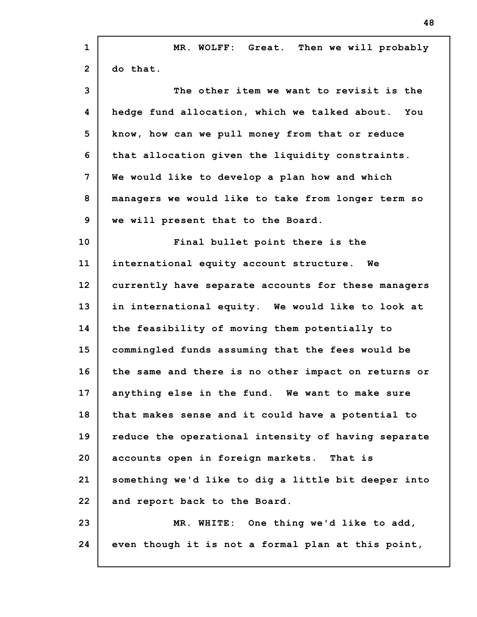| $\mathbf{1}$   | MR. WOLFF: Great. Then we will probably             |
|----------------|-----------------------------------------------------|
| $\overline{2}$ | do that.                                            |
| 3              | The other item we want to revisit is the            |
| 4              | hedge fund allocation, which we talked about. You   |
| 5              | know, how can we pull money from that or reduce     |
| 6              | that allocation given the liquidity constraints.    |
| $\overline{7}$ | We would like to develop a plan how and which       |
| 8              | managers we would like to take from longer term so  |
| 9              | we will present that to the Board.                  |
| 10             | Final bullet point there is the                     |
| 11             | international equity account structure. We          |
| 12             | currently have separate accounts for these managers |
| 13             | in international equity. We would like to look at   |
| 14             | the feasibility of moving them potentially to       |
| 15             | commingled funds assuming that the fees would be    |
| 16             | the same and there is no other impact on returns or |
| 17             | anything else in the fund. We want to make sure     |
| 18             | that makes sense and it could have a potential to   |
| 19             | reduce the operational intensity of having separate |
| 20             | accounts open in foreign markets. That is           |
| 21             | something we'd like to dig a little bit deeper into |
| 22             | and report back to the Board.                       |
| 23             | MR. WHITE: One thing we'd like to add,              |
| 24             | even though it is not a formal plan at this point,  |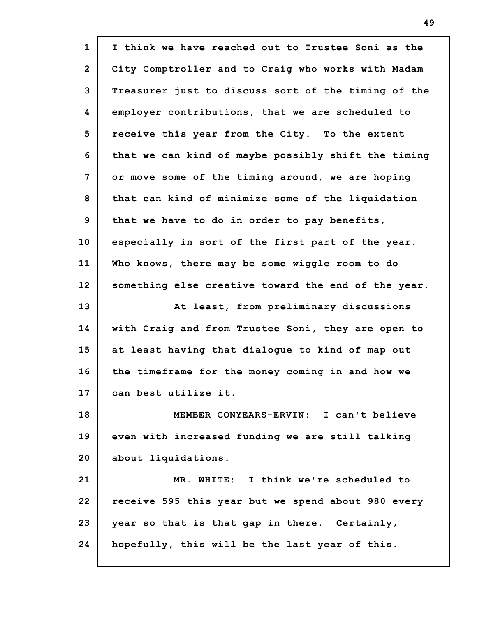| $\mathbf{1}$   | I think we have reached out to Trustee Soni as the  |
|----------------|-----------------------------------------------------|
| $\overline{2}$ | City Comptroller and to Craig who works with Madam  |
| 3              | Treasurer just to discuss sort of the timing of the |
| 4              | employer contributions, that we are scheduled to    |
| 5              | receive this year from the City. To the extent      |
| 6              | that we can kind of maybe possibly shift the timing |
| 7              | or move some of the timing around, we are hoping    |
| 8              | that can kind of minimize some of the liquidation   |
| 9              | that we have to do in order to pay benefits,        |
| 10             | especially in sort of the first part of the year.   |
| 11             | Who knows, there may be some wiggle room to do      |
| 12             | something else creative toward the end of the year. |
| 13             | At least, from preliminary discussions              |
| 14             | with Craig and from Trustee Soni, they are open to  |
| 15             | at least having that dialogue to kind of map out    |
|                |                                                     |
| 16             | the timeframe for the money coming in and how we    |
| 17             | can best utilize it.                                |
| 18             | MEMBER CONYEARS-ERVIN: I can't believe              |
| 19             | even with increased funding we are still talking    |
| 20             | about liquidations.                                 |
| 21             | MR. WHITE: I think we're scheduled to               |
| 22             | receive 595 this year but we spend about 980 every  |
| 23             | year so that is that gap in there. Certainly,       |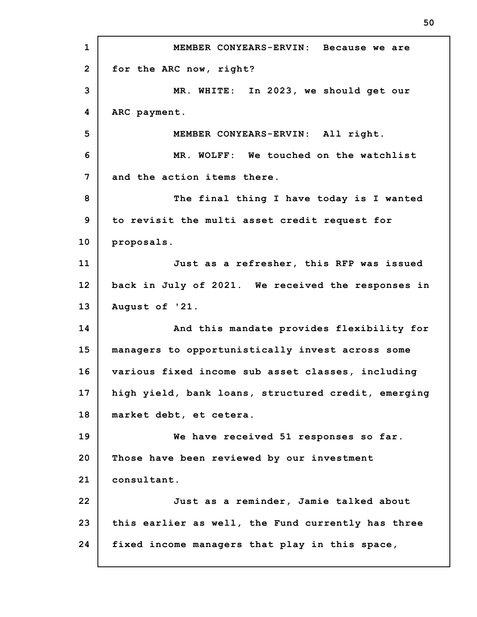**1 2 3 4 5 6 7 8 9 10 11 12 13 14 15 16 17 18 19 20 21 22 23 24 MEMBER CONYEARS-ERVIN: Because we are for the ARC now, right? MR. WHITE: In 2023, we should get our ARC payment. MEMBER CONYEARS-ERVIN: All right. MR. WOLFF: We touched on the watchlist and the action items there. The final thing I have today is I wanted to revisit the multi asset credit request for proposals. Just as a refresher, this RFP was issued back in July of 2021. We received the responses in August of '21. And this mandate provides flexibility for managers to opportunistically invest across some various fixed income sub asset classes, including high yield, bank loans, structured credit, emerging market debt, et cetera. We have received 51 responses so far. Those have been reviewed by our investment consultant. Just as a reminder, Jamie talked about this earlier as well, the Fund currently has three fixed income managers that play in this space,**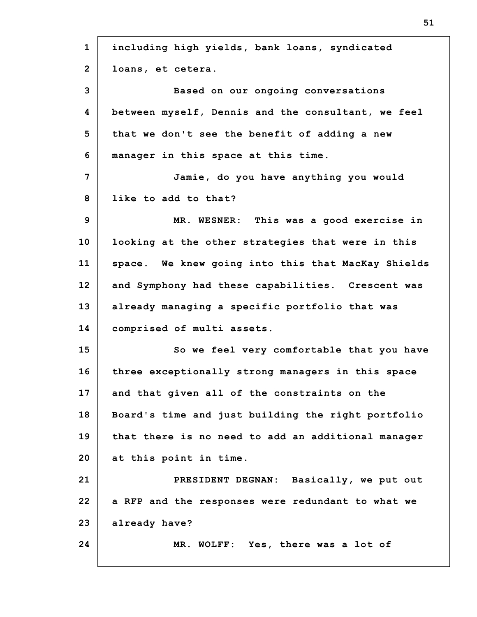| $\mathbf{1}$   | including high yields, bank loans, syndicated      |
|----------------|----------------------------------------------------|
| $\mathbf{2}$   | loans, et cetera.                                  |
| 3              | Based on our ongoing conversations                 |
| 4              | between myself, Dennis and the consultant, we feel |
| 5              | that we don't see the benefit of adding a new      |
| 6              | manager in this space at this time.                |
| $\overline{7}$ | Jamie, do you have anything you would              |
| 8              | like to add to that?                               |
| 9              | MR. WESNER: This was a good exercise in            |
| 10             | looking at the other strategies that were in this  |
| 11             | space. We knew going into this that MacKay Shields |
| 12             | and Symphony had these capabilities. Crescent was  |
| 13             | already managing a specific portfolio that was     |
| 14             | comprised of multi assets.                         |
| 15             | So we feel very comfortable that you have          |
| 16             | three exceptionally strong managers in this space  |
| 17             | and that given all of the constraints on the       |
| 18             | Board's time and just building the right portfolio |
| 19             | that there is no need to add an additional manager |
| 20             | at this point in time.                             |
| 21             | PRESIDENT DEGNAN: Basically, we put out            |
| 22             | a RFP and the responses were redundant to what we  |
| 23             | already have?                                      |
| 24             | MR. WOLFF: Yes, there was a lot of                 |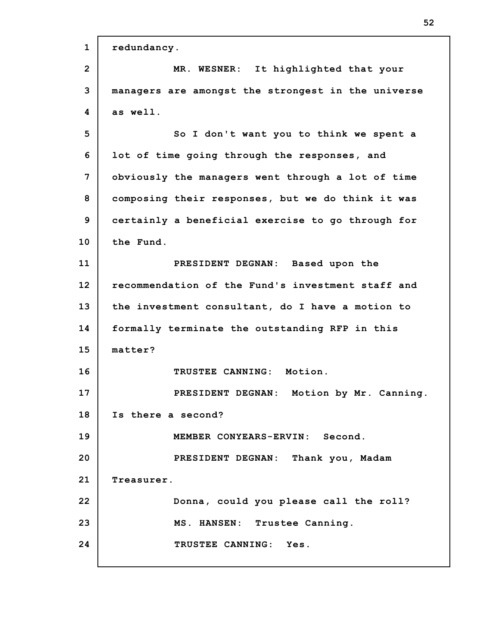| $\mathbf{1}$   | redundancy.                                        |
|----------------|----------------------------------------------------|
| $\overline{2}$ | MR. WESNER: It highlighted that your               |
| 3              | managers are amongst the strongest in the universe |
| 4              | as well.                                           |
| 5              | So I don't want you to think we spent a            |
| 6              | lot of time going through the responses, and       |
| 7              | obviously the managers went through a lot of time  |
| 8              | composing their responses, but we do think it was  |
| 9              | certainly a beneficial exercise to go through for  |
| 10             | the Fund.                                          |
| 11             | PRESIDENT DEGNAN: Based upon the                   |
| 12             | recommendation of the Fund's investment staff and  |
| 13             | the investment consultant, do I have a motion to   |
| 14             | formally terminate the outstanding RFP in this     |
| 15             | matter?                                            |
| 16             | TRUSTEE CANNING: Motion.                           |
| 17             | PRESIDENT DEGNAN: Motion by Mr. Canning.           |
| 18             | Is there a second?                                 |
| 19             | MEMBER CONYEARS-ERVIN: Second.                     |
| 20             | PRESIDENT DEGNAN: Thank you, Madam                 |
| 21             | Treasurer.                                         |
| 22             | Donna, could you please call the roll?             |
| 23             | MS. HANSEN: Trustee Canning.                       |
| 24             | TRUSTEE CANNING: Yes.                              |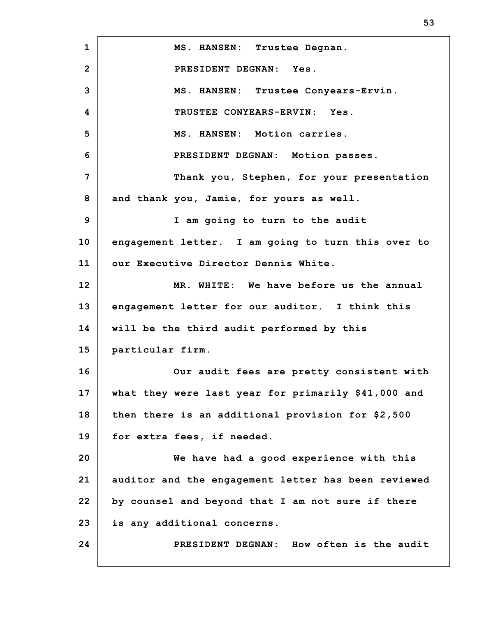**1 2 3 4 5 6 7 8 9 10 11 12 13 14 15 16 17 18 19 20 21 22 23 24 MS. HANSEN: Trustee Degnan. PRESIDENT DEGNAN: Yes. MS. HANSEN: Trustee Conyears-Ervin. TRUSTEE CONYEARS-ERVIN: Yes. MS. HANSEN: Motion carries. PRESIDENT DEGNAN: Motion passes. Thank you, Stephen, for your presentation and thank you, Jamie, for yours as well. I am going to turn to the audit engagement letter. I am going to turn this over to our Executive Director Dennis White. MR. WHITE: We have before us the annual engagement letter for our auditor. I think this will be the third audit performed by this particular firm. Our audit fees are pretty consistent with what they were last year for primarily \$41,000 and then there is an additional provision for \$2,500 for extra fees, if needed. We have had a good experience with this auditor and the engagement letter has been reviewed by counsel and beyond that I am not sure if there is any additional concerns. PRESIDENT DEGNAN: How often is the audit**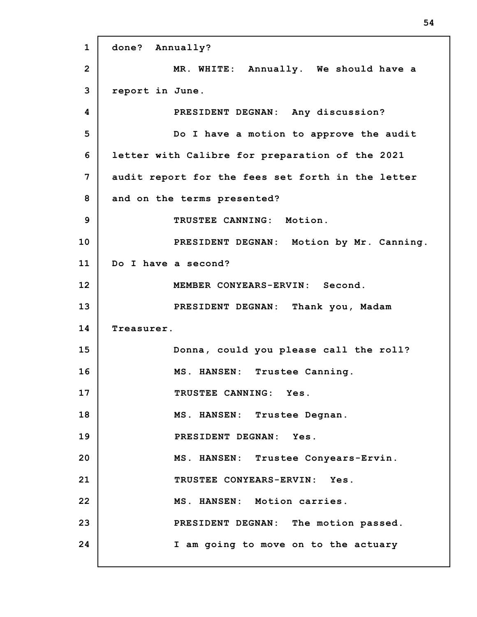**1 2 3 4 5 6 7 8 9 10 11 12 13 14 15 16 17 18 19 20 21 22 23 24 done? Annually? MR. WHITE: Annually. We should have a report in June. PRESIDENT DEGNAN: Any discussion? Do I have a motion to approve the audit letter with Calibre for preparation of the 2021 audit report for the fees set forth in the letter and on the terms presented? TRUSTEE CANNING: Motion. PRESIDENT DEGNAN: Motion by Mr. Canning. Do I have a second? MEMBER CONYEARS-ERVIN: Second. PRESIDENT DEGNAN: Thank you, Madam Treasurer. Donna, could you please call the roll? MS. HANSEN: Trustee Canning. TRUSTEE CANNING: Yes. MS. HANSEN: Trustee Degnan. PRESIDENT DEGNAN: Yes. MS. HANSEN: Trustee Conyears-Ervin. TRUSTEE CONYEARS-ERVIN: Yes. MS. HANSEN: Motion carries. PRESIDENT DEGNAN: The motion passed. I am going to move on to the actuary**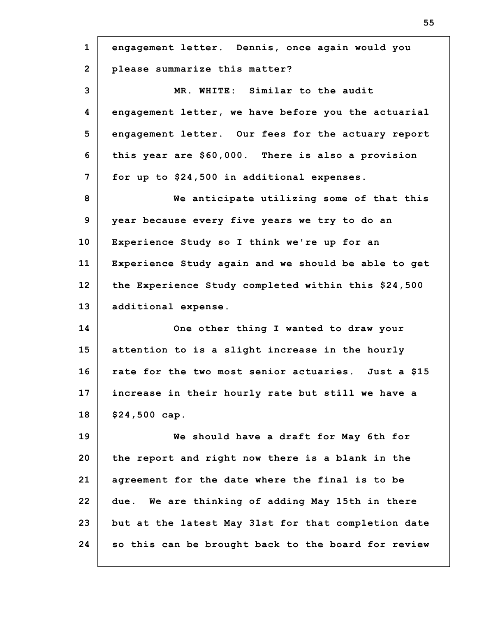| $\mathbf{1}$   | engagement letter. Dennis, once again would you     |
|----------------|-----------------------------------------------------|
| $\overline{2}$ | please summarize this matter?                       |
| 3              | MR. WHITE: Similar to the audit                     |
| 4              | engagement letter, we have before you the actuarial |
| 5              | engagement letter. Our fees for the actuary report  |
| 6              | this year are \$60,000. There is also a provision   |
| 7              | for up to \$24,500 in additional expenses.          |
| 8              | We anticipate utilizing some of that this           |
| 9              | year because every five years we try to do an       |
| 10             | Experience Study so I think we're up for an         |
| 11             | Experience Study again and we should be able to get |
| 12             | the Experience Study completed within this \$24,500 |
| 13             | additional expense.                                 |
| 14             | One other thing I wanted to draw your               |
| 15             | attention to is a slight increase in the hourly     |
| 16             | rate for the two most senior actuaries. Just a \$15 |
| 17             | increase in their hourly rate but still we have a   |
| 18             | $$24,500$ cap.                                      |
| 19             | We should have a draft for May 6th for              |
| 20             | the report and right now there is a blank in the    |
| 21             | agreement for the date where the final is to be     |
| 22             | due. We are thinking of adding May 15th in there    |
| 23             | but at the latest May 31st for that completion date |
| 24             | so this can be brought back to the board for review |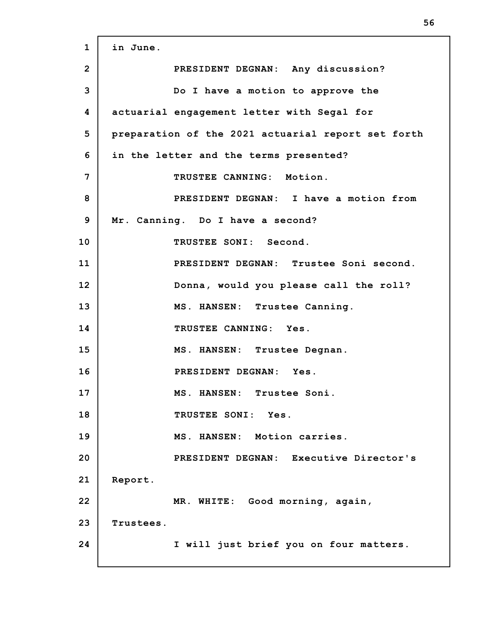| $\mathbf{1}$ | in June.                                           |
|--------------|----------------------------------------------------|
| $\mathbf{2}$ | PRESIDENT DEGNAN: Any discussion?                  |
| 3            | Do I have a motion to approve the                  |
| 4            | actuarial engagement letter with Segal for         |
| 5            | preparation of the 2021 actuarial report set forth |
| 6            | in the letter and the terms presented?             |
| 7            | TRUSTEE CANNING: Motion.                           |
| 8            | PRESIDENT DEGNAN: I have a motion from             |
| 9            | Mr. Canning. Do I have a second?                   |
| 10           | TRUSTEE SONI: Second.                              |
| 11           | PRESIDENT DEGNAN: Trustee Soni second.             |
| 12           | Donna, would you please call the roll?             |
| 13           | MS. HANSEN: Trustee Canning.                       |
| 14           | TRUSTEE CANNING: Yes.                              |
| 15           | MS. HANSEN: Trustee Degnan.                        |
| 16           | PRESIDENT DEGNAN: Yes.                             |
| 17           | MS. HANSEN: Trustee Soni.                          |
| 18           | TRUSTEE SONI: Yes.                                 |
| 19           | MS. HANSEN: Motion carries.                        |
| 20           | PRESIDENT DEGNAN: Executive Director's             |
| 21           | Report.                                            |
| 22           | MR. WHITE: Good morning, again,                    |
| 23           | Trustees.                                          |
| 24           | I will just brief you on four matters.             |
|              |                                                    |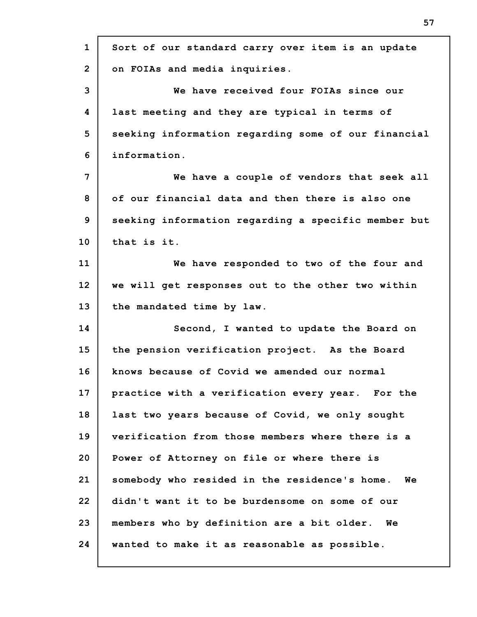| $\mathbf{1}$ | Sort of our standard carry over item is an update   |
|--------------|-----------------------------------------------------|
| $\mathbf{2}$ | on FOIAs and media inquiries.                       |
| 3            | We have received four FOIAs since our               |
| 4            | last meeting and they are typical in terms of       |
| 5            | seeking information regarding some of our financial |
| 6            | information.                                        |
| 7            | We have a couple of vendors that seek all           |
| 8            | of our financial data and then there is also one    |
| 9            | seeking information regarding a specific member but |
| 10           | that is it.                                         |
| 11           | We have responded to two of the four and            |
| 12           | we will get responses out to the other two within   |
| 13           | the mandated time by law.                           |
| 14           | Second, I wanted to update the Board on             |
| 15           | the pension verification project. As the Board      |
| 16           | knows because of Covid we amended our normal        |
| 17           | practice with a verification every year. For the    |
| 18           | last two years because of Covid, we only sought     |
| 19           | verification from those members where there is a    |
| 20           | Power of Attorney on file or where there is         |
| 21           | somebody who resided in the residence's home.<br>Wе |
| 22           | didn't want it to be burdensome on some of our      |
| 23           | members who by definition are a bit older.<br>We    |
| 24           | wanted to make it as reasonable as possible.        |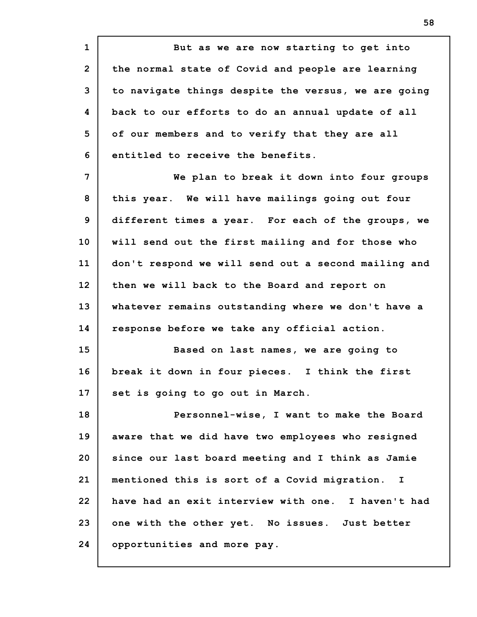**1 2 3 4 5 6 7 8 9 10 11 12 13 14 15 16 17 18 19 20 21 22 23 24 But as we are now starting to get into the normal state of Covid and people are learning to navigate things despite the versus, we are going back to our efforts to do an annual update of all of our members and to verify that they are all entitled to receive the benefits. We plan to break it down into four groups this year. We will have mailings going out four different times a year. For each of the groups, we will send out the first mailing and for those who don't respond we will send out a second mailing and then we will back to the Board and report on whatever remains outstanding where we don't have a response before we take any official action. Based on last names, we are going to break it down in four pieces. I think the first set is going to go out in March. Personnel-wise, I want to make the Board aware that we did have two employees who resigned since our last board meeting and I think as Jamie mentioned this is sort of a Covid migration. I have had an exit interview with one. I haven't had one with the other yet. No issues. Just better opportunities and more pay.**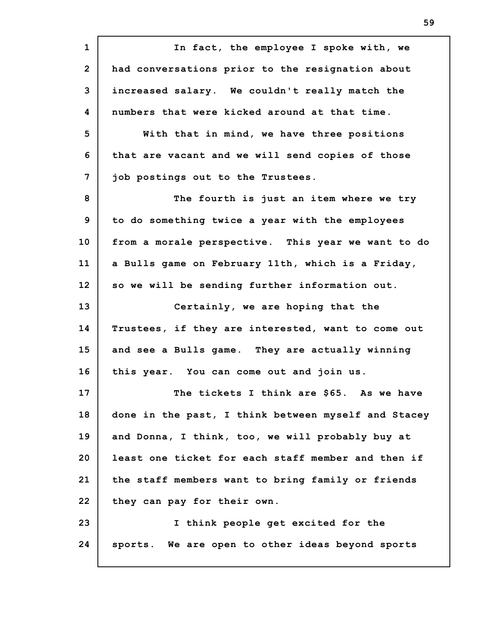**1 2 3 4 5 6 7 8 9 10 11 12 13 14 15 16 17 18 19 20 21 22 23 24 In fact, the employee I spoke with, we had conversations prior to the resignation about increased salary. We couldn't really match the numbers that were kicked around at that time. With that in mind, we have three positions that are vacant and we will send copies of those job postings out to the Trustees. The fourth is just an item where we try to do something twice a year with the employees from a morale perspective. This year we want to do a Bulls game on February 11th, which is a Friday, so we will be sending further information out. Certainly, we are hoping that the Trustees, if they are interested, want to come out and see a Bulls game. They are actually winning this year. You can come out and join us. The tickets I think are \$65. As we have done in the past, I think between myself and Stacey and Donna, I think, too, we will probably buy at least one ticket for each staff member and then if the staff members want to bring family or friends they can pay for their own. I think people get excited for the sports. We are open to other ideas beyond sports**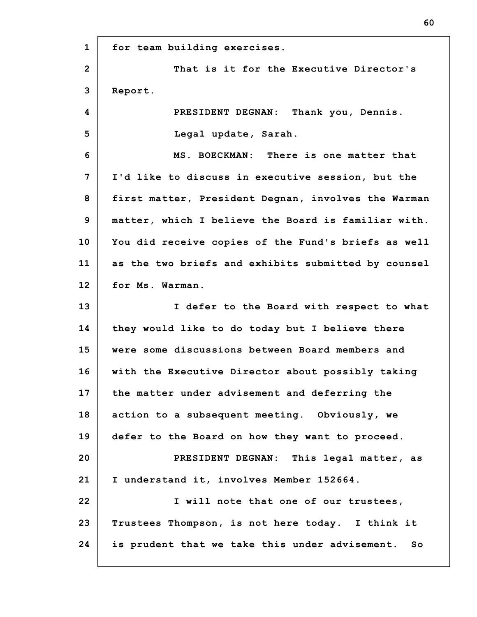**1 2 3 4 5 6 7 8 9 10 11 12 13 14 15 16 17 18 19 20 21 22 23 24 for team building exercises. That is it for the Executive Director's Report. PRESIDENT DEGNAN: Thank you, Dennis. Legal update, Sarah. MS. BOECKMAN: There is one matter that I'd like to discuss in executive session, but the first matter, President Degnan, involves the Warman matter, which I believe the Board is familiar with. You did receive copies of the Fund's briefs as well as the two briefs and exhibits submitted by counsel for Ms. Warman. I defer to the Board with respect to what they would like to do today but I believe there were some discussions between Board members and with the Executive Director about possibly taking the matter under advisement and deferring the action to a subsequent meeting. Obviously, we defer to the Board on how they want to proceed. PRESIDENT DEGNAN: This legal matter, as I understand it, involves Member 152664. I will note that one of our trustees, Trustees Thompson, is not here today. I think it is prudent that we take this under advisement. So**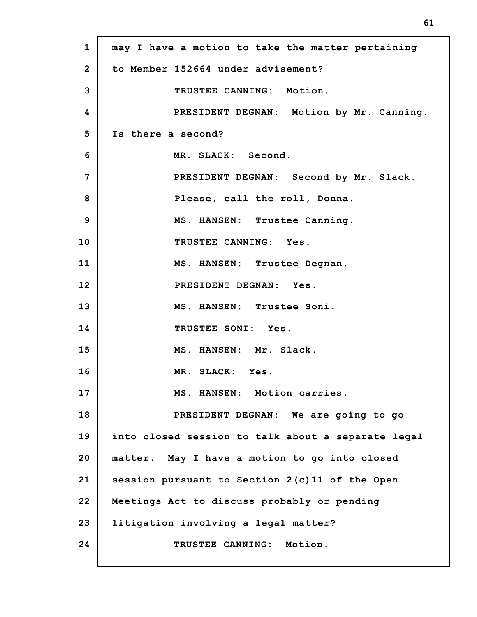| $\mathbf{1}$   | may I have a motion to take the matter pertaining  |
|----------------|----------------------------------------------------|
| $\overline{2}$ | to Member 152664 under advisement?                 |
| 3              | TRUSTEE CANNING: Motion.                           |
| 4              | PRESIDENT DEGNAN: Motion by Mr. Canning.           |
| 5              | Is there a second?                                 |
| 6              | MR. SLACK: Second.                                 |
| 7              | PRESIDENT DEGNAN: Second by Mr. Slack.             |
| 8              | Please, call the roll, Donna.                      |
| 9              | MS. HANSEN: Trustee Canning.                       |
| 10             | TRUSTEE CANNING: Yes.                              |
| 11             | MS. HANSEN: Trustee Degnan.                        |
| 12             | PRESIDENT DEGNAN: Yes.                             |
| 13             | MS. HANSEN: Trustee Soni.                          |
| 14             | TRUSTEE SONI: Yes.                                 |
| 15             | MS. HANSEN: Mr. Slack.                             |
| 16             | MR. SLACK: Yes.                                    |
| 17             | MS. HANSEN: Motion carries.                        |
| 18             | PRESIDENT DEGNAN: We are going to go               |
| 19             | into closed session to talk about a separate legal |
| 20             | matter. May I have a motion to go into closed      |
| 21             | session pursuant to Section 2(c)11 of the Open     |
| 22             | Meetings Act to discuss probably or pending        |
| 23             | litigation involving a legal matter?               |
| 24             | TRUSTEE CANNING: Motion.                           |
|                |                                                    |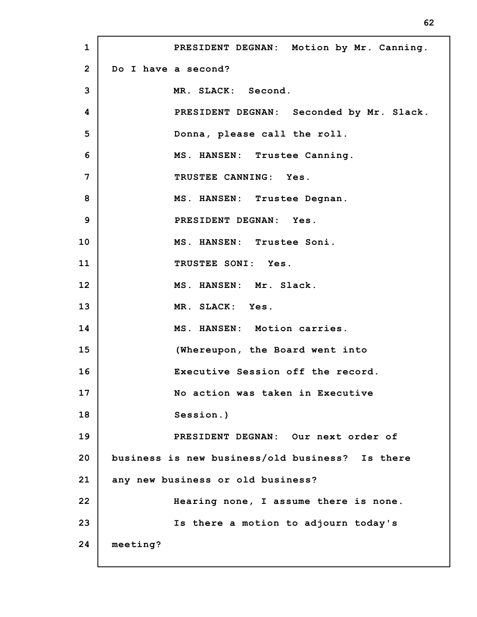| $\mathbf{1}$   | PRESIDENT DEGNAN: Motion by Mr. Canning.        |
|----------------|-------------------------------------------------|
| $\overline{2}$ | Do I have a second?                             |
| 3              | MR. SLACK: Second.                              |
| 4              | PRESIDENT DEGNAN: Seconded by Mr. Slack.        |
| 5              | Donna, please call the roll.                    |
| 6              | MS. HANSEN: Trustee Canning.                    |
| 7              | TRUSTEE CANNING: Yes.                           |
| 8              | MS. HANSEN: Trustee Degnan.                     |
| 9              | PRESIDENT DEGNAN: Yes.                          |
| 10             | MS. HANSEN: Trustee Soni.                       |
| 11             | TRUSTEE SONI: Yes.                              |
| 12             | MS. HANSEN: Mr. Slack.                          |
| 13             | MR. SLACK: Yes.                                 |
| 14             | MS. HANSEN: Motion carries.                     |
| 15             | (Whereupon, the Board went into                 |
| 16             | Executive Session off the record.               |
| 17             | No action was taken in Executive                |
| 18             | Session.)                                       |
| 19             | PRESIDENT DEGNAN: Our next order of             |
| 20             | business is new business/old business? Is there |
| 21             | any new business or old business?               |
| 22             | Hearing none, I assume there is none.           |
| 23             | Is there a motion to adjourn today's            |
| 24             | meeting?                                        |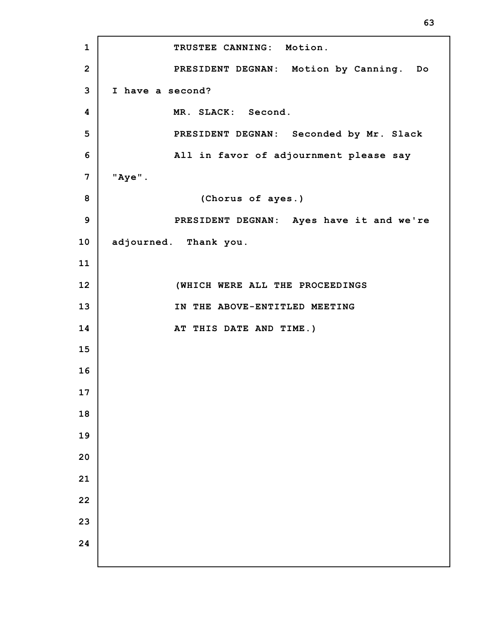**TRUSTEE CANNING: Motion. PRESIDENT DEGNAN: Motion by Canning. Do I have a second? MR. SLACK: Second. PRESIDENT DEGNAN: Seconded by Mr. Slack All in favor of adjournment please say "Aye". (Chorus of ayes.) PRESIDENT DEGNAN: Ayes have it and we're adjourned. Thank you. (WHICH WERE ALL THE PROCEEDINGS IN THE ABOVE-ENTITLED MEETING AT THIS DATE AND TIME.)**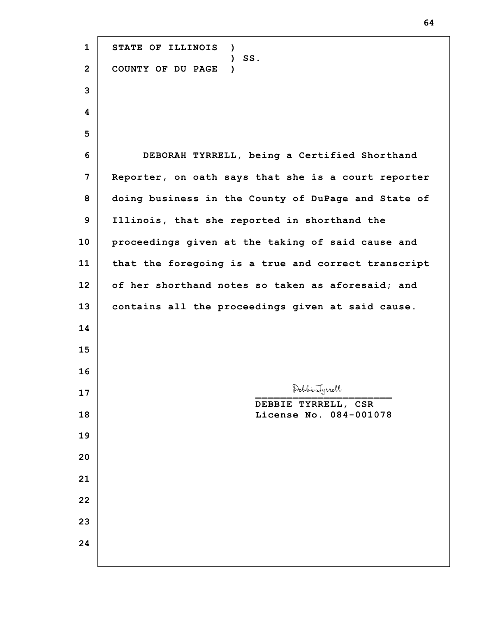**STATE OF ILLINOIS ) ) SS. COUNTY OF DU PAGE ) DEBORAH TYRRELL, being a Certified Shorthand Reporter, on oath says that she is a court reporter doing business in the County of DuPage and State of Illinois, that she reported in shorthand the proceedings given at the taking of said cause and that the foregoing is a true and correct transcript of her shorthand notes so taken as aforesaid; and contains all the proceedings given at said cause. \_\_\_\_\_\_\_\_\_\_\_\_\_\_\_\_\_\_\_\_\_\_ DEBBIE TYRRELL, CSR License No. 084-001078**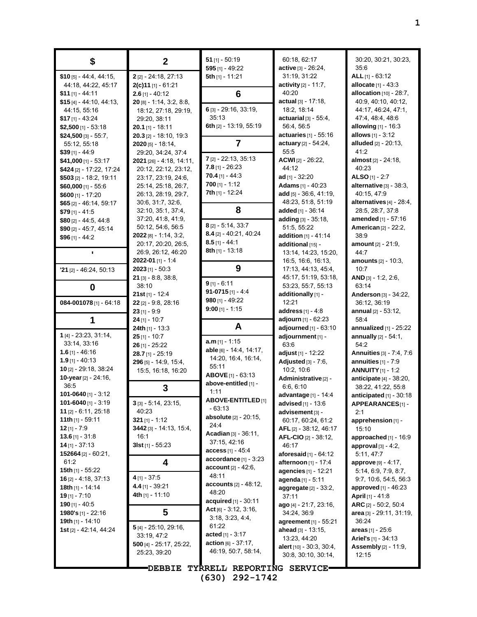| \$                                                   | $\mathbf{2}$                                | $51$ [1] - 50:19<br>595 [1] - 49:22                      | 60:18, 62:17<br>active [3] - 26:24,      | 30:20, 30:21, 30:23,<br>35:6                     |
|------------------------------------------------------|---------------------------------------------|----------------------------------------------------------|------------------------------------------|--------------------------------------------------|
| $$10$ [5] - 44:4, 44:15,                             | 2 [2] - 24:18, 27:13                        | 5th [1] - 11:21                                          | 31:19, 31:22                             | ALL [1] - 63:12                                  |
| 44:18, 44:22, 45:17                                  | 2(c)11 [1] - 61:21                          |                                                          | activity [2] - 11:7,                     | allocate $[1] - 43:3$                            |
| $$11$ [1] - 44:11                                    | $2.6$ [1] - 40:12                           | 6                                                        | 40:20                                    | allocation [10] - 28:7,                          |
| $$15$ [4] - 44:10, 44:13,                            | $20$ [8] - 1:14, 3:2, 8:8,                  |                                                          | actual [3] - 17:18.                      | 40:9, 40:10, 40:12,                              |
| 44:15, 55:16                                         | 18:12, 27:18, 29:19,                        | 6 [3] - 29:16, 33:19,                                    | 18:2, 18:14                              | 44.17, 46:24, 47:1,                              |
| $$17$ [1] - 43:24                                    | 29:20, 38:11                                | 35:13                                                    | actuarial $\lbrack 3 \rbrack$ - 55.4,    | 47:4, 48:4, 48:6                                 |
| \$2,500 $[1] - 53:18$                                | $20.1$ [1] - 18:11                          | 6th [2] - 13:19, 55:19                                   | 56.4, 56.5                               | <b>allowing</b> $[1] - 16.3$                     |
| \$24,500 $[3] - 55:7$ ,                              | $20.3$ [2] - 18:10, 19:3                    |                                                          | actuaries $[1]$ - 55:16                  | allows $[1] - 3:12$                              |
| 55:12, 55:18                                         | $2020$ [5] - 18:14,                         | $\overline{7}$                                           | actuary [2] - 54:24,                     | alluded [2] - 20:13.                             |
| $$39$ [1] - 44:9                                     | 29:20, 34:24, 37:4                          | 7 [2] - 22:13, 35:13                                     | 55:5                                     | 41:2                                             |
| $$41,000$ [1] - 53:17                                | 2021 [26] - 4:18, 14:11,                    | $7.8$ [1] - 26:23                                        | ACWI [2] - 26:22,<br>44:12               | almost [2] - 24:18.<br>40:23                     |
| \$424 [2] - 17:22, 17:24<br>$$503$ [2] - 18:2, 19:11 | 20:12, 22:12, 23:12,<br>23.17, 23:19, 24:6, | 70.4 $[1] - 44:3$                                        | ad $[1] - 32:20$                         | ALSO $[1] - 2:7$                                 |
| $$60,000$ [1] - 55:6                                 | 25:14, 25:18, 26:7,                         | $700$ [1] - 1:12                                         | Adams $[1] - 40:23$                      | alternative [3] - 38:3,                          |
| $$600$ [1] - 17:20                                   | 26.13, 28:19, 29:7,                         | 7th [1] - 12:24                                          | add $[5] - 36.6, 41.19$ ,                | 40:15, 47:9                                      |
| $$65$ [2] - 46:14, 59:17                             | 30:6, 31:7, 32:6,                           |                                                          | 48:23, 51:8, 51:19                       | alternatives $[4]$ - 28:4,                       |
| $$79$ [1] - 41:5                                     | 32:10, 35:1, 37:4,                          | 8                                                        | added [1] - 36:14                        | 28:5, 28:7, 37:8                                 |
| \$80 $[2] - 44:5, 44:8$                              | 37:20, 41:8, 41:9,                          |                                                          | adding [3] - 35:18,                      | amended [1] - 57:16                              |
| $$90$ [2] - 45:7, 45:14                              | 50:12, 54:6, 56:5                           | $8$ [2] - 5:14, 33:7                                     | 51:5, 55:22                              | <b>American [2] - 22:2.</b>                      |
| $$96$ [1] - 44:2                                     | $2022$ [8] - 1:14, 3:2,                     | $8.4$ [2] - 40:21, 40:24                                 | addition [1] - 41:14                     | 38:9                                             |
|                                                      | 20:17, 20:20, 26:5,                         | $8.5$ [1] - 44:1                                         | additional [15] -                        | <b>amount</b> [2] - 21:9,                        |
|                                                      | 26:9, 26:12, 46:20                          | 8th [1] - 13:18                                          | 13:14, 14:23, 15:20,                     | 44:7                                             |
|                                                      | 2022-01 [1] - 1:4                           |                                                          | 16:5, 16:6, 16:13,                       | <b>amounts</b> [2] - 10:3,                       |
| $21$ [2] - 46:24, 50:13                              | $2023$ [1] - 50:3                           | 9                                                        | 17:13, 44:13, 45.4,                      | 10:7                                             |
|                                                      | $21$ [3] - 8:8, 38:8,<br>38:10              | $9$ [1] - 6:11                                           | 45:17, 51:19, 53:18,                     | $AND$ [3] - 1:2, 2:6,<br>63:14                   |
| 0                                                    | 21st $[1] - 12:4$                           | $91-0715$ [1] - 4.4                                      | 53:23, 55:7, 55:13<br>additionally [1] - | Anderson [3] - 34:22,                            |
| 084-001078 [1] - 64:18                               | $22$ [2] - 9:8, 28:16                       | $980$ [1] - 49:22                                        | 12:21                                    | 36:12, 36:19                                     |
|                                                      | $23$ [1] - 9:9                              | $9:00$ [1] - 1:15                                        | address $[1] - 4:8$                      | annual $[2] - 53:12$ ,                           |
| 1                                                    | $24$ [1] - 10:7                             |                                                          | adjourn [1] - 62:23                      | 58:4                                             |
|                                                      | 24th $[1] - 13:3$                           | A                                                        | adjourned $[1]$ - $63:10$                | annualized $[1]$ - 25:22                         |
| 1 [4] - 23:23, 31:14,                                | $25$ [1] - 10:7                             |                                                          | adjournment [1] -                        | annually $[2] - 54.1$ ,                          |
| 33:14, 33:16                                         | $26$ [1] - 25:22                            | $a.m$ <sub>[1]</sub> - 1:15                              | 63:6                                     | 54:2                                             |
| $1.6$ [1] - 46:16                                    | $28.7$ [1] - 25:19                          | able [6] - 14:4, 14:17,                                  | adjust [1] - 12:22                       | Annuities [3] - 7:4, 7:6                         |
| <b>1.9</b> [1] - 40:13                               | 296 [5] - 14:9, 15:4,                       | 14:20, 16:4, 16:14,<br>55:11                             | Adjusted [3] - 7:6,                      | annuities $[1] - 7:9$                            |
| 10 [2] - 29:18, 38:24                                | 15:5, 16:18, 16:20                          | ABOVE $[1]$ - 63:13                                      | 10:2, 10:6                               | <b>ANNUITY</b> [1] - 1:2                         |
| 10-year $[2] - 24:16$ ,                              |                                             | above-entitled [1] -                                     | Administrative <sup>[2]</sup> -          | anticipate [4] - 38:20,                          |
| 36:5                                                 | 3                                           | 1:11                                                     | 6:6, 6:10                                | 38:22, 41:22, 55:8                               |
| 101-0640 $[1]$ - 3:12<br>101-6040 $[1]$ - 3:19       | $3$ [3] - 5:14, 23:15,                      | <b>ABOVE-ENTITLED</b> [1]                                | advantage [1] - 14:4                     | anticipated $[1]$ - 30:18                        |
| 11 [2] - 6:11, 25:18                                 | 40:23                                       | $-63:13$                                                 | advised [1] - 13:6<br>advisement [3] -   | APPEARANCES[1] -<br>2:1                          |
| 11th [1] - 59:11                                     | 321 $[1] - 1.12$                            | absolute [2] - 20:15,                                    | 60:17, 60:24, 61:2                       | apprehension [1] -                               |
| $12$ [1] - 7:9                                       | 3442 [3] - 14:13, 15:4,                     | 24:4                                                     | $AFL$ [2] - 38:12, 46:17                 | 15:10                                            |
| <b>13.6</b> [1] - 31:8                               | 16:1                                        | Acadian $[3] - 36:11$ ,                                  | $AFL-ClO [2] - 38:12,$                   | approached [1] - 16:9                            |
| <b>14</b> [1] - 37:13                                | $3$ st [1] - 55:23                          | 37:15, 42:16                                             | 46:17                                    | approval $[3] - 4:2$ ,                           |
| 152664 [2] - 60:21,                                  |                                             | $access_{[1]} - 45:4$                                    | aforesaid $[1] - 64:12$                  | 5:11,47:7                                        |
| 61:2                                                 | 4                                           | $accordance_{[1]} - 3:23$<br><b>account</b> $[2] - 42:6$ | afternoon [1] - 17:4                     | approve [9] - 4:17,                              |
| 15th [1] - 55:22                                     |                                             | 48:11                                                    | agencies [1] - 12:21                     | 5.14, 6.9, 7.9, 8.7,                             |
| $16$ [2] - 4:18, 37:13                               | $4$ [1] - 37:5                              | accounts [2] - 48:12,                                    | agenda [1] - 5:11                        | 9:7, 10:6, 54:5, 56:3                            |
| 18th [1] - 14:14                                     | $4.4$ [1] - 39:21<br>4th $[1] - 11:10$      | 48:20                                                    | aggregate [2] - 33:2,                    | <b>approved</b> $[1] - 46:23$                    |
| $19$ [1] - 7:10                                      |                                             | acquired [1] - 30:11                                     | 37:11                                    | April $[1] - 41.8$                               |
| $190$ [1] - 40:5<br>1980's [1] - 22:16               | 5                                           | Act $[6] - 3.12, 3.16,$                                  | ago [4] - 21:7, 23:16,                   | ARC [2] - 50:2, 50:4<br>area [3] - 29:11, 31:19, |
| 19th $[1]$ - 14:10                                   |                                             | 3:18, 3:23, 4:4,                                         | 34.24, 36.9<br>agreement [1] - 55:21     | 36:24                                            |
| 1st [2] - 42:14, 44:24                               | 5 [4] - 25:10, 29:16,                       | 61:22                                                    | ahead $[3] - 13:15$ ,                    | areas $[1] - 25.6$                               |
|                                                      | 33:19, 47:2                                 | acted $[1] - 3.17$                                       | 13:23, 44:20                             | <b>Ariel's</b> $[1]$ - 34:13                     |
|                                                      | $500$ [4] - 25:17, 25:22,                   | <b>action</b> $[6] - 37:17$ ,                            | <b>alert</b> $[10] - 30.3, 30.4,$        | <b>Assembly</b> $[2] - 11:9$ ,                   |
|                                                      | 25:23, 39:20                                | 46:19, 50:7, 58:14,                                      | 30:8, 30:10, 30:14,                      | 12:15                                            |
|                                                      |                                             |                                                          |                                          |                                                  |
|                                                      |                                             | <b>-DEBBIE TYRRELL REPORTING SERVICE.</b>                |                                          |                                                  |

**(630) 292-1742**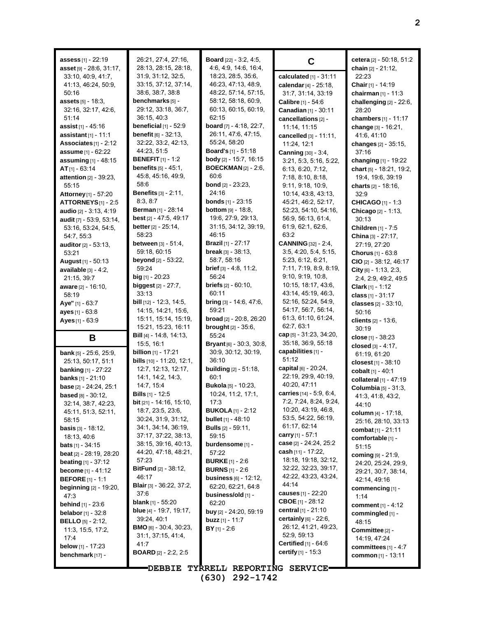| assess [1] - 22:19<br>asset [9] - 28:6, 31:17,            | 26.21, 27:4, 27:16,<br>28:13, 28:15, 28:18,<br>31:9, 31:12, 32:5, | <b>Board</b> [22] - 3:2, 4:5,<br>4:6, 4:9, 14:6, 16:4,<br>18:23, 28:5, 35:6, | C                                                    | cetera [2] - 50:18, 51:2<br>chain [2] - 21:12,<br>22:23 |
|-----------------------------------------------------------|-------------------------------------------------------------------|------------------------------------------------------------------------------|------------------------------------------------------|---------------------------------------------------------|
| 33:10, 40:9, 41:7,<br>41:13, 46:24, 50:9,                 | 33:15, 37:12, 37:14,                                              | 46.23, 47:13, 48.9,                                                          | calculated [1] - 31:11<br>calendar [4] - 25:18,      | Chair [1] - 14:19                                       |
| 50:16                                                     | 38.6, 38.7, 38.8                                                  | 48:22, 57:14, 57:15,                                                         | 31:7, 31:14, 33:19                                   | chairman [1] - 11:3                                     |
| assets [5] - 18:3,                                        | benchmarks [5] -                                                  | 58:12, 58:18, 60:9,                                                          | Calibre [1] - 54:6                                   | challenging [2] - 22:6,                                 |
| 32:16, 32:17, 42:6,                                       | 29:12, 33:18, 36:7,                                               | 60:13, 60:15, 60:19,                                                         | Canadian [1] - 30:11                                 | 28:20                                                   |
| 51:14                                                     | 36:15, 40:3                                                       | 62:15                                                                        | cancellations [2] -                                  | chambers [1] - 11:17                                    |
| <b>assist</b> $[1] - 45:16$                               | beneficial $[1]$ - 52:9                                           | <b>board</b> $[7] - 4:18$ , 22:7,                                            | 11:14, 11:15                                         | change $[3] - 16:21$ ,                                  |
| assistant $[1] - 11:1$                                    | benefit [6] - 32:13.                                              | 26:11, 47:6, 47:15,                                                          | cancelled $[3] - 11:11$ ,                            | 41:6, 41:10                                             |
| Associates $[1]$ - 2:12                                   | 32:22, 33:2, 42:13,                                               | 55:24, 58:20                                                                 | 11:24, 12:1                                          | changes [2] - 35:15,                                    |
| assume [1] - 62:22                                        | 44:23.51:5<br><b>BENEFIT</b> $[1]$ - 1:2                          | <b>Board's</b> [1] - 51:18<br>body [2] - 15:7, 16:15                         | <b>Canning [30] - 3:4,</b>                           | 37:16                                                   |
| assuming [1] - 48:15<br>$AT_{[1]} - 63.14$                | <b>benefits</b> $[5] - 45.1$ ,                                    | <b>BOECKMAN</b> [2] - 2:6,                                                   | 3:21, 5:3, 5:16, 5:22,<br>6:13, 6:20, 7:12,          | changing [1] - 19:22                                    |
| attention [2] - 39:23,                                    | 45.8, 45.16, 49.9,                                                | 60.6                                                                         | 7:18, 8:10, 8:18,                                    | chart [5] - 18:21, 19:2,<br>19:4, 19:6, 39:19           |
| 55:15                                                     | 58:6                                                              | <b>bond</b> $[2] - 23:23$ ,                                                  | 9:11, 9:18, 10:9,                                    | charts [2] - 18:16,                                     |
| <b>Attorney</b> [1] - 57:20                               | <b>Benefits</b> $[3] - 2:11$ ,                                    | 24:16                                                                        | 10:14, 43:8, 43:13,                                  | 32:9                                                    |
| ATTORNEYS[1] - 2:5                                        | 8:3, 8:7                                                          | <b>bonds</b> $[1]$ - 23:15                                                   | 45:21, 46:2, 52:17,                                  | <b>CHICAGO</b> [1] - 1:3                                |
| audio [2] - 3:13, 4:19                                    | <b>Berman</b> [1] - 28:14                                         | <b>bottom</b> $[9] - 18.8$ ,                                                 | 52:23, 54:10, 54:16,                                 | Chicago [2] - 1:13,                                     |
| audit [7] - 53.9, 53.14,                                  | best [2] - 47:5, 49:17                                            | 19.6, 27:9, 29:13,                                                           | 56.9, 56.13, 61.4,                                   | 30:13                                                   |
| 53:16, 53:24, 54:5,                                       | <b>better</b> $[2] - 25:14$ ,                                     | 31:15, 34:12, 39:19,                                                         | 61:9, 62:1, 62:6,                                    | Children [1] - 7:5                                      |
| 54:7, 55:3                                                | 58:23                                                             | 46:15                                                                        | 63:2                                                 | China [3] - 27:17,                                      |
| auditor [2] - 53:13,                                      | between [3] - 51:4,<br>59:18, 60:15                               | <b>Brazil</b> [1] - 27:17<br><b>break</b> $[3] - 38:13$ ,                    | <b>CANNING</b> [32] - 2:4,<br>3:5, 4:20, 5:4, 5:15,  | 27:19, 27:20                                            |
| 53:21<br>August [1] - 50:13                               | beyond [2] - 53:22,                                               | 58:7, 58:16                                                                  | 5:23, 6:12, 6:21,                                    | Chorus [1] - 63:8<br>CIO [2] - 38:12, 46:17             |
| available $[3] - 4:2$ ,                                   | 59:24                                                             | <b>brief</b> $[3] - 4.8, 11.2,$                                              | 7:11, 7:19, 8:9, 8:19,                               | City $[6] - 1:13, 2:3,$                                 |
| 21:15, 39:7                                               | $big$ [1] - 20:23                                                 | 56:24                                                                        | 9:10, 9:19, 10:8,                                    | 2:4, 2:9, 49:2, 49:5                                    |
| aware [2] - 16:10,                                        | biggest [2] - 27:7,                                               | <b>briefs</b> $[2] - 60.10$ ,                                                | 10:15, 18:17, 43:6,                                  | <b>Clark</b> $[1] - 1:12$                               |
| 58:19                                                     | 33:13                                                             | 60:11                                                                        | 43:14, 45:19, 46:3,                                  | class $[1] - 31:17$                                     |
| Aye" [1] - 63:7                                           | <b>bill</b> $[12] - 12:3, 14:5,$                                  | bring [3] - 14.6, 47.6,                                                      | 52:16, 52:24, 54:9,                                  | classes $[2] - 33:10$ ,                                 |
| ayes [1] - 63:8                                           | 14:15, 14:21, 15:6,                                               | 59:21                                                                        | 54:17, 56:7, 56:14,                                  | 50:16                                                   |
| Ayes $[1] - 63.9$                                         | 15:11, 15:14, 15:19,                                              | <b>broad</b> $[2] - 20.8$ , $26.20$                                          | 61:3, 61:10, 61:24,<br>62:7, 63:1                    | clients $[2] - 13.6$ ,                                  |
|                                                           | 15:21, 15:23, 16:11<br><b>Bill</b> $[4]$ - 14:8, 14:13,           | <b>brought</b> $[2] - 35:6$ ,<br>55:24                                       | cap [5] - 31:23, 34:20,                              | 30:19                                                   |
| В                                                         | 15:5, 16:1                                                        | <b>Bryant</b> $[6]$ - 30:3, 30:8,                                            | 35:18, 36:9, 55:18                                   | close $[1] - 38:23$                                     |
| <b>bank</b> $[5]$ - 25:6, 25:9,                           | <b>billion</b> [1] - 17:21                                        | 30:9, 30:12, 30:19,                                                          | capabilities [1] -                                   | closed $[3] - 4:17$ ,<br>61:19, 61:20                   |
| 25:13, 50:17, 51:1                                        | bills [10] - 11:20, 12:1,                                         | 36:10                                                                        | 51:12                                                | closest [1] - 38:10                                     |
| <b>banking</b> [1] - 27:22                                | 12:7, 12:13, 12:17,                                               | <b>building</b> [2] - 51:18,                                                 | capital [6] - 20:24,                                 | cobalt [1] - 40:1                                       |
| <b>banks</b> [1] - 21:10                                  | 14:1, 14:2, 14:3,                                                 | 60:1                                                                         | 22:19, 29:9, 40:19,                                  | collateral [1] - 47:19                                  |
| base [2] - 24:24, 25:1                                    | 14:7, 15:4                                                        | <b>Bukola</b> [5] - 10:23,                                                   | 40.20, 47:11                                         | Columbia [5] - 31:3,                                    |
| <b>based</b> $[8] - 30:12$ ,                              | <b>Bills</b> $[1]$ - 12:5                                         | 10:24, 11:2, 17:1,                                                           | carries [14] - 5:9, 6:4,                             | 41:3, 41:8, 43:2,                                       |
| 32:14, 38:7, 42:23,                                       | <b>bit</b> [21] - 14:16, 15:10,<br>18:7, 23:5, 23:6,              | 17:3<br><b>BUKOLA</b> $[1]$ - 2:12                                           | 1:2, 1:24, 8:24, 9:24,<br>10:20, 43:19, 46:8,        | 44:10                                                   |
| 45:11, 51:3, 52:11,<br>58:15                              | 30.24, 31.9, 31.12,                                               | <b>bullet</b> $[1] - 48.10$                                                  | 53:5, 54:22, 56:19,                                  | <b>column</b> [4] - 17:18,                              |
| <b>basis</b> $[3] - 18:12$ ,                              | 34 1, 34 14, 36 19,                                               | <b>Bulls</b> $[2] - 59.11$ ,                                                 | 61:17, 62:14                                         | 25:16, 28:10, 33:13                                     |
| 18:13, 40:6                                               | 37:17, 37:22, 38:13,                                              | 59:15                                                                        | <b>carry</b> [1] - 57:1                              | combat <sub>[1]</sub> - 21:11<br>comfortable [1] -      |
| <b>bats</b> $[1]$ - 34:15                                 | 38:15, 39:16, 40:13,                                              | burdensome <sub>[1]</sub> -                                                  | case [2] - 24:24, 25:2                               | 51:15                                                   |
| <b>beat</b> $[2] - 28:19, 28:20$                          | 44:20, 47:18, 48:21,                                              | 57:22                                                                        | cash $[11] - 17.22$ ,                                | coming [9] - 21:9,                                      |
| <b>beating</b> $[1] - 37:12$                              | 57:23                                                             | <b>BURKE</b> $[1] - 2.6$                                                     | 18:18, 19:18, 32:12,                                 | 24:20, 25:24, 29:9,                                     |
| <b>become</b> $[1] - 41:12$                               | <b>BitFund</b> [2] - 38:12,                                       | <b>BURNS</b> $[1] - 2.6$                                                     | 32:22, 32:23, 39:17,                                 | 29:21, 30:7, 38:14,                                     |
| <b>BEFORE</b> $[1] - 1.1$                                 | 46:17<br><b>Blair</b> [3] - 36:22, 37:2,                          | <b>business</b> $[6] - 12:12$ ,                                              | 42:22, 43:23, 43:24,<br>44:14                        | 42:14, 49:16                                            |
| <b>beginning</b> $[2] - 19:20$ ,<br>47:3                  | 37:6<br><b>blank</b> [1] - 55:20                                  | 62:20, 62:21, 64:8<br>business/old [1] -<br>62:20                            | <b>causes</b> [1] - 22:20<br><b>CBOE</b> [1] - 28:12 | commencing [1] -<br>1:14                                |
| <b>behind</b> $[1] - 23.6$<br><b>belabor</b> $[1] - 32.8$ | <b>blue</b> $[4]$ - 19:7, 19:17,                                  | <b>buy</b> [2] - 24:20, 59:19                                                | <b>central</b> [1] - 21:10                           | comment $[1] - 4:12$                                    |
| <b>BELLO</b> [5] $- 2:12,$                                | 39:24, 40:1                                                       | <b>buzz</b> $[1] - 11:7$                                                     | <b>certainly</b> $[6] - 22:6$ ,                      | commingled [1] -<br>48:15                               |
| 11:3, 15:5, 17:2,                                         | <b>BMO</b> [6] - 30:4, 30:23,                                     | <b>BY</b> [1] - 2:6                                                          | 26:12, 41:21, 49:23,                                 | Committee [2] -                                         |
| 17:4                                                      | 31:1, 37:15, 41:4,                                                |                                                                              | 52:9, 59:13                                          | 14:19, 47:24                                            |
| <b>below</b> $[1] - 17:23$                                | 41:7                                                              |                                                                              | <b>Certified</b> $[1] - 64.6$                        | committees $[1] - 4:7$                                  |
| benchmark [17] -                                          | <b>BOARD</b> $[2]$ - 2:2, 2:5                                     |                                                                              | <b>certify</b> $[1] - 15.3$                          | common [1] - 13:11                                      |
|                                                           |                                                                   |                                                                              |                                                      |                                                         |

**DEBBIE TYRRELL REPORTING SERVICE (630) 292-1742**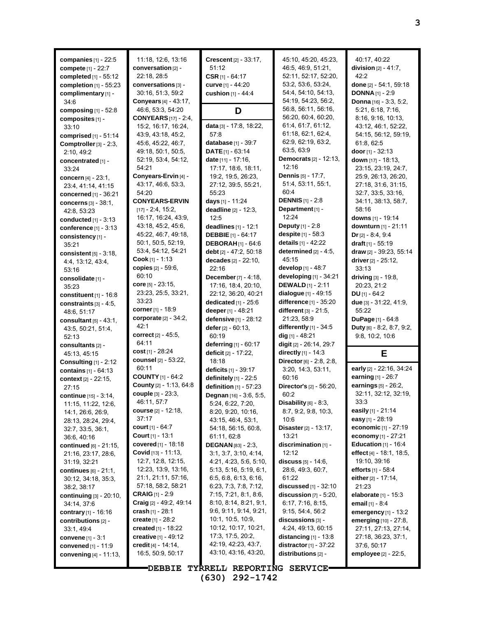| companies $[1]$ - 22:5                   |                              |                                                            |                                    |                                 |
|------------------------------------------|------------------------------|------------------------------------------------------------|------------------------------------|---------------------------------|
|                                          | 11:18, 12:6, 13:16           | Crescent [2] - 33:17,                                      | 45:10, 45:20, 45:23,               | 40:17, 40:22                    |
| compete $[1] - 22:7$                     | conversation [2] -           | 51:12                                                      | 46.5, 46.9, 51.21,                 | division $[2] - 41:7$ ,         |
| completed [1] - 55:12                    | 22:18, 28:5                  | CSR $[1]$ - 64:17                                          | 52:11, 52:17, 52:20,               | 42:2                            |
| completion [1] - 55:23                   | conversations [3] -          | curve [1] - 44:20                                          | 53:2, 53:6, 53:24,                 | done [2] - 54:1, 59:18          |
| complimentary [1] -                      | 30:16, 51:3, 59:2            | cushion [1] - 44:4                                         | 54:4, 54:10, 54:13,                | <b>DONNA</b> $[1]$ - 2:9        |
| 34:6                                     | Conyears [4] - 43:17,        |                                                            | 54:19, 54:23, 56:2,                | Donna [16] - 3:3, 5:2,          |
| composing $[1]$ - 52:8                   | 46:6, 53:3, 54:20            | D                                                          | 56.8, 56.11, 56:16,                | 5:21, 6:18, 7:16,               |
| composites [1] -                         | <b>CONYEARS</b> [17] - 2:4,  |                                                            | 56:20, 60:4, 60:20,                | 8:16, 9:16, 10:13,              |
| 33:10                                    | 15:2, 16:17, 16:24,          | data [3] - 17:8, 18:22,                                    | 61:4, 61:7, 61:12,                 | 43.12, 46:1, 52:22,             |
| comprised [1] - 51:14                    | 43:9, 43:18, 45:2,           | 57:8                                                       | 61:18, 62:1, 62:4,                 | 54:15, 56:12, 59:19,            |
| Comptroller [3] - 2:3,                   | 45.6, 45.22, 46.7,           | database [1] - 39:7                                        | 62.9, 62.19, 63.2,                 | 61:8, 62:5                      |
| 2:10, 49:2                               | 49:18, 50:1, 50:5,           | $\textbf{DATE}$ [1] - 63:14                                | 63.5, 63.9                         | door $[1] - 32:13$              |
| concentrated [1] -                       | 52:19, 53:4, 54:12,          | date [11] - 17:16,                                         | Democrats [2] - 12:13,             | down [17] - 18:13,              |
| 33:24                                    | 54:21                        | 17:17, 18:6, 18:11,                                        | 12:16                              | 23:15, 23:19, 24:7,             |
| concern [4] - 23:1,                      | Conyears-Ervin [4] -         | 19:2, 19:5, 26:23,                                         | <b>Dennis</b> $[5] - 17:7,$        | 25.9, 26.13, 26:20,             |
| 23.4, 41.14, 41.15                       | 43:17, 46:6, 53:3,           | 27:12, 39:5, 55:21,                                        | 51:4, 53:11, 55:1,                 | 27:18, 31:6, 31:15,             |
| concerned [1] - 36:21                    | 54:20                        | 55:23                                                      | 60:4                               | 32.7, 33.5, 33.16,              |
| concerns [3] - 38:1,                     | <b>CONYEARS-ERVIN</b>        | days [1] - 11:24                                           | <b>DENNIS</b> $[1] - 2:8$          | 34:11, 38:13, 58:7,             |
| 42:8, 53:23                              | $[17] - 2:4, 15:2,$          | deadline [2] - 12:3,                                       | Department [1] -                   | 58:16                           |
| conducted [1] - 3:13                     | 16:17, 16:24, 43:9,          | 12:5                                                       | 12:24                              | downs [1] - 19:14               |
| conference $[1]$ - $3:13$                | 43:18, 45:2, 45:6,           | deadlines $[1]$ - 12:1                                     | <b>Deputy</b> $[1] - 2.8$          | downturn [1] - 21:11            |
| consistency [1] -                        | 45.22, 46.7, 49.18,          | <b>DEBBIE</b> [1] - 64:17                                  | despite [1] - 58:3                 | $Dr [2] - 8.4, 9.4$             |
| 35:21                                    | 50:1, 50:5, 52:19,           | <b>DEBORAH</b> [1] - 64:6                                  | details [1] - 42:22                | draft $[1]$ - 55:19             |
| consistent [5] - 3:18,                   | 53.4, 54.12, 54.21           | debt [2] - 47:2, 50:18                                     | determined $[2] - 4:5$ ,           | draw [2] - 39:23, 55:14         |
| 4.4, 13.12, 43.4,                        | Cook [1] - 1:13              | decades $[2] - 22:10$ ,                                    | 45:15                              | driver [2] - 25:12,             |
| 53:16                                    | <b>copies</b> [2] - 59:6,    | 22:16                                                      | develop [1] - 48:7                 | 33:13                           |
| consolidate [1] -                        | 60:10                        | December [7] - 4:18,                                       | developing [1] - 34:21             | driving [3] - 19:8,             |
| 35:23                                    | core $[5] - 23.15$ ,         | 17:16, 18:4, 20:10,                                        | <b>DEWALD</b> [1] - 2:11           | 20:23, 21:2                     |
| constituent [1] - 16:8                   | 23:23, 25:5, 33:21,          | 22:12, 36:20, 40:21                                        | dialogue [1] - 49:15               | DU $[1] - 64:2$                 |
| constraints $[3] - 4:5$ ,                | 33:23                        | dedicated $[1]$ - 25:6                                     | difference [1] - 35:20             | due [3] - 31:22, 41:9,          |
| 48:6, 51:17                              | corner [1] - 18:9            | deeper [1] - 48:21                                         | different [3] - 21:5,              | 55:22                           |
| consultant $[5] - 43:1$ ,                | corporate [2] - 34:2,        | defensive [1] - 28:12                                      | 21:23, 58:9                        | DuPage [1] - 64:8               |
| 43.5, 50.21, 51.4,                       | 42:1                         | defer $[2] - 60:13$ ,                                      | differently $[1]$ - 34:5           | Duty [6] - 8:2, 8:7, 9:2,       |
| 52:13                                    | correct $[2] - 45.5$ ,       | 60:19                                                      | dig [1] - 48:21                    | 9.8, 10.2, 10.6                 |
| consultants [2] -                        | 64:11                        | deferring [1] - 60:17                                      | digit [2] - 26:14, 29:7            |                                 |
| 45.13, 45.15                             | $cost_{[1]} - 28:24$         | deficit [2] - 17:22,                                       | directly [1] - 14:3                | Е                               |
| Consulting $[1]$ - 2:12                  | counsel [2] - 53:22,         | 18:18                                                      | Director [6] - 2:8, 2:8,           |                                 |
| contains [1] - 64:13                     | 60:11                        | deficits [1] - 39:17                                       |                                    |                                 |
|                                          |                              |                                                            |                                    | early [2] - 22:16, 34:24        |
|                                          | <b>COUNTY [1] - 64:2</b>     |                                                            | 3:20, 14:3, 53:11,<br>60:16        | earning [1] - 26:7              |
| context [2] - 22:15,                     | County [2] - 1:13, 64:8      | definitely [1] - 22:5                                      | Director's [2] - 56:20,            | earnings [5] - 26:2,            |
| 27:15                                    | couple [3] - 23:3,           | definition [1] - 57:23<br><b>Degnan</b> [16] - $3.6, 5.5,$ |                                    | 32:11, 32:12, 32:19,            |
| continue [15] - 3:14,                    | 46:11, 57:7                  | 5:24, 6:22, 7:20,                                          | 60.2<br>Disability $[6]$ - $8:3$ , | 33:3                            |
| 11:15, 11:22, 12:6,                      | <b>course</b> [2] - 12:18,   | 8:20, 9:20, 10:16,                                         | 8:7, 9:2, 9:8, 10:3,               | easily [1] - 21:14              |
| 14:1, 26:6, 26:9,<br>28:13, 28:24, 29:4, | 37:17                        | 43:15, 46:4, 53:1,                                         | 10:6                               | easy [1] - 28:19                |
| 32:7, 33:5, 36:1,                        | <b>court</b> [1] - 64:7      | 54:18, 56:15, 60:8,                                        | <b>Disaster</b> [2] - 13:17,       | economic [1] - 27:19            |
| 36:6, 40:16                              | Court [1] - 13:1             | 61:11, 62:8                                                | 13:21                              | economy $[1] - 27:21$           |
| <b>continued</b> $[6] - 21:15$ ,         | covered [1] - 18:18          | <b>DEGNAN</b> [83] - $2:3$ ,                               | discrimination [1] -               | Education $[1] - 16.4$          |
| 21:16, 23:17, 28:6,                      | $Covid$ [13] - 11:13,        | 3.1, 3.7, 3.10, 4.14,                                      | 12:12                              | effect $[4] - 18.1, 18.5,$      |
| 31:19, 32:21                             | 12:7, 12:8, 12:15,           | 4.21, 4.23, 5.6, 5.10,                                     | <b>discuss</b> $[5]$ - 14:6,       | 19:10, 39:16                    |
| continues $[6] - 21:1$ ,                 | 12:23, 13:9, 13:16,          | 5:13, 5:16, 5:19, 6:1,                                     | 28.6, 49.3, 60.7,                  | <b>efforts</b> $[1] - 58.4$     |
| 30:12, 34:18, 35:3,                      | 21:1, 21:11, 57:16,          | 6.5, 6.8, 6.13, 6.16,                                      | 61:22                              | either [2] - 17:14,             |
| 38:2, 38:17                              | 57:18, 58:2, 58:21           | 6:23, 7:3, 7:8, 7:12,                                      | <b>discussed</b> $[1]$ - 32:10     | 21:23                           |
| continuing [3] - 20:10,                  | <b>CRAIG</b> [1] - 2:9       | 7:15, 7:21, 8:1, 8:6,                                      | discussion $[7] - 5:20$ ,          | <b>elaborate</b> $[1]$ - 15:3   |
| 34:14, 37:6                              | Craig [2] - 49:2, 49:14      | 8:10, 8:14, 8:21, 9:1,                                     | 6:17, 7:16, 8:15,                  | email $[1] - 8.4$               |
| <b>contrary</b> [1] - 16:16              | <b>crash</b> [1] - 28:1      | 9.6, 9.11, 9.14, 9.21,                                     | 9:15, 54:4, 56:2                   | emergency $[1]$ - 13:2          |
| contributions $[2]$ -                    | create $[1] - 28:2$          | 10:1, 10:5, 10:9,                                          | $discussions_{[3]}$ -              | <b>emerging</b> $[10] - 27:8$ , |
| 33.1, 49.4                               | <b>created</b> $[1]$ - 18:22 | 10:12, 10:17, 10:21,                                       | 4:24, 49:13, 60:15                 | 27:11, 27:13, 27:14,            |
| convene $[1] - 3:1$                      | creative $[1] - 49.12$       | 17:3, 17:5, 20:2,                                          | distancing $[1]$ - 13:8            | 27:18, 36:23, 37:1,             |
| convened $[1] - 11.9$                    | credit $[4]$ - 14:14,        | 42:19, 42:23, 43:7,                                        | distractor $[1]$ - 37:22           | 37:6, 50:17                     |
| convening $[4] - 11:13$ ,                | 16.5, 50.9, 50.17            | 43:10, 43:16, 43:20,                                       | distributions [2] -                | <b>employee</b> [2] - 22:5,     |

**DEBBIE TYRRELL REPORTING SERVICE (630) 292-1742**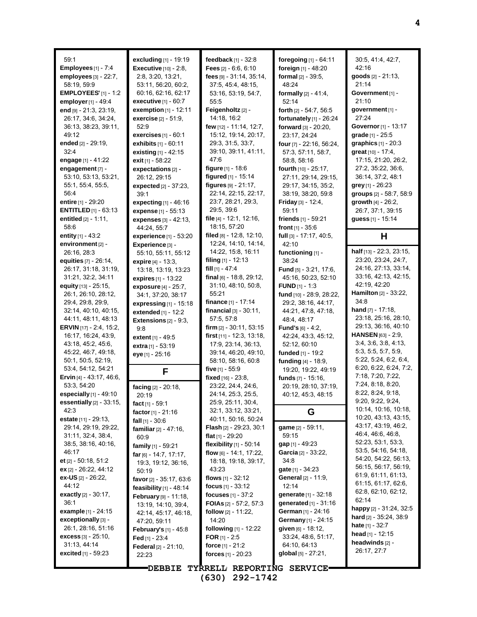59:1 **Employees** [1] - 7:4 **employees** [3] - 22:7, 58:19, 59:9 **EMPLOYEES'** [1] - 1:2 **employer**[1] - 49:4 **end** [9] - 21:3, 23:19, 26:17, 34:6, 34:24, 36:13, 38:23, 39:11, 49:12 **ended** [2] - 29:19, 32:4 **engage** [1] - 41:22 **engagement** [7] - 53:10, 53:13, 53:21, 55:1, 55:4, 55:5, 56:4 **entire** [1] - 29:20 **ENTITLED** [1] - 63:13 **entitled** [2] - 1:11, 58:6 **entity** [1] - 43:2 **environment** [2] - 26:16, 28:3 **equities** [7] - 26:14, 26:17, 31:18, 31:19, 31:21, 32:2, 34:11 **equity** [13] - 25:15, 26:1, 26:10, 28:12, 29:4, 29:8, 29:9, 32:14, 40:10, 40:15, 44:11, 48:11, 48:13 **ERVIN** [17] - 2:4, 15:2, 16:17, 16:24, 43:9, 43:18, 45:2, 45:6, 45:22, 46:7, 49:18, 50:1, 50:5, 52:19, 53:4, 54:12, 54:21 **Ervin** [4] - 43:17, 46:6, 53:3, 54:20 **especially** [1] - 49:10 **essentially** [2] - 33:15, 42:3 **estate** [11] - 29:13, 29:14, 29:19, 29:22, 31:11, 32:4, 38:4, 38:5, 38:16, 40:16, 46:17 **et** [2] - 50:18, 51:2 **ex** [2] - 26:22, 44:12 **ex-US** [2] - 26:22, 44:12 **exactly** [2] - 30:17, 36:1 **example** [1] - 24:15 **exceptionally** [3] - 26:1, 28:16, 51:16 **excess** [3] - 25:10, 31:13, 44:14 **excited** [1] - 59:23

**excluding** [1] - 19:19 **Executive** [10] - 2:8, 2:8, 3:20, 13:21, 53:11, 56:20, 60:2, 60:16, 62:16, 62:17 **executive** [1] - 60:7 **exemption** [1] - 12:11 **exercise** [2] - 51:9, 52:9 **exercises** [1] - 60:1 **exhibits** [1] - 60:11 **existing** [1] - 42:15 **exit** [1] - 58:22 **expectations** [2] - 26:12, 29:15 **expected** [2] - 37:23, 39:1 **expecting** [1] - 46:16 **expense** [1] - 55:13 **expenses** [3] - 42:13, 44:24, 55:7 **experience** [1] - 53:20 **Experience** [3] - 55:10, 55:11, 55:12 **expire** [4] - 13:3, 13:18, 13:19, 13:23 **expires** [1] - 13:22 **exposure** [4] - 25:7, 34:1, 37:20, 38:17 **expressing** [1] - 15:18 **extended** [1] - 12:2 **Extensions** [2] - 9:3, 9:8 **extent** [1] - 49:5 **extra** [1] - 53:19 **eye** [1] - 25:16 **F facing** [2] - 20:18, 20:19 **fact** [1] - 59:1 **factor**[1] - 21:16 **fall** [1] - 30:6 **familiar**[2] - 47:16, 60:9 **family** [1] - 59:21 **far**[6] - 14:7, 17:17, 19:3, 19:12, 36:16, 50:19 **favor**[2] - 35:17, 63:6 **feasibility** [1] - 48:14 **February** [9] - 11:18, 13:19, 14:10, 39:4, 42:14, 45:17, 46:18, 47:20, 59:11 **February's** [1] - 45:8 **Fed** [1] - 23:4 **Federal** [2] - 21:10, 22:23

**feedback** [1] - 32:8 **Fees** [2] - 6:6, 6:10 **fees** [9] - 31:14, 35:14, 37:5, 45:4, 48:15, 53:16, 53:19, 54:7, 55:5 **Feigenholtz** [2] - 14:18, 16:2 **few** [12] - 11:14, 12:7, 15:12, 19:14, 20:17, 29:3, 31:5, 33:7, 39:10, 39:11, 41:11, 47:6 **figure** [1] - 18:6 **figured** [1] - 15:14 **figures** [9] - 21:17, 22:14, 22:15, 22:17, 23:7, 28:21, 29:3, 29:5, 39:6 **file** [4] - 12:1, 12:16, 18:15, 57:20 **filed** [8] - 12:8, 12:10, 12:24, 14:10, 14:14, 14:22, 15:8, 16:11 **filing** [1] - 12:13 **fill** [1] - 47:4 **final** [6] - 18:8, 29:12, 31:10, 48:10, 50:8, 55:21 **finance** [1] - 17:14 **financial** [3] - 30:11, 57:5, 57:8 **firm** [2] - 30:11, 53:15 **first** [11] - 12:3, 13:18, 17:9, 23:14, 36:13, 39:14, 46:20, 49:10, 58:10, 58:16, 60:8 **five** [1] - 55:9 **fixed** [16] - 23:8, 23:22, 24:4, 24:6, 24:14, 25:3, 25:5, 25:9, 25:11, 30:4, 32:1, 33:12, 33:21, 40:11, 50:16, 50:24 **Flash** [2] - 29:23, 30:1 **flat** [1] - 29:20 **flexibility** [1] - 50:14 **flow** [6] - 14:1, 17:22, 18:18, 19:18, 39:17, 43:23 **flows** [1] - 32:12 **focus** [1] - 33:12 **focuses** [1] - 37:2 **FOIAs** [2] - 57:2, 57:3 **follow** [2] - 11:22, 14:20 **following** [1] - 12:22 **FOR** [1] - 2:5 **force** [1] - 21:2 **forces** [1] - 20:23

**DEBBIE TYRRELL REPORTING SERVICE (630) 292-1742**

**foregoing** [1] - 64:11 **foreign** [1] - 48:20 **formal** [2] - 39:5, 48:24 **formally** [2] - 41:4, 52:14 **forth** [2] - 54:7, 56:5 **fortunately** [1] - 26:24 **forward** [3] - 20:20, 23:17, 24:24 **four** [7] - 22:16, 56:24, 57:3, 57:11, 58:7, 58:8, 58:16 **fourth** [10] - 25:17, 27:11, 29:14, 29:15, 29:17, 34:15, 35:2, 38:19, 38:20, 59:8 **Friday** [3] - 12:4, 59:11 **friends** [1] - 59:21 **front** [1] - 35:6 **full** [3] - 17:17, 40:5, 42:10 **functioning** [1] - 38:24 **Fund** [5] - 3:21, 17:6, 45:16, 50:23, 52:10 **FUND** [1] - 1:3 **fund** [10] - 28:9, 28:22, 29:2, 38:16, 44:17, 44:21, 47:8, 47:18, 48:4, 48:17 **Fund's** [6] - 4:2, 42:24, 43:3, 45:12, 52:12, 60:10 **funded** [1] - 19:2 **funding** [4] - 18:9, 19:20, 19:22, 49:19 **funds** [7] - 15:16, 20:19, 28:10, 37:19, 40:12, 45:3, 48:15 **G game** [2] - 59:11, 59:15 **gap** [1] - 49:23 **Garcia** [2] - 33:22, 34:8 **gate** [1] - 34:23 **General** [2] - 11:9, 12:14 **generate** [1] - 32:18 **generated** [1] - 31:16 **German** [1] - 24:16 **Germany** [1] - 24:15 **given** [6] - 18:12, 33:24, 48:6, 51:17,

64:10, 64:13 **global** [5] - 27:21,

30:5, 41:4, 42:7, 42:16 **goods** [2] - 21:13, 21:14 **Government**[1] - 21:10 **government**[1] - 27:24 **Governor**[1] - 13:17 **grade** [1] - 25:5 **graphics** [1] - 20:3 **great** [10] - 17:4, 17:15, 21:20, 26:2, 27:2, 35:22, 36:6, 36:14, 37:2, 48:1 **grey** [1] - 26:23 **groups** [2] - 58:7, 58:9 **growth** [4] - 26:2, 26:7, 37:1, 39:15 **guess** [1] - 15:14 **H half** [13] - 22:3, 23:15, 23:20, 23:24, 24:7, 24:16, 27:13, 33:14, 33:16, 42:13, 42:15, 42:19, 42:20 **Hamilton** [2] - 33:22, 34:8 **hand** [7] - 17:18, 23:18, 25:16, 28:10, 29:13, 36:16, 40:10 **HANSEN** [63] - 2:9, 3:4, 3:6, 3:8, 4:13, 5:3, 5:5, 5:7, 5:9, 5:22, 5:24, 6:2, 6:4, 6:20, 6:22, 6:24, 7:2, 7:18, 7:20, 7:22, 7:24, 8:18, 8:20, 8:22, 8:24, 9:18, 9:20, 9:22, 9:24, 10:14, 10:16, 10:18, 10:20, 43:13, 43:15, 43:17, 43:19, 46:2, 46:4, 46:6, 46:8, 52:23, 53:1, 53:3, 53:5, 54:16, 54:18, 54:20, 54:22, 56:13, 56:15, 56:17, 56:19, 61:9, 61:11, 61:13, 61:15, 61:17, 62:6, 62:8, 62:10, 62:12, 62:14 **happy** [2] - 31:24, 32:5 **hard** [2] - 35:24, 38:9 **hate** [1] - 32:7 **head** [1] - 12:15 **headwinds** [2] - 26:17, 27:7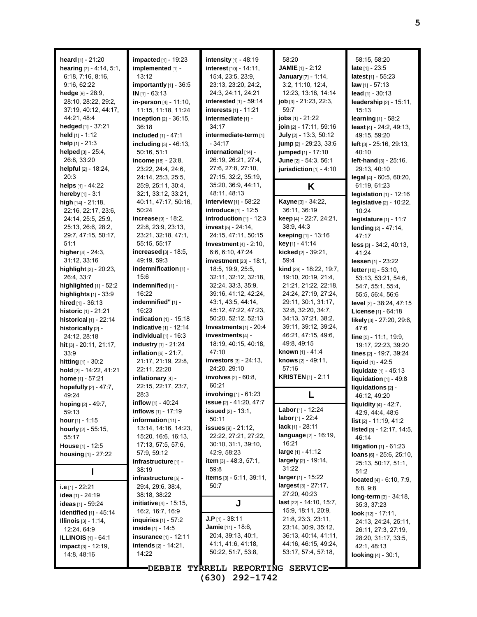**heard** [1] - 21:20 **hearing** [7] - 4:14, 5:1, 6:18, 7:16, 8:16, 9:16, 62:22 **hedge** [9] - 28:9, 28:10, 28:22, 29:2, 37:19, 40:12, 44:17, 44:21, 48:4 **hedged** [1] - 37:21 **held** [1] - 1:12 **help** [1] - 21:3 **helped** [3] - 25:4, 26:8, 33:20 **helpful** [2] - 18:24, 20:3 **helps** [1] - 44:22 **hereby** [1] - 3:1 **high** [14] - 21:18, 22:16, 22:17, 23:6, 24:14, 25:5, 25:9, 25:13, 26:6, 28:2, 29:7, 47:15, 50:17, 51:1 **higher** [4] - 24:3, 31:12, 33:16 **highlight** [3] - 20:23, 26:4, 33:7 **highlighted** [1] - 52:2 **highlights** [1] - 33:9 **hired** [1] - 36:13 **historic** [1] - 21:21 **historical** [1] - 22:14 **historically** [2] - 24:12, 28:18 **hit** [3] - 20:11, 21:17, 33:9 **hitting** [1] - 30:2 **hold** [2] - 14:22, 41:21 **home** [1] - 57:21 **hopefully** [2] - 47:7, 49:24 **hoping** [2] - 49:7, 59:13 **hour** [1] - 1:15 **hourly** [2] - 55:15, 55:17 **House** [1] - 12:5 **housing** [1] - 27:22 **I i.e** [1] - 22:21 **idea** [1] - 24:19 **ideas** [1] - 59:24 **identified** [1] - 45:14 **Illinois** [3] - 1:14, 12:24, 64:9 **ILLINOIS** [1] - 64:1 **impact** [3] - 12:19, 14:8, 48:16

**impacted** [1] - 19:23 **implemented** [1] - 13:12 **importantly** [1] - 36:5 **IN** [1] - 63:13 **in-person** [4] - 11:10, 11:15, 11:18, 11:24 **inception** [2] - 36:15, 36:18 **included** [1] - 47:1 **including** [3] - 46:13, 50:16, 51:1 **income** [18] - 23:8, 23:22, 24:4, 24:6, 24:14, 25:3, 25:5, 25:9, 25:11, 30:4, 32:1, 33:12, 33:21, 40:11, 47:17, 50:16, 50:24 **increase** [9] - 18:2, 22:8, 23:9, 23:13, 23:21, 32:18, 47:1, 55:15, 55:17 **increased** [3] - 18:5, 49:19, 59:3 **indemnification** [1] - 15:6 **indemnified** [1] - 16:22 **indemnified"** [1] - 16:23 **indication** [1] - 15:18 **indicative** [1] - 12:14 **individual** [1] - 16:3 **industry** [1] - 21:24 **inflation** [6] - 21:7, 21:17, 21:19, 22:8, 22:11, 22:20 **inflationary** [4] - 22:15, 22:17, 23:7, 28:3 **inflow** [1] - 40:24 **inflows** [1] - 17:19 **information** [11] - 13:14, 14:16, 14:23, 15:20, 16:6, 16:13, 17:13, 57:5, 57:6, 57:9, 59:12 **Infrastructure** [1] - 38:19 **infrastructure** [5] - 29:4, 29:6, 38:4, 38:18, 38:22 **initiative** [4] - 15:15, 16:2, 16:7, 16:9 **inquiries** [1] - 57:2 **inside** [1] - 14:5 **insurance** [1] - 12:11 **intends** [2] - 14:21, 14:22

**intensity** [1] - 48:19 **interest** [10] - 14:11, 15:4, 23:5, 23:9, 23:13, 23:20, 24:2, 24:3, 24:11, 24:21 **interested** [1] - 59:14 **interests** [1] - 11:21 **intermediate** [1] - 34:17 **intermediate-term** [1] - 34:17 **international** [14] - 26:19, 26:21, 27:4, 27:6, 27:8, 27:10, 27:15, 32:2, 35:19, 35:20, 36:9, 44:11, 48:11, 48:13 **interview** [1] - 58:22 **introduce** [1] - 12:5 **introduction** [1] - 12:3 **invest** [5] - 24:14, 24:15, 47:11, 50:15 **Investment**[4] - 2:10, 6:6, 6:10, 47:24 **investment**[23] - 18:1, 18:5, 19:9, 25:5, 32:11, 32:12, 32:18, 32:24, 33:3, 35:9, 39:16, 41:12, 42:24, 43:1, 43:5, 44:14, 45:12, 47:22, 47:23, 50:20, 52:12, 52:13 **Investments** [1] - 20:4 **investments** [4] - 18:19, 40:15, 40:18, 47:10 **investors** [3] - 24:13, 24:20, 29:10 **involves** [2] - 60:8, 60:21 **involving** [1] - 61:23 **issue** [2] - 41:20, 47:7 **issued** [2] - 13:1, 50:11 **issues** [9] - 21:12, 22:22, 27:21, 27:22, 30:10, 31:1, 39:10, 42:9, 58:23 **item** [3] - 48:3, 57:1, 59:8 **items** [3] - 5:11, 39:11, 50:7 **J J.P** [1] - 38:11 **Jamie** [11] - 18:6, 20:4, 39:13, 40:1, 41:1, 41:6, 41:18, 50:22, 51:7, 53:8,

**DEBBIE TYRRELL REPORTING SERVICE (630) 292-1742**

58:20 **JAMIE**[1] - 2:12 **January** [7] - 1:14, 3:2, 11:10, 12:4, 12:23, 13:18, 14:14 **job** [3] - 21:23, 22:3, 59:7 **jobs** [1] - 21:22 **join** [2] - 17:11, 59:16 **July** [2] - 13:3, 50:12 **jump** [2] - 29:23, 33:6 **jumped** [1] - 17:10 **June** [2] - 54:3, 56:1 **jurisdiction** [1] - 4:10 **K Kayne** [3] - 34:22, 36:11, 36:19 **keep** [4] - 22:7, 24:21, 38:9, 44:3 **keeping** [1] - 13:16 **key** [1] - 41:14 **kicked** [2] - 39:21, 59:4 **kind** [28] - 18:22, 19:7, 19:10, 20:19, 21:4, 21:21, 21:22, 22:18, 24:24, 27:19, 27:24, 29:11, 30:1, 31:17, 32:8, 32:20, 34:7, 34:13, 37:21, 38:2, 39:11, 39:12, 39:24, 46:21, 47:15, 49:6, 49:8, 49:15 **known** [1] - 41:4 **knows** [2] - 49:11, 57:16 **KRISTEN** [1] - 2:11 **L Labor** [1] - 12:24 **labor** [1] - 22:4 **lack** [1] - 28:11 **language** [2] - 16:19, 16:21 **large** [1] - 41:12 **largely** [2] - 19:14, 31:22 **larger**[1] - 15:22 **largest** [3] - 27:17, 27:20, 40:23 **last** [22] - 14:10, 15:7, 15:9, 18:11, 20:9, 21:8, 23:3, 23:11, 23:14, 30:9, 35:12, 36:13, 40:14, 41:11, 44:16, 46:15, 49:24,

53:17, 57:4, 57:18,

58:15, 58:20 **late** [1] - 23:5 **latest** [1] - 55:23 **law** [1] - 57:13 **lead** [1] - 30:13 **leadership** [2] - 15:11, 15:13 **learning** [1] - 58:2 **least** [4] - 24:2, 49:13, 49:15, 59:20 **left** [3] - 25:16, 29:13, 40:10 **left-hand** [3] - 25:16, 29:13, 40:10 **legal** [4] - 60:5, 60:20, 61:19, 61:23 **legislation** [1] - 12:16 **legislative** [2] - 10:22, 10:24 **legislature** [1] - 11:7 **lending** [2] - 47:14, 47:17 **less** [3] - 34:2, 40:13, 41:24 **lessen** [1] - 23:22 **letter**[10] - 53:10, 53:13, 53:21, 54:6, 54:7, 55:1, 55:4, 55:5, 56:4, 56:6 **level** [2] - 38:24, 47:15 **License** [1] - 64:18 **likely** [3] - 27:20, 29:6, 47:6 **line** [5] - 11:1, 19:9, 19:17, 22:23, 39:20 **lines** [2] - 19:7, 39:24 **liquid** [1] - 42:5 **liquidate** [1] - 45:13 **liquidation** [1] - 49:8 **liquidations** [2] - 46:12, 49:20 **liquidity** [4] - 42:7, 42:9, 44:4, 48:6 **list** [2] - 11:19, 41:2 **listed** [3] - 12:17, 14:5, 46:14 **litigation** [1] - 61:23 **loans** [6] - 25:6, 25:10, 25:13, 50:17, 51:1, 51:2 **located** [4] - 6:10, 7:9, 8:8, 9:8 **long-term** [3] - 34:18, 35:3, 37:23 **look** [12] - 17:11, 24:13, 24:24, 25:11, 26:11, 27:3, 27:19, 28:20, 31:17, 33:5, 42:1, 48:13 **looking** [4] - 30:1,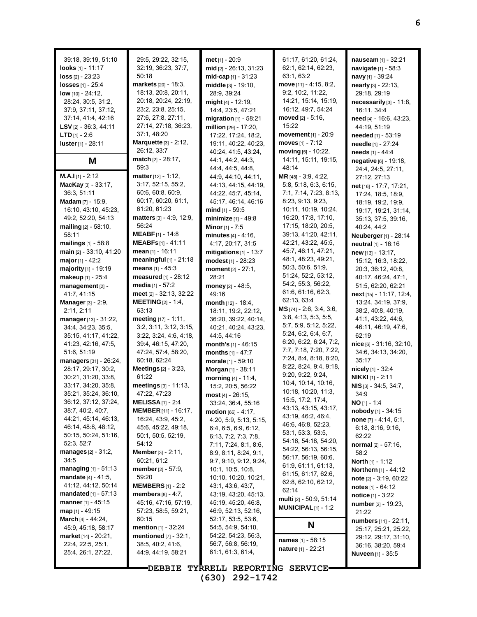| 39:18, 39:19, 51:10<br>looks $[1] - 11:17$<br><b>loss</b> $[2] - 23:23$<br>losses [1] - 25:4<br>$low$ [10] - 24:12,<br>28:24, 30:5, 31:2,<br>37:9, 37:11, 37:12,<br>37:14, 41:4, 42:16<br><b>LSV</b> [2] - 36:3, 44:11<br><b>LTD</b> $[1] - 2.6$<br>luster [1] - 28:11<br>M                                                                                                                                                                         | 29:5, 29:22, 32:15,<br>32:19, 36:23, 37:7,<br>50:18<br>markets [20] - 18:3,<br>18:13, 20:8, 20:11,<br>20:18, 20:24, 22:19,<br>23.2, 23.8, 25.15,<br>27:6, 27:8, 27:11,<br>27:14, 27:18, 36:23,<br>37:1, 48:20<br>Marquette $[3]$ - 2:12,<br>26:12, 33:7<br>match [2] - 28:17,                                                                                                                                                                               | met [1] - 20:9<br>mid [2] - 26:13, 31:23<br>$mid-cap$ [1] - 31:23<br>middle $[3] - 19:10$ ,<br>28:9, 39:24<br><b>might</b> $[4] - 12.19$ ,<br>14:4, 23:5, 47:21<br>migration $[1] - 58:21$<br>million [29] - 17:20,<br>17:22, 17:24, 18:2,<br>19:11, 40:22, 40:23,<br>40:24, 41:5, 43:24,<br>44:1, 44:2, 44:3,                                                                                                                                                                 | 61:17, 61:20, 61:24,<br>62:1, 62:14, 62:23,<br>63:1, 63:2<br>move [11] - 4:15, 8:2,<br>9:2, 10:2, 11:22,<br>14:21, 15:14, 15:19,<br>16:12, 49:7, 54:24<br>moved $[2] - 5:16$ ,<br>15:22<br>movement [1] - 20:9<br>moves $[1] - 7:12$<br>$moving$ [5] - 10:22.<br>14:11, 15:11, 19:15,                                                                                                                                                                                                      | nauseam [1] - 32:21<br>navigate [1] - 58:3<br>navy [1] - 39:24<br>nearly [3] - 22:13,<br>29:18, 29:19<br>necessarily [3] - 11:8,<br>16:11, 34:4<br>need [4] - 16.6, 43:23,<br>44:19, 51:19<br>needed [1] - 53:19<br>needle [1] - 27:24<br>needs [1] - 44:4<br>negative [6] - 19:18,                                                                                                                                             |
|-----------------------------------------------------------------------------------------------------------------------------------------------------------------------------------------------------------------------------------------------------------------------------------------------------------------------------------------------------------------------------------------------------------------------------------------------------|-------------------------------------------------------------------------------------------------------------------------------------------------------------------------------------------------------------------------------------------------------------------------------------------------------------------------------------------------------------------------------------------------------------------------------------------------------------|--------------------------------------------------------------------------------------------------------------------------------------------------------------------------------------------------------------------------------------------------------------------------------------------------------------------------------------------------------------------------------------------------------------------------------------------------------------------------------|--------------------------------------------------------------------------------------------------------------------------------------------------------------------------------------------------------------------------------------------------------------------------------------------------------------------------------------------------------------------------------------------------------------------------------------------------------------------------------------------|---------------------------------------------------------------------------------------------------------------------------------------------------------------------------------------------------------------------------------------------------------------------------------------------------------------------------------------------------------------------------------------------------------------------------------|
|                                                                                                                                                                                                                                                                                                                                                                                                                                                     | 59.3                                                                                                                                                                                                                                                                                                                                                                                                                                                        | 44:4, 44:5, 44:8,                                                                                                                                                                                                                                                                                                                                                                                                                                                              | 48:14                                                                                                                                                                                                                                                                                                                                                                                                                                                                                      | 24:4, 24:5, 27:11,                                                                                                                                                                                                                                                                                                                                                                                                              |
| <b>M.A.I</b> [1] - 2:12<br>MacKay [3] - 33:17,<br>36:3, 51:11<br><b>Madam</b> $[7] - 15.9$ ,<br>16:10, 43:10, 45:23,<br>49.2, 52.20, 54.13<br>mailing $[2] - 58:10$ ,<br>58:11<br><b>mailings</b> $[1] - 58.8$<br>main [2] - 33:10, 41:20<br>major [1] - 42:2<br>majority [1] - 19:19<br>makeup [1] - 25:4<br>management [2] -                                                                                                                      | <b>matter</b> $[12] - 1:12$ ,<br>3:17, 52:15, 55:2,<br>60.6, 60.8, 60.9,<br>60:17, 60:20, 61:1,<br>61:20, 61:23<br><b>matters</b> $[3] - 4.9, 12.9,$<br>56:24<br><b>MEABF</b> $[1] - 14.8$<br>$MEABFs[1] - 41:11$<br>mean $[1]$ - 16:11<br>meaningful [1] - 21:18<br>means $[1] - 45:3$<br>measured $[1]$ - 28:12<br>media $[1] - 57:2$<br>meet [2] - 32:13, 32:22                                                                                          | 44.9, 44.10, 44.11,<br>44:13, 44:15, 44:19,<br>44:22, 45:7, 45:14,<br>45:17, 46:14, 46:16<br><b>mind</b> [1] - 59:5<br>minimize [1] - 49:8<br>Minor [1] - 7:5<br>minutes $[4] - 4:16$ ,<br>4:17, 20:17, 31:5<br>$mitigations$ [1] - 13:7<br>modest [1] - 28:23<br>moment [2] - 27:1,<br>28:21<br>money $[2] - 48.5$ ,                                                                                                                                                          | MR [48] - 3:9, 4:22,<br>5.8, 5.18, 6.3, 6.15,<br>7:1, 7:14, 7:23, 8:13,<br>8:23, 9:13, 9:23,<br>10:11, 10:19, 10:24,<br>16:20, 17:8, 17:10,<br>17:15, 18:20, 20:5,<br>39:13, 41:20, 42:11,<br>42:21, 43:22, 45:5,<br>45:7, 46:11, 47:21,<br>48:1, 48:23, 49:21,<br>50:3, 50:6, 51:9,<br>51:24, 52:2, 53:12,<br>54.2, 55.3, 56.22,<br>61.6, 61.16, 62.3,                                                                                                                                    | 27:12, 27:13<br>net [16] - 17:7, 17:21,<br>17:24, 18:5, 18:9,<br>18:19, 19:2, 19:9,<br>19:17, 19:21, 31:14,<br>35:13, 37:5, 39:16,<br>40:24, 44:2<br>Neuberger [1] - 28:14<br>neutral [1] - 16:16<br>new [13] - 13:17,<br>15:12, 16:3, 18:22,<br>20:3, 36:12, 40:8,<br>40:17, 46:24, 47:1,<br>51:5, 62:20, 62:21<br>next [15] - 11:17, 12:4,                                                                                    |
| 41.7, 41.15<br><b>Manager</b> [3] - 2:9,                                                                                                                                                                                                                                                                                                                                                                                                            | <b>MEETING</b> $[2] - 1.4$                                                                                                                                                                                                                                                                                                                                                                                                                                  | 49:16<br>month $[12] - 18:4$ ,                                                                                                                                                                                                                                                                                                                                                                                                                                                 | 62:13, 63:4                                                                                                                                                                                                                                                                                                                                                                                                                                                                                | 13:24, 34:19, 37:9,                                                                                                                                                                                                                                                                                                                                                                                                             |
| 2:11, 2:11<br>manager [13] - 31:22,<br>34:4, 34:23, 35:5,<br>35:15, 41:17, 41:22,<br>41:23, 42:16, 47:5,<br>51:6, 51:19<br>managers [31] - 26:24,<br>28:17, 29:17, 30:2,<br>30:21, 31:20, 33:8,<br>33:17, 34:20, 35:8,<br>35:21, 35:24, 36:10,<br>36:12, 37:12, 37:24,<br>38:7, 40:2, 40:7,<br>44:21, 45:14, 46:13,<br>46:14, 48:8, 48:12,<br>50:15, 50:24, 51:16,<br>52:3, 52:7<br>manages $[2] - 31:2$ ,<br>34:5<br><b>managing</b> $[1]$ - 51:13 | 63:13<br>meeting $[17] - 1:11$ ,<br>3:2, 3:11, 3:12, 3:15,<br>3:22, 3:24, 4:6, 4:18,<br>39.4, 46.15, 47.20,<br>47:24, 57:4, 58:20,<br>60.18, 62:24<br><b>Meetings</b> [2] - 3:23,<br>61:22<br>meetings $[3] - 11:13$ ,<br>47:22, 47:23<br><b>MELISSA</b> $[1] - 2.4$<br><b>MEMBER</b> [11] - 16:17,<br>16:24, 43:9, 45:2,<br>45.6, 45.22, 49.18,<br>50:1, 50:5, 52:19,<br>54:12<br><b>Member</b> $[3] - 2:11$ ,<br>60:21, 61:2<br><b>member</b> [2] - 57:9, | 18:11, 19:2, 22:12,<br>36:20, 39:22, 40:14,<br>40:21, 40:24, 43:23,<br>44:5, 44:16<br>month's [1] - 46:15<br>months $[1] - 47:7$<br>morale [1] - 59:10<br>Morgan [1] - 38:11<br>morning [4] - 11:4,<br>15:2, 20:5, 56:22<br>$most [4] - 26.15,$<br>33:24, 36:4, 55:16<br><b>motion</b> [66] - 4:17,<br>4:20, 5:9, 5:13, 5:15,<br>6.4, 6.5, 6.9, 6.12,<br>6:13, 7:2, 7:3, 7:8,<br>7:11, 7:24, 8:1, 8:6,<br>8.9, 8.11, 8.24, 9.1,<br>9:7, 9:10, 9:12, 9:24,<br>10:1, 10:5, 10:8, | $MS$ [74] - 2:6, 3:4, 3:6,<br>3.8, 4.13, 5.3, 5.5,<br>5:7, 5:9, 5:12, 5:22,<br>5:24, 6.2, 6.4, 6.7,<br>6:20, 6:22, 6:24, 7:2,<br>7:7, 7:18, 7:20, 7:22,<br>7:24, 8:4, 8:18, 8:20,<br>8:22, 8:24, 9:4, 9:18,<br>9:20, 9:22, 9:24,<br>10:4, 10:14, 10:16,<br>10:18, 10:20, 11:3,<br>15:5, 17:2, 17:4,<br>43:13, 43:15, 43:17,<br>43:19, 46:2, 46:4,<br>46.6, 46.8, 52.23,<br>53:1, 53:3, 53:5,<br>54:16, 54:18, 54:20,<br>54:22, 56:13, 56:15,<br>56:17, 56:19, 60:6,<br>61.9, 61.11, 61.13, | 38.2, 40.8, 40.19,<br>41:1, 43:22, 44:6,<br>46:11, 46:19, 47:6,<br>62:19<br>nice [6] - 31:16, 32:10,<br>34:6, 34:13, 34:20,<br>35:17<br>nicely [1] - 32:4<br><b>NIKKI</b> $[1]$ - 2:11<br>NIS [3] - 34:5, 34:7,<br>34:9<br><b>NO</b> [1] - 1:4<br>nobody [1] - 34:15<br>none [7] - 4:14, 5:1,<br>6.18, 8.16, 9.16,<br>62:22<br><b>normal</b> [2] - 57:16,<br>58:2<br><b>North</b> $[1]$ - 1:12<br><b>Northern</b> $[1]$ - 44:12 |
| <b>mandate</b> $[4] - 41:5$ ,                                                                                                                                                                                                                                                                                                                                                                                                                       | 59:20                                                                                                                                                                                                                                                                                                                                                                                                                                                       | 10:10, 10:20, 10:21,                                                                                                                                                                                                                                                                                                                                                                                                                                                           | 61:15, 61:17, 62:6,                                                                                                                                                                                                                                                                                                                                                                                                                                                                        | note [2] - 3:19, 60:22                                                                                                                                                                                                                                                                                                                                                                                                          |
| 41:12, 44:12, 50:14                                                                                                                                                                                                                                                                                                                                                                                                                                 | <b>MEMBERS</b> $[1]$ - 2:2                                                                                                                                                                                                                                                                                                                                                                                                                                  | 43:1, 43:6, 43:7,                                                                                                                                                                                                                                                                                                                                                                                                                                                              | 62:8, 62:10, 62:12,                                                                                                                                                                                                                                                                                                                                                                                                                                                                        | notes $[1] - 64:12$                                                                                                                                                                                                                                                                                                                                                                                                             |
| <b>mandated</b> $[1]$ - 57:13                                                                                                                                                                                                                                                                                                                                                                                                                       | members $[8] - 4.7$ ,                                                                                                                                                                                                                                                                                                                                                                                                                                       | 43:19, 43:20, 45:13,                                                                                                                                                                                                                                                                                                                                                                                                                                                           | 62:14<br>multi [2] - 50:9, 51:14                                                                                                                                                                                                                                                                                                                                                                                                                                                           | <b>notice</b> $[1] - 3.22$                                                                                                                                                                                                                                                                                                                                                                                                      |
| manner [1] - 45:15                                                                                                                                                                                                                                                                                                                                                                                                                                  | 45:16, 47:16, 57:19,                                                                                                                                                                                                                                                                                                                                                                                                                                        | 45:19, 45:20, 46:8,                                                                                                                                                                                                                                                                                                                                                                                                                                                            | <b>MUNICIPAL</b> $[1]$ - 1:2                                                                                                                                                                                                                                                                                                                                                                                                                                                               | number [2] - 19:23,                                                                                                                                                                                                                                                                                                                                                                                                             |
| $map_{[1]} - 49:15$<br><b>March</b> [4] - 44:24,                                                                                                                                                                                                                                                                                                                                                                                                    | 57:23, 58:5, 59:21,<br>60:15                                                                                                                                                                                                                                                                                                                                                                                                                                | 46.9, 52.13, 52.16,<br>52:17, 53:5, 53:6,                                                                                                                                                                                                                                                                                                                                                                                                                                      |                                                                                                                                                                                                                                                                                                                                                                                                                                                                                            | 21:22                                                                                                                                                                                                                                                                                                                                                                                                                           |
| 45:9, 45:18, 58:17                                                                                                                                                                                                                                                                                                                                                                                                                                  | <b>mention</b> $[1]$ - 32:24                                                                                                                                                                                                                                                                                                                                                                                                                                | 54:5, 54:9, 54:10,                                                                                                                                                                                                                                                                                                                                                                                                                                                             | N                                                                                                                                                                                                                                                                                                                                                                                                                                                                                          | <b>numbers</b> [11] - 22:11,<br>25:17, 25:21, 25:22,                                                                                                                                                                                                                                                                                                                                                                            |
| $market_{[14]} - 20:21,$                                                                                                                                                                                                                                                                                                                                                                                                                            | mentioned $[7] - 32:1$ ,                                                                                                                                                                                                                                                                                                                                                                                                                                    | 54:22, 54:23, 56:3,                                                                                                                                                                                                                                                                                                                                                                                                                                                            |                                                                                                                                                                                                                                                                                                                                                                                                                                                                                            | 29:12, 29:17, 31:10,                                                                                                                                                                                                                                                                                                                                                                                                            |
| 22:4, 22:5, 25:1,<br>25:4, 26:1, 27:22,                                                                                                                                                                                                                                                                                                                                                                                                             | 38:5, 40:2, 41:6,<br>44.9, 44.19, 58.21                                                                                                                                                                                                                                                                                                                                                                                                                     | 56:7, 56:8, 56:19,<br>61:1, 61:3, 61:4,                                                                                                                                                                                                                                                                                                                                                                                                                                        | <b>names</b> $[1] - 58:15$<br><b>nature</b> [1] - 22:21                                                                                                                                                                                                                                                                                                                                                                                                                                    | 36:16, 38:20, 59:4<br><b>Nuveen</b> [1] - 35:5                                                                                                                                                                                                                                                                                                                                                                                  |
|                                                                                                                                                                                                                                                                                                                                                                                                                                                     | <b>DEBBIE</b>                                                                                                                                                                                                                                                                                                                                                                                                                                               | TYRRELL REPORTING SERVICE.                                                                                                                                                                                                                                                                                                                                                                                                                                                     |                                                                                                                                                                                                                                                                                                                                                                                                                                                                                            |                                                                                                                                                                                                                                                                                                                                                                                                                                 |

**(630) 292-1742**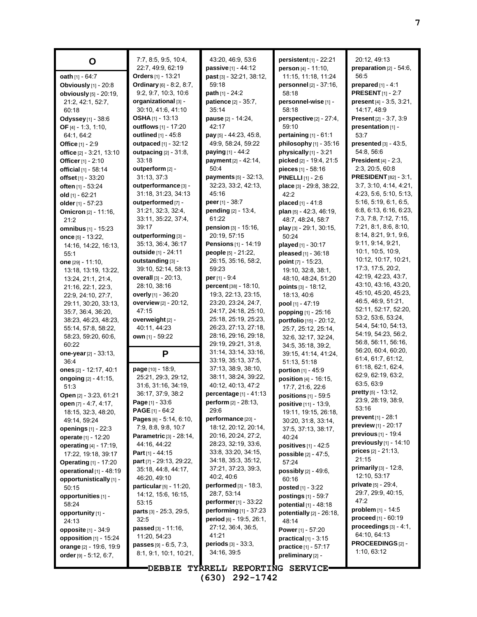| O                                          | 7:7, 8:5, 9:5, 10:4,<br>22:7, 49:9, 62:19       | 43:20, 46:9, 53:6<br>passive [1] - 44:12           | <b>persistent</b> $[1]$ - 22:21<br>person [4] - 11:10, | 20:12, 49:13<br>preparation $[2]$ - 54:6,       |
|--------------------------------------------|-------------------------------------------------|----------------------------------------------------|--------------------------------------------------------|-------------------------------------------------|
| oath [1] - 64:7                            | Orders [1] - 13:21                              | past [3] - 32:21, 38:12,                           | 11:15, 11:18, 11:24                                    | 56:5                                            |
| <b>Obviously</b> [1] - 20:8                | Ordinary $[6] - 8:2, 8:7,$                      | 59:18                                              | personnel [2] - 37:16,                                 | prepared $[1] - 4.1$                            |
| obviously [5] - 20:19,                     | 9:2, 9:7, 10:3, 10:6                            | path [1] - 24:2                                    | 58:18                                                  | <b>PRESENT</b> [1] - 2:7                        |
| 21:2, 42:1, 52:7,                          | organizational [3] -                            | patience [2] - 35:7,                               | personnel-wise [1] -                                   | <b>present</b> $[4] - 3.5, 3.21,$               |
| 60:18                                      | 30:10, 41:6, 41:10                              | 35:14                                              | 58:18                                                  | 14:17, 48.9                                     |
| Odyssey [1] - 38:6                         | <b>OSHA</b> $[1]$ - 13:13                       | pause [2] - 14:24,                                 | perspective $[2] - 27:4,$                              | <b>Present</b> [2] - 3:7, 3:9                   |
| OF $[4] - 1:3, 1:10,$                      | outflows [1] - 17:20                            | 42:17                                              | 59:10                                                  | presentation [1] -                              |
| 64.1, 64.2                                 | outlined [1] - 45:8                             | pay [5] - 44:23, 45:8,                             | pertaining [1] - 61:1                                  | 53:7                                            |
| <b>Office</b> $[1] - 2:9$                  | outpaced [1] - 32:12                            | 49:9, 58:24, 59:22                                 | philosophy [1] - 35:16                                 | presented $[3] - 43:5$ ,                        |
| office $[2] - 3:21, 13:10$                 | outpacing $[2] - 31:8$ ,<br>33:18               | <b>paying</b> $[1] - 44.2$<br>payment [2] - 42.14, | physically [1] - 3:21<br>picked [2] - 19:4, 21:5       | 54:8, 56:6<br>President $[4] - 2:3$ ,           |
| Officer [1] - 2:10<br>official [1] - 58:14 | outperform [2] -                                | 50:4                                               | pieces [1] - 58:16                                     | 2.3, 20.5, 60.8                                 |
| offset [1] - 33:20                         | 31:13, 37:3                                     | payments [5] - 32:13,                              | <b>PINELLI</b> [1] - 2:6                               | <b>PRESIDENT</b> [82] - 3:1,                    |
| often [1] - 53:24                          | outperformance <sup>[3]</sup> -                 | 32:23, 33:2, 42:13,                                | place [3] - 29:8, 38:22,                               | 3:7, 3:10, 4:14, 4:21,                          |
| old $[1] - 62:21$                          | 31:18, 31:23, 34:13                             | 45:16                                              | 42:2                                                   | 4:23, 5:6, 5:10, 5:13,                          |
| older [1] - 57:23                          | outperformed [7] -                              | peer $[1] - 38.7$                                  | placed [1] - 41:8                                      | 5:16, 5:19, 6:1, 6:5,                           |
| <b>Omicron</b> [2] - 11:16,                | 31:21, 32:3, 32:4,                              | pending [2] - 13:4,                                | plan [5] - 42:3, 46:19,                                | 6:8, 6:13, 6:16, 6:23,                          |
| 21:2                                       | 33:11, 35:22, 37:4,                             | 61:22                                              | 48:7, 48:24, 58:7                                      | 7.3, 7.8, 7.12, 7.15,                           |
| omnibus [1] - 15:23                        | 39:17                                           | pension [3] - 15:16,                               | play [3] - 29:1, 30:15,                                | 7:21, 8:1, 8:6, 8:10,                           |
| once $[5] - 13:22$ ,                       | outperforming [3] -                             | 20:19, 57:15                                       | 50:24                                                  | 8:14, 8:21, 9:1, 9:6,                           |
| 14:16, 14:22, 16:13,                       | 35:13, 36:4, 36:17                              | Pensions [1] - 14:19                               | played [1] - 30:17                                     | 9.11, 9.14, 9.21,                               |
| 55:1                                       | outside [1] - 24:11                             | people [5] - 21:22,                                | pleased [1] - 36:18                                    | 10:1, 10:5, 10:9,<br>10:12, 10:17, 10:21,       |
| one [29] - 11:10,                          | outstanding [3] -<br>39:10, 52:14, 58:13        | 26:15, 35:16, 58:2,                                | point $[7] - 15:23$ ,                                  | 17:3, 17:5, 20:2,                               |
| 13:18, 13:19, 13:22,                       | overall [3] - 20:13,                            | 59:23<br>per [1] - 9:4                             | 19:10, 32:8, 38:1,                                     | 42:19, 42:23, 43:7,                             |
| 13:24, 21:1, 21:4,                         | 28:10, 38:16                                    | percent [38] - 18:10,                              | 48:10, 48:24, 51:20<br>points [3] - 18:12,             | 43:10, 43:16, 43:20,                            |
| 21:16, 22:1, 22:3,<br>22.9, 24.10, 27.7,   | overly [1] - 36:20                              | 19:3, 22:13, 23:15,                                | 18:13, 40:6                                            | 45:10, 45:20, 45:23,                            |
| 29:11, 30:20, 33:13,                       | overview [2] - 20:12,                           | 23:20, 23:24, 24:7,                                | pool $[1] - 47:19$                                     | 46.5, 46.9, 51.21,                              |
| 35:7, 36:4, 36:20,                         | 47:15                                           | 24:17, 24:18, 25:10,                               | popping [1] - 25:16                                    | 52:11, 52:17, 52:20,                            |
| 38:23, 46:23, 48:23,                       | overweight [2] -                                | 25:18, 25:19, 25:23,                               | portfolio [15] - 20:12,                                | 53:2, 53:6, 53:24,                              |
| 55:14, 57:8, 58:22,                        | 40:11, 44:23                                    | 26:23, 27:13, 27:18,                               | 25:7, 25:12, 25:14,                                    | 54:4, 54:10, 54:13,                             |
| 58:23, 59:20, 60:6,                        | own [1] - 59:22                                 | 28:16, 29:16, 29:18,                               | 32.6, 32.17, 32.24,                                    | 54:19, 54:23, 56:2,                             |
| 60:22                                      |                                                 | 29:19, 29:21, 31:8,                                | 34.5, 35.18, 39.2,                                     | 56:8, 56:11, 56:16,<br>56:20, 60:4, 60:20,      |
| one-year [2] - 33:13,                      | P                                               | 31:14, 33:14, 33:16,                               | 39:15, 41:14, 41:24,                                   | 61.4, 61.7, 61.12,                              |
| 36:4                                       | page [10] - 18:9,                               | 33:19, 35:13, 37:5,<br>37:13, 38:9, 38:10,         | 51:13, 51:18                                           | 61.18, 62.1, 62.4,                              |
| ones [2] - 12:17, 40:1                     | 25:21, 29:3, 29:12,                             | 38:11, 38:24, 39:22,                               | portion [1] - 45:9                                     | 62.9, 62.19, 63.2,                              |
| ongoing [2] - 41:15,<br>51:3               | 31:6, 31:16, 34:19,                             | 40:12, 40:13, 47:2                                 | position [4] - 16:15,<br>17:7, 21:6, 22:6              | 63.5, 63.9                                      |
| Open [2] - 3:23, 61:21                     | 36:17, 37:9, 38:2                               | percentage [1] - 41:13                             | positions [1] - 59:5                                   | $prefix[5] - 13:12,$                            |
| open [7] - 4:7, 4:17,                      | Page [1] - 33:6                                 | <b>perform</b> $[2] - 28:13$ ,                     | positive [11] - 13:9,                                  | 23:9, 28:19, 38:9,                              |
| 18:15, 32:3, 48:20,                        | <b>PAGE</b> $[1] - 64:2$                        | 29:6                                               | 19:11, 19:15, 26:18,                                   | 53:16                                           |
| 49:14, 59:24                               | Pages $[6] - 5:14, 6:10,$                       | performance [20] -                                 | 30:20, 31:8, 33:14,                                    | prevent [1] - 28:1                              |
| openings $[1] - 22.3$                      | 7.9, 8.8, 9.8, 10.7                             | 18:12, 20:12, 20:14,                               | 37:5, 37:13, 38:17,                                    | preview [1] - 20:17                             |
| operate [1] - 12:20                        | Parametric [3] - 28:14,                         | 20:16, 20:24, 27:2,                                | 40:24                                                  | previous [1] - 19:4                             |
| operating [4] - 17:19,                     | 44:16, 44:22                                    | 28:23, 32:19, 33:6,                                | positives $[1]$ - 42:5                                 | previously [1] - 14:10<br>$prices$ [2] - 21:13, |
| 17:22, 19:18, 39:17                        | Part $[1] - 44:15$                              | 33.8, 33.20, 34:15,<br>34:18, 35:3, 35:12,         | possible [2] - 47:5,                                   | 21:15                                           |
| <b>Operating</b> [1] - 17:20               | part [7] - 29:13, 29:22,<br>35:18, 44:8, 44:17, | 37:21, 37:23, 39:3,                                | 57:24                                                  | primarily $[3] - 12:8$ ,                        |
| operational $[1]$ - 48:19                  | 46:20, 49:10                                    | 40:2, 40:6                                         | possibly [2] - 49:6,<br>60:16                          | 12:10, 53:17                                    |
| opportunistically [1] -<br>50:15           | particular [5] - 11:20,                         | performed [3] - 18:3,                              | <b>posted</b> $[1] - 3:22$                             | <b>private</b> $[5] - 29.4$ ,                   |
| opportunities [1] -                        | 14:12, 15:6, 16:15,                             | 28:7, 53:14                                        | <b>postings</b> [1] - 59:7                             | 29:7, 29:9, 40:15,                              |
| 58:24                                      | 53:15                                           | <b>performer</b> $[1] - 33:22$                     | potential [1] - 48:18                                  | 47:2                                            |
| opportunity [1] -                          | parts [3] - 25:3, 29:5,                         | <b>performing</b> $[1] - 37:23$                    | potentially $[2] - 26.18$ ,                            | problem $[1] - 14.5$                            |
| 24:13                                      | 32:5                                            | period [6] - 19:5, 26:1,                           | 48:14                                                  | proceed $[1] - 60:19$                           |
| <b>opposite</b> $[1] - 34.9$               | <b>passed</b> $[3] - 11:16$ ,                   | 27:12, 36:4, 36:5,                                 | <b>Power</b> [1] - 57:20                               | proceedings [3] - 4:1,                          |
| opposition [1] - 15:24                     | 11:20, 54:23                                    | 41:21                                              | <b>practical</b> $[1] - 3.15$                          | 64:10, 64:13                                    |
| orange [2] - 19.6, 19:9                    | <b>passes</b> $[9] - 6:5, 7:3,$                 | periods [3] - 33:3,<br>34:16, 39:5                 | <b>practice</b> $[1] - 57:17$                          | PROCEEDINGS [2] -<br>1:10, 63:12                |
| order [9] - 5:12, 6:7,                     | 8:1, 9:1, 10:1, 10:21,                          |                                                    | preliminary [2] -                                      |                                                 |
|                                            |                                                 |                                                    |                                                        |                                                 |

**DEBBIE TYRRELL REPORTING SERVICE (630) 292-1742**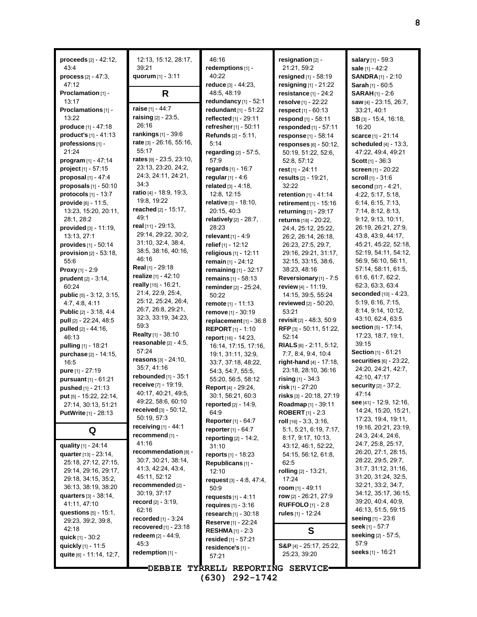| proceeds [2] - 42:12,                       | 12:13, 15:12, 28:17,                           | 46:16                                               | resignation [2] -                                | salary [1] - 59:3                                  |
|---------------------------------------------|------------------------------------------------|-----------------------------------------------------|--------------------------------------------------|----------------------------------------------------|
| 43:4<br>process [2] - 47:3,                 | 39:21<br>quorum [1] - 3:11                     | redemptions [1] -<br>40:22                          | 21:21, 59:2<br>resigned [1] - 58:19              | <b>sale</b> [1] - 42:2<br><b>SANDRA</b> [1] - 2:10 |
| 47:12                                       |                                                | reduce [3] - 44:23,                                 | resigning [1] - 21:22                            | Sarah [1] - 60:5                                   |
| Proclamation [1] -                          | R                                              | 48:5, 48:19                                         | resistance $[1]$ - 24:2                          | $SARAH$ [1] - 2:6                                  |
| 13:17                                       |                                                | redundancy [1] - 52:1                               | resolve [1] - 22:22                              | saw [4] - 23:15, 26:7,                             |
| Proclamations [1] -                         | raise [1] - 44:7                               | redundant $[1] - 51:22$                             | $respect [1] - 60:13$                            | 33:21, 40:1                                        |
| 13:22                                       | raising [2] - 23:5,                            | reflected [1] - 29:11                               | respond [1] - 58:11                              | SB [3] - 15.4, 16.18,                              |
| <b>produce</b> $[1] - 47:18$                | 26:16                                          | refresher [1] - 50:11                               | responded [1] - 57:11                            | 16:20                                              |
| product's $[1] - 41.13$                     | rankings [1] - 39:6                            | <b>Refunds</b> $[2] - 5:11$ ,                       | response [1] - 58:14                             | scarce [1] - 21:14                                 |
| professions [1] -                           | rate [3] - 26:16, 55:16,<br>55:17              | 5:14                                                | responses $[6] - 50:12$ ,                        | scheduled [4] - 13:3,                              |
| 21:24                                       | rates [9] - 23:5, 23:10,                       | regarding [2] - 57:5,                               | 50:19, 51:22, 52:6,                              | 47:22, 49:4, 49:21                                 |
| program [1] - 47:14                         | 23:13, 23:20, 24:2,                            | 57.9<br>regards $[1] - 16.7$                        | 52:8, 57:12                                      | <b>Scott</b> $[1] - 36.3$                          |
| $project[1] - 57:15$<br>proposal [1] - 47:4 | 24:3, 24:11, 24:21,                            | regular $[1] - 4.6$                                 | rest [1] - 24:11                                 | screen $[1] - 20:22$<br>scroll [1] - 31:6          |
| proposals $[1] - 50:10$                     | 34:3                                           | related [3] - 4:18,                                 | results [2] - 19:21,<br>32:22                    | second [37] - 4:21,                                |
| protocols $[1]$ - 13:7                      | ratio [4] - 18:9, 19:3,                        | 12:8, 12:15                                         | retention $[1] - 41:14$                          | 4:22, 5:17, 5:18,                                  |
| provide [6] - 11:5.                         | 19:8, 19:22                                    | relative [3] - 18:10,                               | retirement $[1]$ - 15:16                         | 6:14, 6:15, 7:13,                                  |
| 13:23, 15:20, 20:11,                        | reached [2] - 15:17,                           | 20:15, 40:3                                         | returning [1] - 29:17                            | 7:14, 8:12, 8:13,                                  |
| 28:1, 28:2                                  | 49:1                                           | <b>relatively</b> $[2] - 28:7$ ,                    | returns [18] - 20:22,                            | 9:12, 9:13, 10:11,                                 |
| provided [3] - 11:19,                       | real $[11] - 29.13$ ,                          | 28:23                                               | 24:4, 25:12, 25:22,                              | 26:19, 26:21, 27:9,                                |
| 13:13, 27:1                                 | 29:14, 29:22, 30:2,                            | relevant $[1] - 4.9$                                | 26:2, 26:14, 26:18,                              | 43.8, 43.9, 44.17,                                 |
| provides [1] - 50:14                        | 31:10, 32:4, 38:4,                             | relief [1] - 12:12                                  | 26:23, 27:5, 29:7,                               | 45:21, 45:22, 52:18,                               |
| provision $[2] - 53:18$ ,                   | 38:5, 38:16, 40:16,                            | religious [1] - 12:11                               | 29:16, 29:21, 31:17,                             | 52:19, 54:11, 54:12,                               |
| 55.6                                        | 46:16                                          | remain [1] - 24:12                                  | 32:15, 33:15, 38:6,                              | 56.9, 56.10, 56.11,                                |
| Proxy [1] - 2:9                             | <b>Real</b> [1] - 29:18<br>realize [1] - 42:10 | remaining [1] - 32:17                               | 38:23, 48:16                                     | 57:14, 58:11, 61:5,                                |
| prudent [2] - 3:14,                         | really $[15] - 16:21$ ,                        | remains [1] - 58:13                                 | Reversionary [1] - 7:5                           | 61:6, 61:7, 62:2,                                  |
| 60:24                                       | 21:4, 22:9, 25:4,                              | reminder [2] - 25:24,                               | review [4] - 11:19,                              | 62:3, 63:3, 63:4<br>seconded [10] - 4:23,          |
| public [5] - 3:12, 3:15,                    | 25:12, 25:24, 26:4,                            | 50:22                                               | 14:15, 39:5, 55:24                               | 5:19, 6:16, 7:15,                                  |
| 4.7, 4.8, 4.11<br>Public [2] - 3:18, 4:4    | 26:7, 26:8, 29:21,                             | <b>remote</b> [1] - 11:13                           | reviewed [2] - 50:20,<br>53:21                   | 8:14, 9:14, 10:12,                                 |
| pull [2] - 22:24, 48:5                      | 32:3, 33:19, 34:23,                            | remove [1] - 30:19<br>replacement [1] - 36:8        | revisit $[2] - 48.3, 50.9$                       | 43:10, 62:4, 63:5                                  |
| pulled [2] - 44:16,                         | 59:3                                           | <b>REPORT</b> $[1] - 1:10$                          | RFP [3] - 50:11, 51:22,                          | <b>section</b> [5] - 17:14,                        |
| 46:13                                       | Realty [1] - 38:10                             | report [16] - 14:23,                                | 52:14                                            | 17:23, 18:7, 19:1,                                 |
| pulling [1] - 18:21                         | reasonable $[2] - 4:5$ ,                       | 16:14, 17:15, 17:16,                                | RIALS [6] - 2:11, 5:12,                          | 39:15                                              |
| purchase [2] - 14:15,                       | 57:24                                          | 19:1, 31:11, 32:9,                                  | 7:7, 8:4, 9:4, 10:4                              | Section [1] - 61:21                                |
| 16:5                                        | reasons [3] - 24:10,                           | 33:7, 37:18, 48:22,                                 | right-hand [4] - 17:18,                          | securities [6] - 23:22,                            |
| pure [1] - 27:19                            | 35:7, 41:16                                    | 54:3, 54:7, 55:5,                                   | 23:18, 28:10, 36:16                              | 24:20, 24:21, 42:7,                                |
| pursuant [1] - 61:21                        | rebounded $[1]$ - 35:1                         | 55:20, 56:5, 58:12                                  | rising $[1] - 34.3$                              | 42:10, 47:17                                       |
| pushed [1] - 21:13                          | receive [7] - 19:19,<br>40:17, 40:21, 49:5,    | Report [4] - 29:24,                                 | risk [1] - 27:20                                 | security [2] - 37:2,                               |
| put [5] - 15:22, 22:14,                     | 49:22, 58:6, 60:10                             | 30:1, 56:21, 60:3                                   | risks [3] - 20:18, 27:19                         | 47:14                                              |
| 27:14, 30:13, 51:21                         | received $[3] - 50:12$ ,                       | reported [2] - 14:9,                                | Roadmap [1] - 39:11                              | see [41] - 12:9, 12:16,<br>14:24, 15:20, 15:21,    |
| <b>PutWrite</b> [1] - 28:13                 | 50:19, 57:3                                    | 64:9                                                | <b>ROBERT</b> [1] - 2:3                          | 17:23, 19:4, 19:11,                                |
|                                             | receiving $[1] - 44:1$                         | <b>Reporter</b> [1] - 64:7<br>reporter $[1] - 64:7$ | roll [16] - 3:3, 3:16,<br>5:1, 5:21, 6:19, 7:17, | 19:16, 20:21, 23:19,                               |
| Q                                           | recommend [1] -                                | reporting $[2] - 14:2$ ,                            | 8:17, 9:17, 10:13,                               | 24:3, 24:4, 24:6,                                  |
| quality [1] - 24:14                         | 41:16                                          | 31:10                                               | 43:12, 46:1, 52:22,                              | 24:7, 25:8, 25:17,                                 |
| <b>quarter</b> [13] - 23:14,                | recommendation [8] -                           | reports [1] - 18:23                                 | 54:15, 56:12, 61:8,                              | 26.20, 27:1, 28:15,                                |
| 25:18, 27:12, 27:15,                        | 30:7, 30:21, 38:14,                            | Republicans [1] -                                   | 62:5                                             | 28:22, 29:5, 29:7,                                 |
| 29:14, 29:16, 29:17,                        | 41:3, 42:24, 43:4,                             | 12:10                                               | rolling $[2] - 13:21$ ,                          | 31:7, 31:12, 31:16,                                |
| 29:18, 34:15, 35:2,                         | 45:11, 52:12                                   | request [3] - 4:8, 47:4,                            | 17:24                                            | 31:20, 31:24, 32:5,                                |
| 36:13, 38:19, 38:20                         | recommended [2] -                              | 50.9                                                | room $[1] - 49.11$                               | 32.21, 33.2, 34.7,<br>34:12, 35:17, 36:15,         |
| quarters $[3] - 38:14$ ,                    | 30:19, 37:17<br>record [2] - 3:19,             | requests $[1] - 4.11$                               | row [2] - 26:21, 27:9                            | 39:20, 40:4, 40:9,                                 |
| 41:11, 47:10                                | 62:16                                          | <b>requires</b> $[1] - 3:16$                        | <b>RUFFOLO</b> $[1]$ - 2:8                       | 46.13, 51.5, 59.15                                 |
| questions $[5]$ - 15:1,                     | <b>recorded</b> $[1] - 3:24$                   | research [1] - 30:18                                | rules [1] - 12:24                                | <b>seeing</b> [1] - 23:6                           |
| 29:23, 39:2, 39:8,<br>42:18                 | <b>recovered</b> $[1]$ - 23:18                 | Reserve <sup>[1]</sup> - 22:24                      |                                                  | seek [1] - 57:7                                    |
| quick $[1]$ - 30:2                          | redeem $[2] - 44.9$ ,                          | <b>RESHMA</b> $[1]$ - 2:3                           | S                                                | <b>seeking</b> [2] - 57:5,                         |
| quickly [1] - 11:5                          | 45:3                                           | resided [1] - 57:21                                 | S&P [4] - 25:17, 25:22,                          | 57:9                                               |
| quite [6] - 11:14, 12:7,                    | redemption [1] -                               | residence's [1] -<br>57:21                          | 25:23, 39:20                                     | seeks [1] - 16:21                                  |
|                                             |                                                |                                                     |                                                  |                                                    |
|                                             | <b>DEBBIE</b>                                  | TYRRELL REPORTING SERVICE-                          |                                                  |                                                    |

**(630) 292-1742**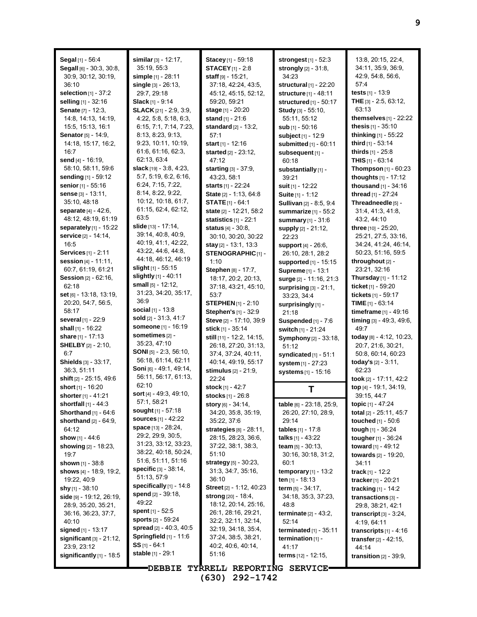| Segal [1] - 56:4<br>Segall [6] - 30:3, 30:8,<br>30:9, 30:12, 30:19,<br>36:10<br>selection [1] - 37:2<br>selling [1] - 32:16<br><b>Senate [7] - 12:3,</b><br>14:8, 14:13, 14:19,<br>15:5, 15:13, 16:1<br>Senator [5] - 14:9,<br>14:18, 15:17, 16:2,<br>16:7<br>send [4] - 16:19,<br>58:10, 58:11, 59:6<br>sending [1] - 59:12<br>senior [1] - 55:16<br>sense [3] - 13:11,<br>35:10, 48:18<br><b>separate</b> $[4] - 42.6$ , | similar $[3] - 12:17$ ,<br>35:19, 55:3<br><b>simple</b> $[1]$ - 28:11<br>$single$ [3] - 26:13,<br>29:7, 29:18<br>Slack [1] - 9:14<br><b>SLACK</b> [21] - 2:9, 3:9,<br>4:22, 5:8, 5:18, 6:3,<br>6:15, 7:1, 7:14, 7:23,<br>8:13, 8:23, 9:13,<br>9:23, 10:11, 10:19,<br>61.6, 61.16, 62.3,<br>62:13, 63:4<br><b>slack</b> [19] - $3:8, 4:23$ ,<br>5:7, 5:19, 6:2, 6:16,<br>6:24, 7:15, 7:22,<br>8:14, 8:22, 9:22,<br>10:12, 10:18, 61:7,<br>61:15, 62:4, 62:12, | Stacey [1] - 59:18<br><b>STACEY</b> $[1]$ - 2:8<br><b>staff</b> $[9] - 15:21$<br>37:18, 42:24, 43:5,<br>45:12, 45:15, 52:12,<br>59:20, 59:21<br>stage [1] - 20:20<br>stand $[1] - 21:6$<br><b>standard</b> $[2] - 13:2$ ,<br>57:1<br>start $[1] - 12:16$<br>started [2] - 23:12,<br>47:12<br>starting [3] - 37:9,<br>43:23, 58:1<br>starts [1] - 22:24<br>State [2] - 1:13, 64:8<br><b>STATE</b> $[1]$ - 64:1<br>state [2] - 12:21, 58:2 | strongest $[1]$ - 52:3<br><b>strongly</b> [2] - 31:8,<br>34:23<br>structural [1] - 22:20<br>structure [1] - 48:11<br>structured [1] - 50:17<br>Study [3] - 55:10,<br>55:11, 55:12<br>sub $[1] - 50:16$<br>subject [1] - 12:9<br>submitted $[1]$ - 60:11<br>subsequent [1] -<br>60:18<br>substantially [1] -<br>39:21<br><b>suit</b> $[1]$ - 12:22<br>Suite [1] - 1:12<br>Sullivan [2] - 8:5, 9:4<br>summarize [1] - 55:2 | 13:8, 20:15, 22:4,<br>34:11, 35:9, 36:9,<br>42:9, 54:8, 56:6,<br>57.4<br>tests [1] - 13:9<br>THE [3] - 2.5, 63.12,<br>63:13<br>themselves $[1]$ - 22:22<br>thesis $[1] - 35:10$<br>thinking $[1]$ - 55:22<br>third [1] - 53:14<br>thirds [1] - 25:8<br><b>THIS</b> $[1]$ - 63:14<br><b>Thompson</b> $[1]$ - 60:23<br>thoughts [1] - 17:12<br>thousand $[1] - 34:16$<br>thread [1] - 27:24<br>Threadneedle [5] -<br>31.4, 41.3, 41.8, |  |  |
|----------------------------------------------------------------------------------------------------------------------------------------------------------------------------------------------------------------------------------------------------------------------------------------------------------------------------------------------------------------------------------------------------------------------------|--------------------------------------------------------------------------------------------------------------------------------------------------------------------------------------------------------------------------------------------------------------------------------------------------------------------------------------------------------------------------------------------------------------------------------------------------------------|------------------------------------------------------------------------------------------------------------------------------------------------------------------------------------------------------------------------------------------------------------------------------------------------------------------------------------------------------------------------------------------------------------------------------------------|--------------------------------------------------------------------------------------------------------------------------------------------------------------------------------------------------------------------------------------------------------------------------------------------------------------------------------------------------------------------------------------------------------------------------|--------------------------------------------------------------------------------------------------------------------------------------------------------------------------------------------------------------------------------------------------------------------------------------------------------------------------------------------------------------------------------------------------------------------------------------|--|--|
| 48:12, 48:19, 61:19<br>separately $[1]$ - 15:22                                                                                                                                                                                                                                                                                                                                                                            | 63:5<br>slide [13] - 17:14,                                                                                                                                                                                                                                                                                                                                                                                                                                  | statistics $[1] - 22:1$<br><b>status</b> $[4] - 30.8$ ,                                                                                                                                                                                                                                                                                                                                                                                  | summary [1] - 31:6                                                                                                                                                                                                                                                                                                                                                                                                       | 43:2, 44:10<br>three [10] - 25:20,                                                                                                                                                                                                                                                                                                                                                                                                   |  |  |
| service <sup>[2]</sup> - 14:14,                                                                                                                                                                                                                                                                                                                                                                                            | 39:14, 40:8, 40:9,                                                                                                                                                                                                                                                                                                                                                                                                                                           | 30:10, 30:20, 30:22                                                                                                                                                                                                                                                                                                                                                                                                                      | supply [2] - 21:12,<br>22:23                                                                                                                                                                                                                                                                                                                                                                                             | 25:21, 27:5, 33:16,                                                                                                                                                                                                                                                                                                                                                                                                                  |  |  |
| 16:5                                                                                                                                                                                                                                                                                                                                                                                                                       | 40:19, 41:1, 42:22,<br>43:22, 44:6, 44:8,                                                                                                                                                                                                                                                                                                                                                                                                                    | <b>stay</b> $[2] - 13.1, 13.3$                                                                                                                                                                                                                                                                                                                                                                                                           | support [4] - 26:6,                                                                                                                                                                                                                                                                                                                                                                                                      | 34:24, 41:24, 46:14,                                                                                                                                                                                                                                                                                                                                                                                                                 |  |  |
| <b>Services</b> [1] - 2:11<br>session [4] - 11:11,                                                                                                                                                                                                                                                                                                                                                                         | 44.18, 46.12, 46.19                                                                                                                                                                                                                                                                                                                                                                                                                                          | <b>STENOGRAPHIC [1] -</b><br>1:10                                                                                                                                                                                                                                                                                                                                                                                                        | 26:10, 28:1, 28:2<br>supported $[1]$ - 15:15                                                                                                                                                                                                                                                                                                                                                                             | 50:23, 51:16, 59:5<br>throughout [2] -                                                                                                                                                                                                                                                                                                                                                                                               |  |  |
| 60:7, 61:19, 61:21                                                                                                                                                                                                                                                                                                                                                                                                         | slight $[1]$ - 55:15                                                                                                                                                                                                                                                                                                                                                                                                                                         | Stephen [8] - 17:7,                                                                                                                                                                                                                                                                                                                                                                                                                      | Supreme [1] - 13:1                                                                                                                                                                                                                                                                                                                                                                                                       | 23:21, 32:16                                                                                                                                                                                                                                                                                                                                                                                                                         |  |  |
| <b>Session [2] - 62:16,</b>                                                                                                                                                                                                                                                                                                                                                                                                | <b>slightly</b> [1] - 40:11<br>small $[5] - 12:12$ ,                                                                                                                                                                                                                                                                                                                                                                                                         | 18:17, 20:2, 20:13,                                                                                                                                                                                                                                                                                                                                                                                                                      | surge [2] - 11:16, 21:3                                                                                                                                                                                                                                                                                                                                                                                                  | <b>Thursday</b> $[1]$ - 11:12                                                                                                                                                                                                                                                                                                                                                                                                        |  |  |
| 62:18<br>set $[6] - 13.18, 13.19,$                                                                                                                                                                                                                                                                                                                                                                                         | 31:23, 34:20, 35:17,                                                                                                                                                                                                                                                                                                                                                                                                                                         | 37:18, 43:21, 45:10,<br>53:7                                                                                                                                                                                                                                                                                                                                                                                                             | surprising $[3] - 21:1$ ,                                                                                                                                                                                                                                                                                                                                                                                                | ticket [1] - 59:20<br>tickets $[1] - 59:17$                                                                                                                                                                                                                                                                                                                                                                                          |  |  |
| 20:20, 54:7, 56:5,                                                                                                                                                                                                                                                                                                                                                                                                         | 36:9                                                                                                                                                                                                                                                                                                                                                                                                                                                         | <b>STEPHEN</b> $[1]$ - 2:10                                                                                                                                                                                                                                                                                                                                                                                                              | 33:23, 34:4<br>surprisingly [1] -                                                                                                                                                                                                                                                                                                                                                                                        | <b>TIME</b> $[1]$ - 63:14                                                                                                                                                                                                                                                                                                                                                                                                            |  |  |
| 58:17                                                                                                                                                                                                                                                                                                                                                                                                                      | social $[1] - 13.8$                                                                                                                                                                                                                                                                                                                                                                                                                                          | Stephen's [1] - 32:9                                                                                                                                                                                                                                                                                                                                                                                                                     | 21:18                                                                                                                                                                                                                                                                                                                                                                                                                    | timeframe [1] - 49:16                                                                                                                                                                                                                                                                                                                                                                                                                |  |  |
| several [1] - 22:9                                                                                                                                                                                                                                                                                                                                                                                                         | sold $[2] - 31:3, 41:7$<br>someone [1] - 16:19                                                                                                                                                                                                                                                                                                                                                                                                               | Steve [2] - 17:10, 39:9                                                                                                                                                                                                                                                                                                                                                                                                                  | <b>Suspended</b> [1] - 7:6                                                                                                                                                                                                                                                                                                                                                                                               | timing [3] - 49:3, 49:6,                                                                                                                                                                                                                                                                                                                                                                                                             |  |  |
| shall [1] - 16:22<br>share [1] - 17:13                                                                                                                                                                                                                                                                                                                                                                                     | sometimes [2] -                                                                                                                                                                                                                                                                                                                                                                                                                                              | stick [1] - 35:14<br>still [11] - 12:2, 14:15,                                                                                                                                                                                                                                                                                                                                                                                           | switch [1] - 21:24                                                                                                                                                                                                                                                                                                                                                                                                       | 49:7<br>today [8] - 4:12, 10:23,                                                                                                                                                                                                                                                                                                                                                                                                     |  |  |
| <b>SHELBY</b> [2] - 2:10,                                                                                                                                                                                                                                                                                                                                                                                                  | 35:23, 47:10                                                                                                                                                                                                                                                                                                                                                                                                                                                 | 26:18, 27:20, 31:13,                                                                                                                                                                                                                                                                                                                                                                                                                     | Symphony [2] - 33:18,<br>51:12                                                                                                                                                                                                                                                                                                                                                                                           | 20:7, 21:6, 30:21,                                                                                                                                                                                                                                                                                                                                                                                                                   |  |  |
| 6:7                                                                                                                                                                                                                                                                                                                                                                                                                        | <b>SONI</b> [5] $- 2.3$ , 56:10,                                                                                                                                                                                                                                                                                                                                                                                                                             | 37:4, 37:24, 40:11,                                                                                                                                                                                                                                                                                                                                                                                                                      | syndicated $[1]$ - 51:1                                                                                                                                                                                                                                                                                                                                                                                                  | 50.8, 60.14, 60.23                                                                                                                                                                                                                                                                                                                                                                                                                   |  |  |
| Shields [3] - 33:17,                                                                                                                                                                                                                                                                                                                                                                                                       | 56:18, 61:14, 62:11<br>Soni [6] - 49:1, 49:14,                                                                                                                                                                                                                                                                                                                                                                                                               | 40:14, 49:19, 55:17                                                                                                                                                                                                                                                                                                                                                                                                                      | system [1] - 27:23                                                                                                                                                                                                                                                                                                                                                                                                       | today's $[2] - 3:11$ ,                                                                                                                                                                                                                                                                                                                                                                                                               |  |  |
| 36:3, 51:11<br>shift [2] - 25:15, 49:6                                                                                                                                                                                                                                                                                                                                                                                     | 56:11, 56:17, 61:13,                                                                                                                                                                                                                                                                                                                                                                                                                                         | stimulus [2] - 21:9,<br>22:24                                                                                                                                                                                                                                                                                                                                                                                                            | systems [1] - 15:16                                                                                                                                                                                                                                                                                                                                                                                                      | 62:23<br>took [2] - 17:11, 42:2                                                                                                                                                                                                                                                                                                                                                                                                      |  |  |
| short [1] - 16:20                                                                                                                                                                                                                                                                                                                                                                                                          | 62:10                                                                                                                                                                                                                                                                                                                                                                                                                                                        | stock [1] - 42:7                                                                                                                                                                                                                                                                                                                                                                                                                         | Т                                                                                                                                                                                                                                                                                                                                                                                                                        | top [4] - 19:1, 34:19,                                                                                                                                                                                                                                                                                                                                                                                                               |  |  |
| shorter [1] - 41:21                                                                                                                                                                                                                                                                                                                                                                                                        | sort [4] - 49:3, 49:10,                                                                                                                                                                                                                                                                                                                                                                                                                                      | stocks [1] - 26:8                                                                                                                                                                                                                                                                                                                                                                                                                        |                                                                                                                                                                                                                                                                                                                                                                                                                          | 39:15, 44:7                                                                                                                                                                                                                                                                                                                                                                                                                          |  |  |
| shortfall [1] - 44:3                                                                                                                                                                                                                                                                                                                                                                                                       | 57:1, 58:21<br><b>sought</b> [1] - 57:18                                                                                                                                                                                                                                                                                                                                                                                                                     | story [6] - 34:14,                                                                                                                                                                                                                                                                                                                                                                                                                       | table [6] - 23:18, 25:9,                                                                                                                                                                                                                                                                                                                                                                                                 | topic [1] - 47:24                                                                                                                                                                                                                                                                                                                                                                                                                    |  |  |
| Shorthand $[1] - 64.6$<br>shorthand $[2] - 64:9$ ,                                                                                                                                                                                                                                                                                                                                                                         | <b>sources</b> $[1] - 42:22$                                                                                                                                                                                                                                                                                                                                                                                                                                 | 34:20, 35:8, 35:19,<br>35:22, 37:6                                                                                                                                                                                                                                                                                                                                                                                                       | 26:20, 27:10, 28:9,<br>29:14                                                                                                                                                                                                                                                                                                                                                                                             | total [2] - 25:11, 45:7<br>touched [1] - 50:6                                                                                                                                                                                                                                                                                                                                                                                        |  |  |
| 64:12                                                                                                                                                                                                                                                                                                                                                                                                                      | space $[13] - 28.24$ ,                                                                                                                                                                                                                                                                                                                                                                                                                                       | strategies $[8] - 28:11$ ,                                                                                                                                                                                                                                                                                                                                                                                                               | <b>tables</b> $[1] - 17.8$                                                                                                                                                                                                                                                                                                                                                                                               | tough [1] - 36:24                                                                                                                                                                                                                                                                                                                                                                                                                    |  |  |
| show $[1] - 44:6$                                                                                                                                                                                                                                                                                                                                                                                                          | 29.2, 29.9, 30.5,                                                                                                                                                                                                                                                                                                                                                                                                                                            | 28:15, 28:23, 36:6,                                                                                                                                                                                                                                                                                                                                                                                                                      | talks [1] - 43:22                                                                                                                                                                                                                                                                                                                                                                                                        | tougher [1] - 36:24                                                                                                                                                                                                                                                                                                                                                                                                                  |  |  |
| showing [2] - 18:23,                                                                                                                                                                                                                                                                                                                                                                                                       | 31:23, 33:12, 33:23,<br>38:22, 40:18, 50:24,                                                                                                                                                                                                                                                                                                                                                                                                                 | 37:22, 38:1, 38:3,                                                                                                                                                                                                                                                                                                                                                                                                                       | team $[5] - 30.13$ ,                                                                                                                                                                                                                                                                                                                                                                                                     | toward [1] - 49:12                                                                                                                                                                                                                                                                                                                                                                                                                   |  |  |
| 19:7<br>shown [1] - 38:8                                                                                                                                                                                                                                                                                                                                                                                                   | 51:6, 51:11, 51:16                                                                                                                                                                                                                                                                                                                                                                                                                                           | 51:10<br>strategy [5] - 30:23,                                                                                                                                                                                                                                                                                                                                                                                                           | 30:16, 30:18, 31:2,<br>60:1                                                                                                                                                                                                                                                                                                                                                                                              | <b>towards</b> [2] - 19:20,<br>34:11                                                                                                                                                                                                                                                                                                                                                                                                 |  |  |
| shows [4] - 18:9, 19:2,                                                                                                                                                                                                                                                                                                                                                                                                    | <b>specific</b> $[3] - 38:14$ ,                                                                                                                                                                                                                                                                                                                                                                                                                              | 31:3, 34:7, 35:16,                                                                                                                                                                                                                                                                                                                                                                                                                       | temporary $[1]$ - 13:2                                                                                                                                                                                                                                                                                                                                                                                                   | <b>track</b> $[1] - 12:2$                                                                                                                                                                                                                                                                                                                                                                                                            |  |  |
| 19:22, 40:9                                                                                                                                                                                                                                                                                                                                                                                                                | 51:13, 57:9                                                                                                                                                                                                                                                                                                                                                                                                                                                  | 36:10                                                                                                                                                                                                                                                                                                                                                                                                                                    | ten $[1]$ - 18:13                                                                                                                                                                                                                                                                                                                                                                                                        | tracker [1] - 20:21                                                                                                                                                                                                                                                                                                                                                                                                                  |  |  |
| shy $[1] - 38.10$                                                                                                                                                                                                                                                                                                                                                                                                          | specifically $[1]$ - 14:8<br>spend [2] - 39:18,                                                                                                                                                                                                                                                                                                                                                                                                              | Street [2] - 1:12, 40:23                                                                                                                                                                                                                                                                                                                                                                                                                 | term $[5] - 34:17$ ,                                                                                                                                                                                                                                                                                                                                                                                                     | tracking $[1]$ - 14:2                                                                                                                                                                                                                                                                                                                                                                                                                |  |  |
| side [9] - 19:12, 26:19,<br>28:9, 35:20, 35:21,                                                                                                                                                                                                                                                                                                                                                                            | 49:22                                                                                                                                                                                                                                                                                                                                                                                                                                                        | strong [20] - 18:4,<br>18:12, 20:14, 25:16,                                                                                                                                                                                                                                                                                                                                                                                              | 34:18, 35:3, 37:23,<br>48:8                                                                                                                                                                                                                                                                                                                                                                                              | transactions [3] -                                                                                                                                                                                                                                                                                                                                                                                                                   |  |  |
| 36:16, 36:23, 37:7,                                                                                                                                                                                                                                                                                                                                                                                                        | <b>spent</b> $[1]$ - 52:5                                                                                                                                                                                                                                                                                                                                                                                                                                    | 26:1, 28:16, 29:21,                                                                                                                                                                                                                                                                                                                                                                                                                      | <b>terminate</b> $[2] - 43:2$ ,                                                                                                                                                                                                                                                                                                                                                                                          | 29.8, 38.21, 42.1<br>transcript $[3]$ - 3:24,                                                                                                                                                                                                                                                                                                                                                                                        |  |  |
| 40:10                                                                                                                                                                                                                                                                                                                                                                                                                      | <b>sports</b> [2] - 59:24                                                                                                                                                                                                                                                                                                                                                                                                                                    | 32:2, 32:11, 32:14,                                                                                                                                                                                                                                                                                                                                                                                                                      | 52:14                                                                                                                                                                                                                                                                                                                                                                                                                    | 4:19, 64:11                                                                                                                                                                                                                                                                                                                                                                                                                          |  |  |
| signed [1] - 13:17                                                                                                                                                                                                                                                                                                                                                                                                         | spread [2] - 40:3, 40:5                                                                                                                                                                                                                                                                                                                                                                                                                                      | 32:19, 34:18, 35:4,                                                                                                                                                                                                                                                                                                                                                                                                                      | terminated [1] - 35:11                                                                                                                                                                                                                                                                                                                                                                                                   | transcripts $[1] - 4:16$                                                                                                                                                                                                                                                                                                                                                                                                             |  |  |
| significant $[3] - 21:12$ ,<br>23:9, 23:12                                                                                                                                                                                                                                                                                                                                                                                 | Springfield $[1]$ - 11:6<br>$SS$ <sub>[1]</sub> - 64:1                                                                                                                                                                                                                                                                                                                                                                                                       | 37:24, 38:5, 38:21,<br>40.2, 40.6, 40.14,                                                                                                                                                                                                                                                                                                                                                                                                | termination [1] -<br>41:17                                                                                                                                                                                                                                                                                                                                                                                               | <b>transfer</b> $[2] - 42:15$ ,                                                                                                                                                                                                                                                                                                                                                                                                      |  |  |
| significantly $[1]$ - 18:5                                                                                                                                                                                                                                                                                                                                                                                                 | stable [1] - 29:1                                                                                                                                                                                                                                                                                                                                                                                                                                            | 51:16                                                                                                                                                                                                                                                                                                                                                                                                                                    | <b>terms</b> $[12] - 12:15$ ,                                                                                                                                                                                                                                                                                                                                                                                            | 44:14<br>transition $[2] - 39.9$ ,                                                                                                                                                                                                                                                                                                                                                                                                   |  |  |
|                                                                                                                                                                                                                                                                                                                                                                                                                            |                                                                                                                                                                                                                                                                                                                                                                                                                                                              |                                                                                                                                                                                                                                                                                                                                                                                                                                          |                                                                                                                                                                                                                                                                                                                                                                                                                          |                                                                                                                                                                                                                                                                                                                                                                                                                                      |  |  |
| <b>TYRRELL</b><br>REPORTING SERVICE<br><b>DEBBIE</b><br>(630)<br>$292 - 1742$                                                                                                                                                                                                                                                                                                                                              |                                                                                                                                                                                                                                                                                                                                                                                                                                                              |                                                                                                                                                                                                                                                                                                                                                                                                                                          |                                                                                                                                                                                                                                                                                                                                                                                                                          |                                                                                                                                                                                                                                                                                                                                                                                                                                      |  |  |

**9**